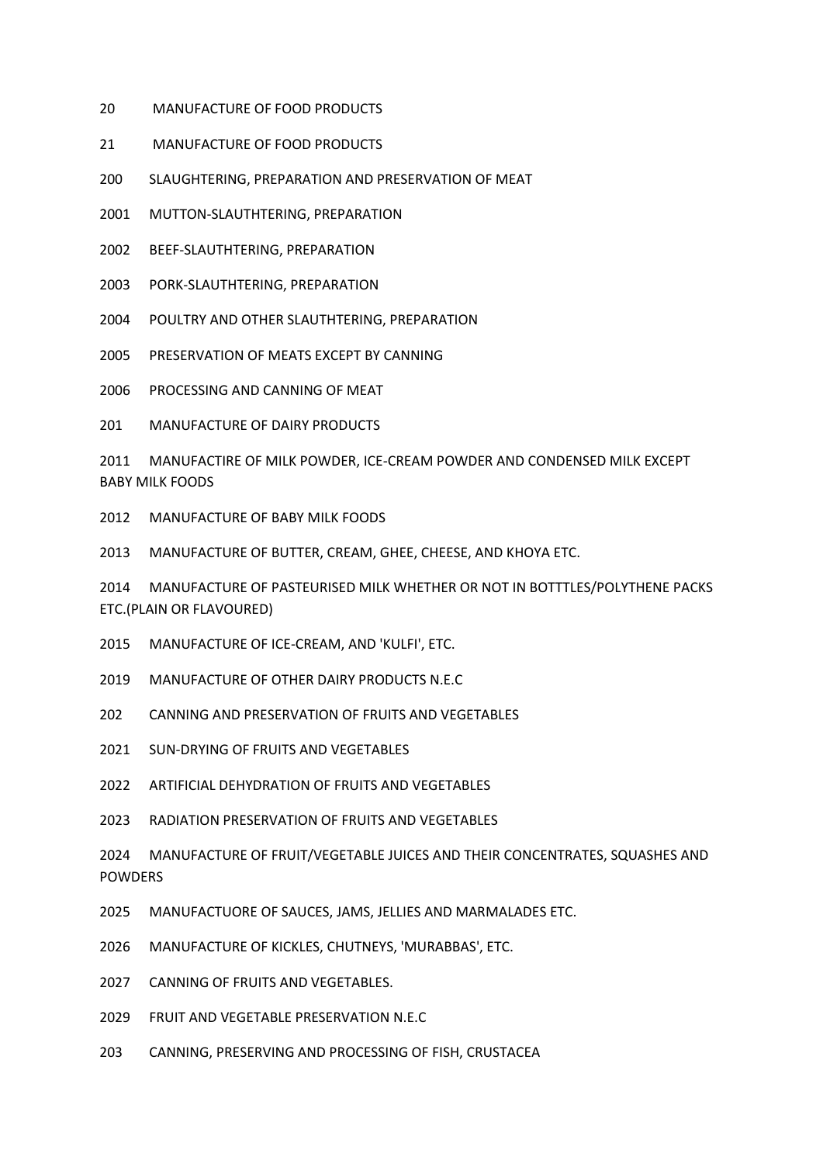- 20 MANUFACTURE OF FOOD PRODUCTS
- 21 MANUFACTURE OF FOOD PRODUCTS
- 200 SLAUGHTERING, PREPARATION AND PRESERVATION OF MEAT
- MUTTON-SLAUTHTERING, PREPARATION
- BEEF-SLAUTHTERING, PREPARATION
- PORK-SLAUTHTERING, PREPARATION
- POULTRY AND OTHER SLAUTHTERING, PREPARATION
- PRESERVATION OF MEATS EXCEPT BY CANNING
- PROCESSING AND CANNING OF MEAT
- 201 MANUFACTURE OF DAIRY PRODUCTS

 MANUFACTIRE OF MILK POWDER, ICE-CREAM POWDER AND CONDENSED MILK EXCEPT BABY MILK FOODS

MANUFACTURE OF BABY MILK FOODS

MANUFACTURE OF BUTTER, CREAM, GHEE, CHEESE, AND KHOYA ETC.

 MANUFACTURE OF PASTEURISED MILK WHETHER OR NOT IN BOTTTLES/POLYTHENE PACKS ETC.(PLAIN OR FLAVOURED)

- MANUFACTURE OF ICE-CREAM, AND 'KULFI', ETC.
- MANUFACTURE OF OTHER DAIRY PRODUCTS N.E.C
- 202 CANNING AND PRESERVATION OF FRUITS AND VEGETABLES
- SUN-DRYING OF FRUITS AND VEGETABLES
- ARTIFICIAL DEHYDRATION OF FRUITS AND VEGETABLES
- RADIATION PRESERVATION OF FRUITS AND VEGETABLES

 MANUFACTURE OF FRUIT/VEGETABLE JUICES AND THEIR CONCENTRATES, SQUASHES AND POWDERS

- MANUFACTUORE OF SAUCES, JAMS, JELLIES AND MARMALADES ETC.
- MANUFACTURE OF KICKLES, CHUTNEYS, 'MURABBAS', ETC.
- CANNING OF FRUITS AND VEGETABLES.
- FRUIT AND VEGETABLE PRESERVATION N.E.C
- 203 CANNING, PRESERVING AND PROCESSING OF FISH, CRUSTACEA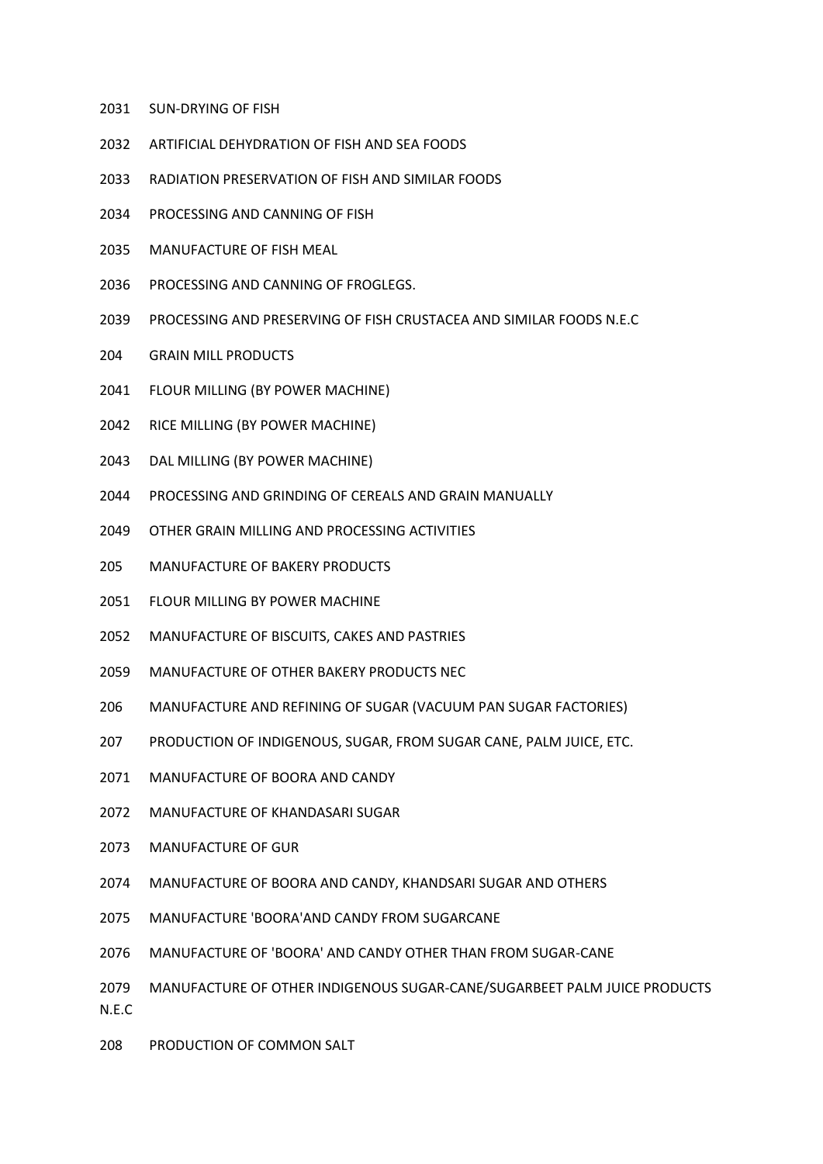- SUN-DRYING OF FISH
- ARTIFICIAL DEHYDRATION OF FISH AND SEA FOODS
- RADIATION PRESERVATION OF FISH AND SIMILAR FOODS
- PROCESSING AND CANNING OF FISH
- MANUFACTURE OF FISH MEAL
- PROCESSING AND CANNING OF FROGLEGS.
- PROCESSING AND PRESERVING OF FISH CRUSTACEA AND SIMILAR FOODS N.E.C
- 204 GRAIN MILL PRODUCTS
- FLOUR MILLING (BY POWER MACHINE)
- RICE MILLING (BY POWER MACHINE)
- DAL MILLING (BY POWER MACHINE)
- PROCESSING AND GRINDING OF CEREALS AND GRAIN MANUALLY
- OTHER GRAIN MILLING AND PROCESSING ACTIVITIES
- 205 MANUFACTURE OF BAKERY PRODUCTS
- FLOUR MILLING BY POWER MACHINE
- MANUFACTURE OF BISCUITS, CAKES AND PASTRIES
- MANUFACTURE OF OTHER BAKERY PRODUCTS NEC
- MANUFACTURE AND REFINING OF SUGAR (VACUUM PAN SUGAR FACTORIES)
- PRODUCTION OF INDIGENOUS, SUGAR, FROM SUGAR CANE, PALM JUICE, ETC.
- MANUFACTURE OF BOORA AND CANDY
- MANUFACTURE OF KHANDASARI SUGAR
- MANUFACTURE OF GUR
- MANUFACTURE OF BOORA AND CANDY, KHANDSARI SUGAR AND OTHERS
- MANUFACTURE 'BOORA'AND CANDY FROM SUGARCANE
- MANUFACTURE OF 'BOORA' AND CANDY OTHER THAN FROM SUGAR-CANE
- MANUFACTURE OF OTHER INDIGENOUS SUGAR-CANE/SUGARBEET PALM JUICE PRODUCTS N.E.C
- PRODUCTION OF COMMON SALT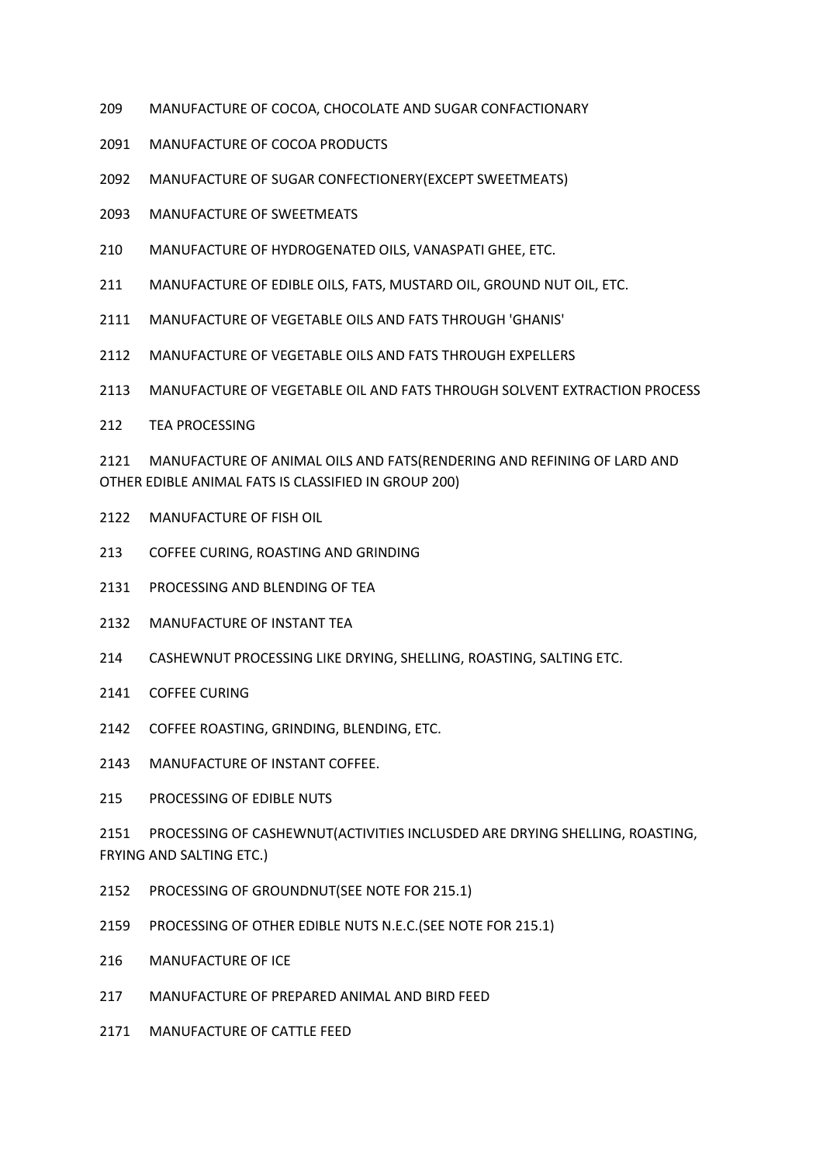- MANUFACTURE OF COCOA, CHOCOLATE AND SUGAR CONFACTIONARY
- MANUFACTURE OF COCOA PRODUCTS
- MANUFACTURE OF SUGAR CONFECTIONERY(EXCEPT SWEETMEATS)
- MANUFACTURE OF SWEETMEATS
- MANUFACTURE OF HYDROGENATED OILS, VANASPATI GHEE, ETC.
- MANUFACTURE OF EDIBLE OILS, FATS, MUSTARD OIL, GROUND NUT OIL, ETC.
- MANUFACTURE OF VEGETABLE OILS AND FATS THROUGH 'GHANIS'
- MANUFACTURE OF VEGETABLE OILS AND FATS THROUGH EXPELLERS
- MANUFACTURE OF VEGETABLE OIL AND FATS THROUGH SOLVENT EXTRACTION PROCESS
- TEA PROCESSING

 MANUFACTURE OF ANIMAL OILS AND FATS(RENDERING AND REFINING OF LARD AND OTHER EDIBLE ANIMAL FATS IS CLASSIFIED IN GROUP 200)

- MANUFACTURE OF FISH OIL
- COFFEE CURING, ROASTING AND GRINDING
- PROCESSING AND BLENDING OF TEA
- MANUFACTURE OF INSTANT TEA
- CASHEWNUT PROCESSING LIKE DRYING, SHELLING, ROASTING, SALTING ETC.
- COFFEE CURING
- COFFEE ROASTING, GRINDING, BLENDING, ETC.
- MANUFACTURE OF INSTANT COFFEE.
- 215 PROCESSING OF EDIBLE NUTS

 PROCESSING OF CASHEWNUT(ACTIVITIES INCLUSDED ARE DRYING SHELLING, ROASTING, FRYING AND SALTING ETC.)

- PROCESSING OF GROUNDNUT(SEE NOTE FOR 215.1)
- PROCESSING OF OTHER EDIBLE NUTS N.E.C.(SEE NOTE FOR 215.1)
- 216 MANUFACTURE OF ICE
- 217 MANUFACTURE OF PREPARED ANIMAL AND BIRD FEED
- MANUFACTURE OF CATTLE FEED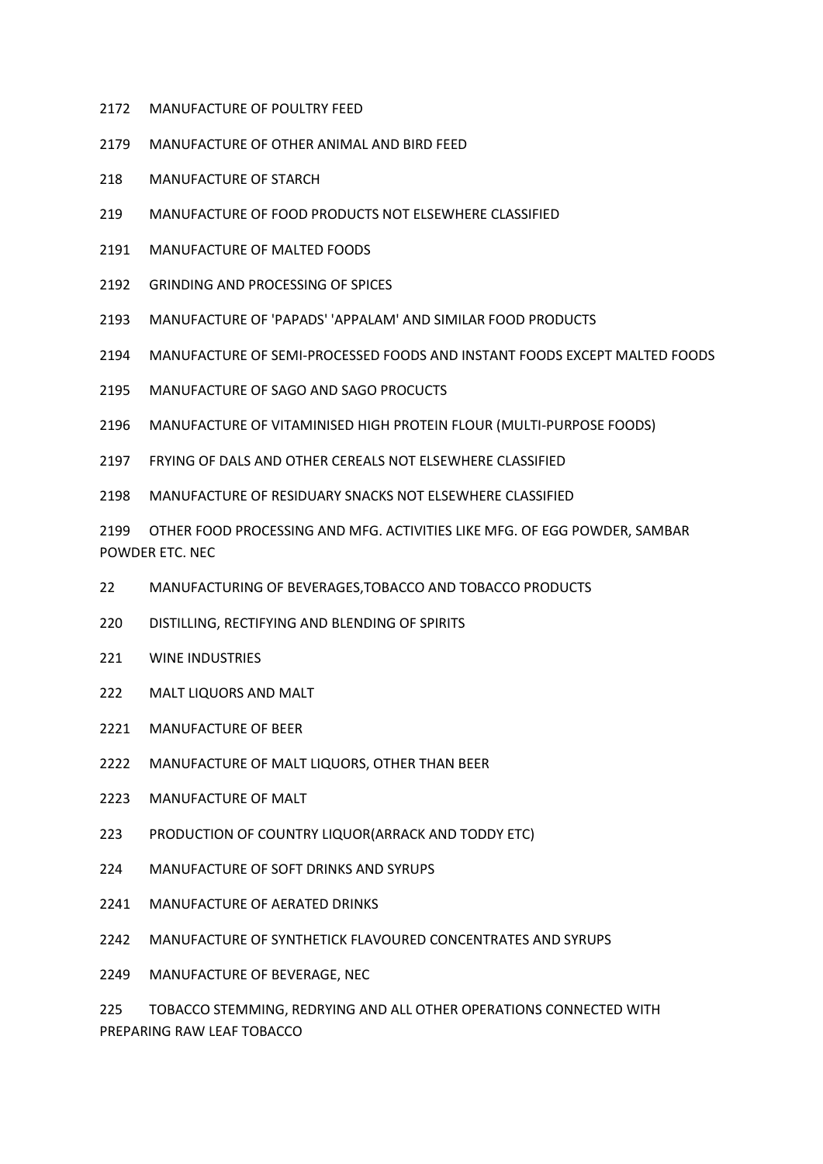- MANUFACTURE OF POULTRY FEED
- MANUFACTURE OF OTHER ANIMAL AND BIRD FEED
- 218 MANUFACTURE OF STARCH
- 219 MANUFACTURE OF FOOD PRODUCTS NOT ELSEWHERE CLASSIFIED
- MANUFACTURE OF MALTED FOODS
- GRINDING AND PROCESSING OF SPICES
- MANUFACTURE OF 'PAPADS' 'APPALAM' AND SIMILAR FOOD PRODUCTS
- MANUFACTURE OF SEMI-PROCESSED FOODS AND INSTANT FOODS EXCEPT MALTED FOODS
- MANUFACTURE OF SAGO AND SAGO PROCUCTS
- MANUFACTURE OF VITAMINISED HIGH PROTEIN FLOUR (MULTI-PURPOSE FOODS)
- FRYING OF DALS AND OTHER CEREALS NOT ELSEWHERE CLASSIFIED
- MANUFACTURE OF RESIDUARY SNACKS NOT ELSEWHERE CLASSIFIED

 OTHER FOOD PROCESSING AND MFG. ACTIVITIES LIKE MFG. OF EGG POWDER, SAMBAR POWDER ETC. NEC

- 22 MANUFACTURING OF BEVERAGES,TOBACCO AND TOBACCO PRODUCTS
- 220 DISTILLING, RECTIFYING AND BLENDING OF SPIRITS
- 221 WINE INDUSTRIES
- 222 MALT LIQUORS AND MALT
- MANUFACTURE OF BEER
- MANUFACTURE OF MALT LIQUORS, OTHER THAN BEER
- MANUFACTURE OF MALT
- 223 PRODUCTION OF COUNTRY LIQUOR(ARRACK AND TODDY ETC)
- 224 MANUFACTURE OF SOFT DRINKS AND SYRUPS
- MANUFACTURE OF AERATED DRINKS
- MANUFACTURE OF SYNTHETICK FLAVOURED CONCENTRATES AND SYRUPS
- MANUFACTURE OF BEVERAGE, NEC

225 TOBACCO STEMMING, REDRYING AND ALL OTHER OPERATIONS CONNECTED WITH PREPARING RAW LEAF TOBACCO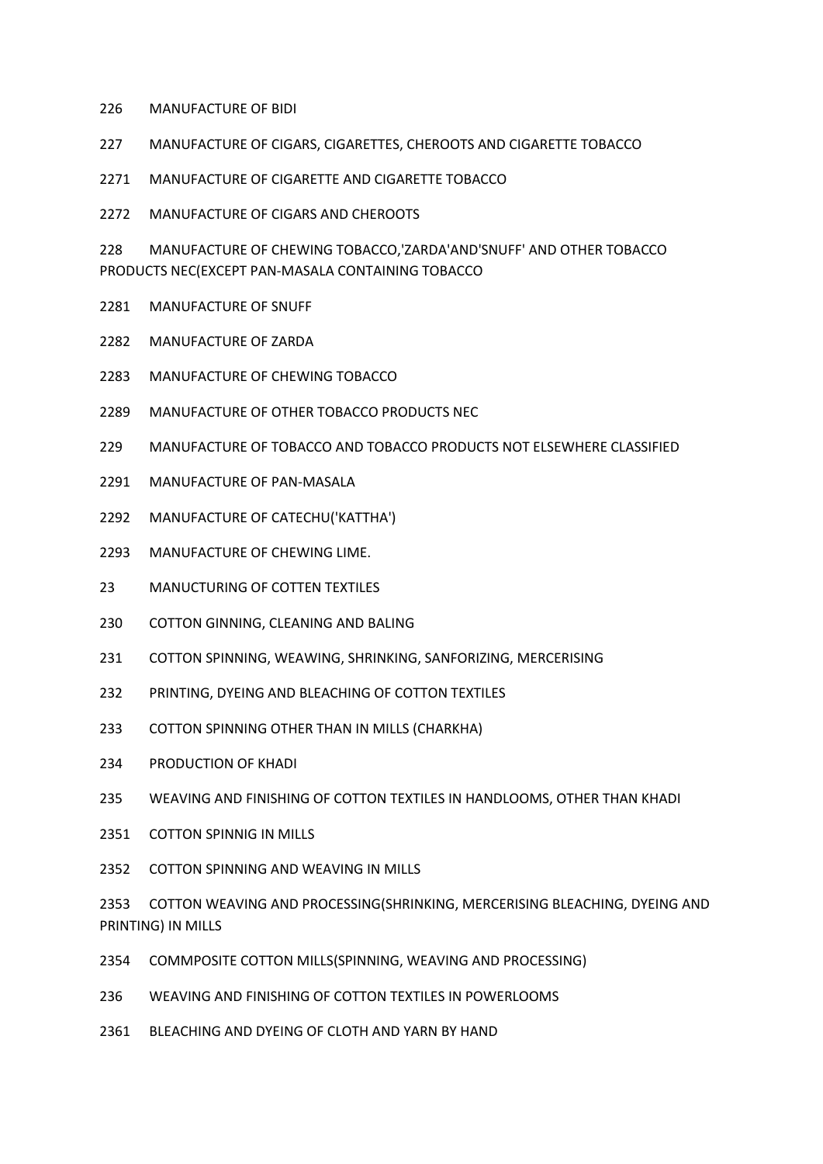## 226 MANUFACTURE OF BIDI

- 227 MANUFACTURE OF CIGARS, CIGARETTES, CHEROOTS AND CIGARETTE TOBACCO
- 2271 MANUFACTURE OF CIGARETTE AND CIGARETTE TOBACCO
- 2272 MANUFACTURE OF CIGARS AND CHEROOTS

228 MANUFACTURE OF CHEWING TOBACCO,'ZARDA'AND'SNUFF' AND OTHER TOBACCO PRODUCTS NEC(EXCEPT PAN-MASALA CONTAINING TOBACCO

- 2281 MANUFACTURE OF SNUFF
- 2282 MANUFACTURE OF ZARDA
- 2283 MANUFACTURE OF CHEWING TOBACCO
- 2289 MANUFACTURE OF OTHER TOBACCO PRODUCTS NEC
- 229 MANUFACTURE OF TOBACCO AND TOBACCO PRODUCTS NOT ELSEWHERE CLASSIFIED
- 2291 MANUFACTURE OF PAN-MASALA
- 2292 MANUFACTURE OF CATECHU('KATTHA')
- 2293 MANUFACTURE OF CHEWING LIME.
- 23 MANUCTURING OF COTTEN TEXTILES
- 230 COTTON GINNING, CLEANING AND BALING
- 231 COTTON SPINNING, WEAWING, SHRINKING, SANFORIZING, MERCERISING
- 232 PRINTING, DYEING AND BLEACHING OF COTTON TEXTILES
- 233 COTTON SPINNING OTHER THAN IN MILLS (CHARKHA)
- 234 PRODUCTION OF KHADI
- 235 WEAVING AND FINISHING OF COTTON TEXTILES IN HANDLOOMS, OTHER THAN KHADI
- 2351 COTTON SPINNIG IN MILLS
- 2352 COTTON SPINNING AND WEAVING IN MILLS
- 2353 COTTON WEAVING AND PROCESSING(SHRINKING, MERCERISING BLEACHING, DYEING AND PRINTING) IN MILLS
- 2354 COMMPOSITE COTTON MILLS(SPINNING, WEAVING AND PROCESSING)
- 236 WEAVING AND FINISHING OF COTTON TEXTILES IN POWERLOOMS
- 2361 BLEACHING AND DYEING OF CLOTH AND YARN BY HAND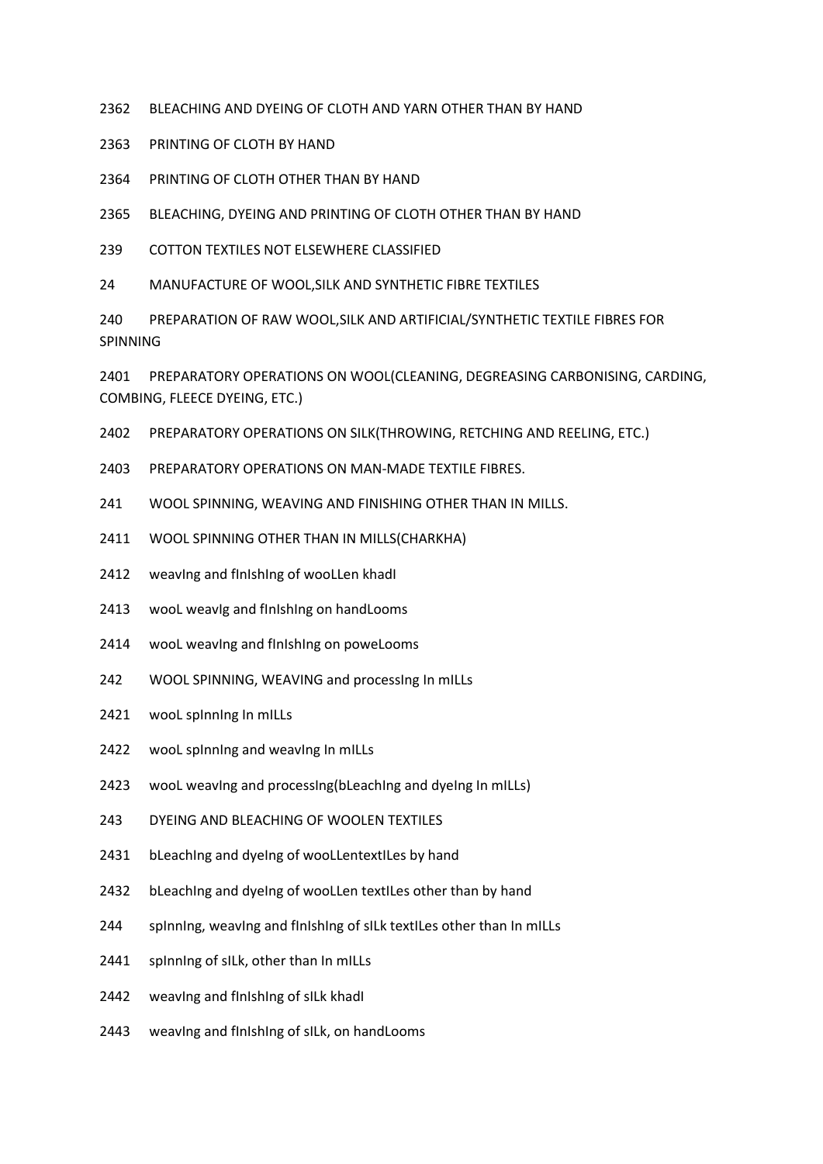2362 BLEACHING AND DYEING OF CLOTH AND YARN OTHER THAN BY HAND

2363 PRINTING OF CLOTH BY HAND

2364 PRINTING OF CLOTH OTHER THAN BY HAND

2365 BLEACHING, DYEING AND PRINTING OF CLOTH OTHER THAN BY HAND

- 239 COTTON TEXTILES NOT ELSEWHERE CLASSIFIED
- 24 MANUFACTURE OF WOOL,SILK AND SYNTHETIC FIBRE TEXTILES

240 PREPARATION OF RAW WOOL,SILK AND ARTIFICIAL/SYNTHETIC TEXTILE FIBRES FOR SPINNING

2401 PREPARATORY OPERATIONS ON WOOL(CLEANING, DEGREASING CARBONISING, CARDING, COMBING, FLEECE DYEING, ETC.)

- 2402 PREPARATORY OPERATIONS ON SILK(THROWING, RETCHING AND REELING, ETC.)
- 2403 PREPARATORY OPERATIONS ON MAN-MADE TEXTILE FIBRES.
- 241 WOOL SPINNING, WEAVING AND FINISHING OTHER THAN IN MILLS.
- 2411 WOOL SPINNING OTHER THAN IN MILLS(CHARKHA)
- 2412 weaving and finishing of wooLLen khadi
- 2413 wooL weavIg and fInIshing on handLooms
- 2414 wooL weavIng and fInIshIng on poweLooms
- 242 WOOL SPINNING, WEAVING and processing in mills
- 2421 wooL spInnIng In mILLs
- 2422 wooL spinning and weaving in mills
- 2423 wooL weaving and processing(bLeaching and dyeing in mills)
- 243 DYEING AND BLEACHING OF WOOLEN TEXTILES
- 2431 bLeachIng and dyeIng of wooLLentextILes by hand
- 2432 bLeaching and dyeing of wooLLen textiles other than by hand
- 244 spinning, weaving and finishing of silk textiles other than in mills
- 2441 spinning of silk, other than in mills
- 2442 weaving and finishing of silk khadi
- 2443 weavIng and fInIshIng of sILk, on handLooms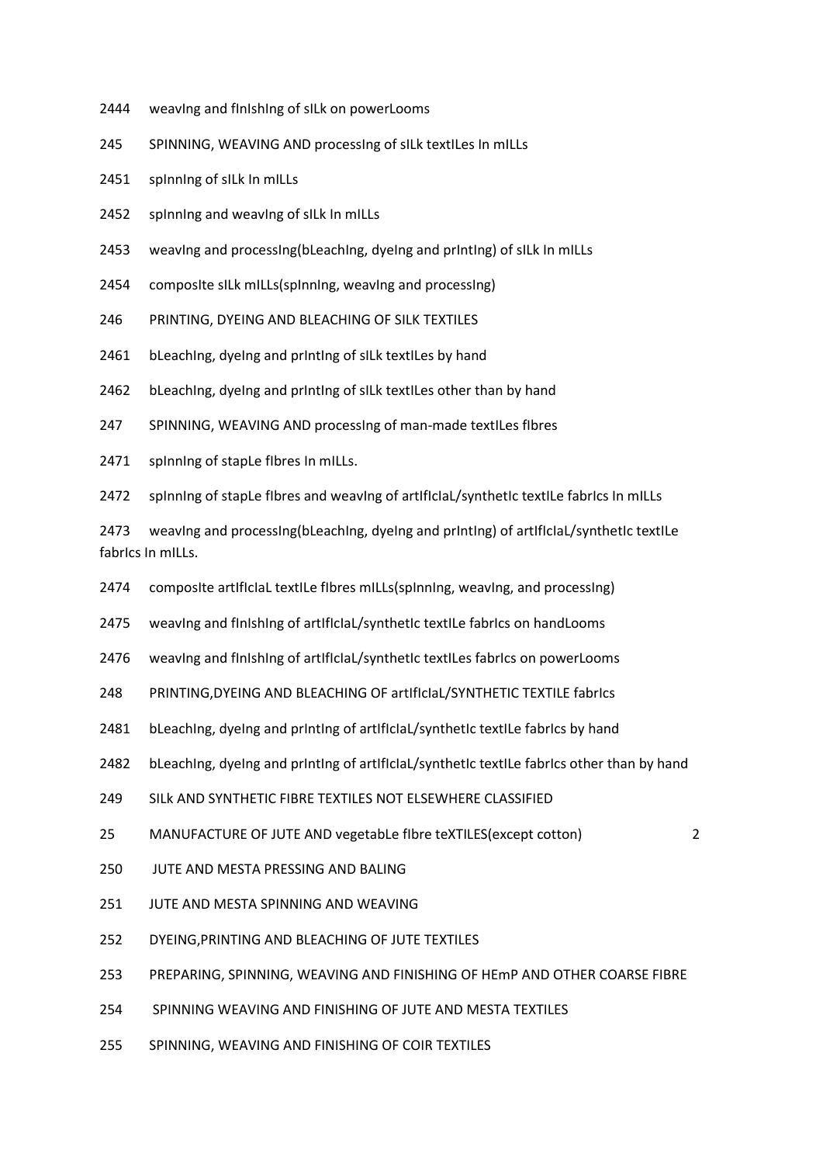- 2444 weavIng and fInIshIng of sILk on powerLooms
- 245 SPINNING, WEAVING AND processIng of sILk textILes In mILLs
- 2451 spInnIng of sILk In mILLs
- 2452 spInnIng and weavIng of sILk In mILLs
- 2453 weavIng and processIng(bLeachIng, dyeIng and prIntIng) of sILk In mILLs
- 2454 composIte sILk mILLs(spInning, weaving and processing)
- 246 PRINTING, DYEING AND BLEACHING OF SILK TEXTILES
- 2461 bLeaching, dyeing and printing of silk textiles by hand
- 2462 bLeaching, dyeing and printing of silk textilles other than by hand
- 247 SPINNING, WEAVING AND processIng of man-made textILes fIbres
- 2471 spinning of stapLe fibres in mills.
- 2472 spInning of stapLe fibres and weaving of artificial/synthetic textile fabrics in mills

2473 weavIng and processIng(bLeachIng, dyeIng and prIntIng) of artIfIcIaL/synthetIc textILe fabrics in mills.

- 2474 composIte artIfIcIaL textILe fIbres mILLs(spInnIng, weavIng, and processIng)
- 2475 weavIng and fInIshIng of artIfIcIaL/synthetIc textILe fabrIcs on handLooms
- 2476 weavIng and fInIshIng of artIfIcIaL/synthetIc textILes fabrIcs on powerLooms
- 248 PRINTING,DYEING AND BLEACHING OF artIfIcIaL/SYNTHETIC TEXTILE fabrIcs
- 2481 bLeaching, dyeing and printing of artificial/synthetic textile fabrics by hand
- 2482 bLeaching, dyeing and printing of artificial/synthetic textile fabrics other than by hand
- 249 SILk AND SYNTHETIC FIBRE TEXTILES NOT ELSEWHERE CLASSIFIED
- 25 MANUFACTURE OF JUTE AND vegetabLe fIbre teXTILES(except cotton) 2
	-

- 250 JUTE AND MESTA PRESSING AND BALING
- 251 JUTE AND MESTA SPINNING AND WEAVING
- 252 DYEING,PRINTING AND BLEACHING OF JUTE TEXTILES
- 253 PREPARING, SPINNING, WEAVING AND FINISHING OF HEmP AND OTHER COARSE FIBRE
- 254 SPINNING WEAVING AND FINISHING OF JUTE AND MESTA TEXTILES
- 255 SPINNING, WEAVING AND FINISHING OF COIR TEXTILES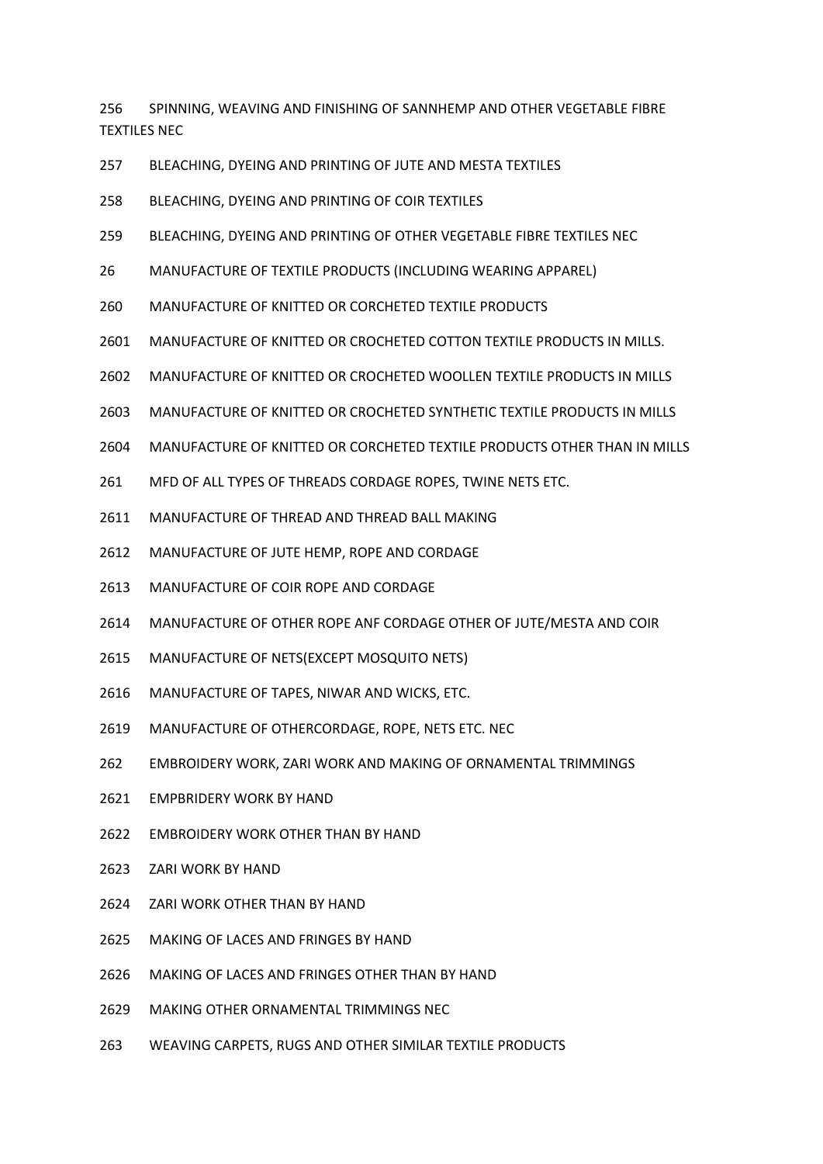256 SPINNING, WEAVING AND FINISHING OF SANNHEMP AND OTHER VEGETABLE FIBRE TEXTILES NEC

- 257 BLEACHING, DYEING AND PRINTING OF JUTE AND MESTA TEXTILES
- 258 BLEACHING, DYEING AND PRINTING OF COIR TEXTILES
- 259 BLEACHING, DYEING AND PRINTING OF OTHER VEGETABLE FIBRE TEXTILES NEC
- 26 MANUFACTURE OF TEXTILE PRODUCTS (INCLUDING WEARING APPAREL)
- 260 MANUFACTURE OF KNITTED OR CORCHETED TEXTILE PRODUCTS
- 2601 MANUFACTURE OF KNITTED OR CROCHETED COTTON TEXTILE PRODUCTS IN MILLS.
- 2602 MANUFACTURE OF KNITTED OR CROCHETED WOOLLEN TEXTILE PRODUCTS IN MILLS
- 2603 MANUFACTURE OF KNITTED OR CROCHETED SYNTHETIC TEXTILE PRODUCTS IN MILLS
- 2604 MANUFACTURE OF KNITTED OR CORCHETED TEXTILE PRODUCTS OTHER THAN IN MILLS
- 261 MFD OF ALL TYPES OF THREADS CORDAGE ROPES, TWINE NETS ETC.
- 2611 MANUFACTURE OF THREAD AND THREAD BALL MAKING
- 2612 MANUFACTURE OF JUTE HEMP, ROPE AND CORDAGE
- 2613 MANUFACTURE OF COIR ROPE AND CORDAGE
- 2614 MANUFACTURE OF OTHER ROPE ANF CORDAGE OTHER OF JUTE/MESTA AND COIR
- 2615 MANUFACTURE OF NETS(EXCEPT MOSQUITO NETS)
- 2616 MANUFACTURE OF TAPES, NIWAR AND WICKS, ETC.
- 2619 MANUFACTURE OF OTHERCORDAGE, ROPE, NETS ETC. NEC
- 262 EMBROIDERY WORK, ZARI WORK AND MAKING OF ORNAMENTAL TRIMMINGS
- 2621 EMPBRIDERY WORK BY HAND
- 2622 EMBROIDERY WORK OTHER THAN BY HAND
- 2623 ZARI WORK BY HAND
- 2624 ZARI WORK OTHER THAN BY HAND
- 2625 MAKING OF LACES AND FRINGES BY HAND
- 2626 MAKING OF LACES AND FRINGES OTHER THAN BY HAND
- 2629 MAKING OTHER ORNAMENTAL TRIMMINGS NEC
- 263 WEAVING CARPETS, RUGS AND OTHER SIMILAR TEXTILE PRODUCTS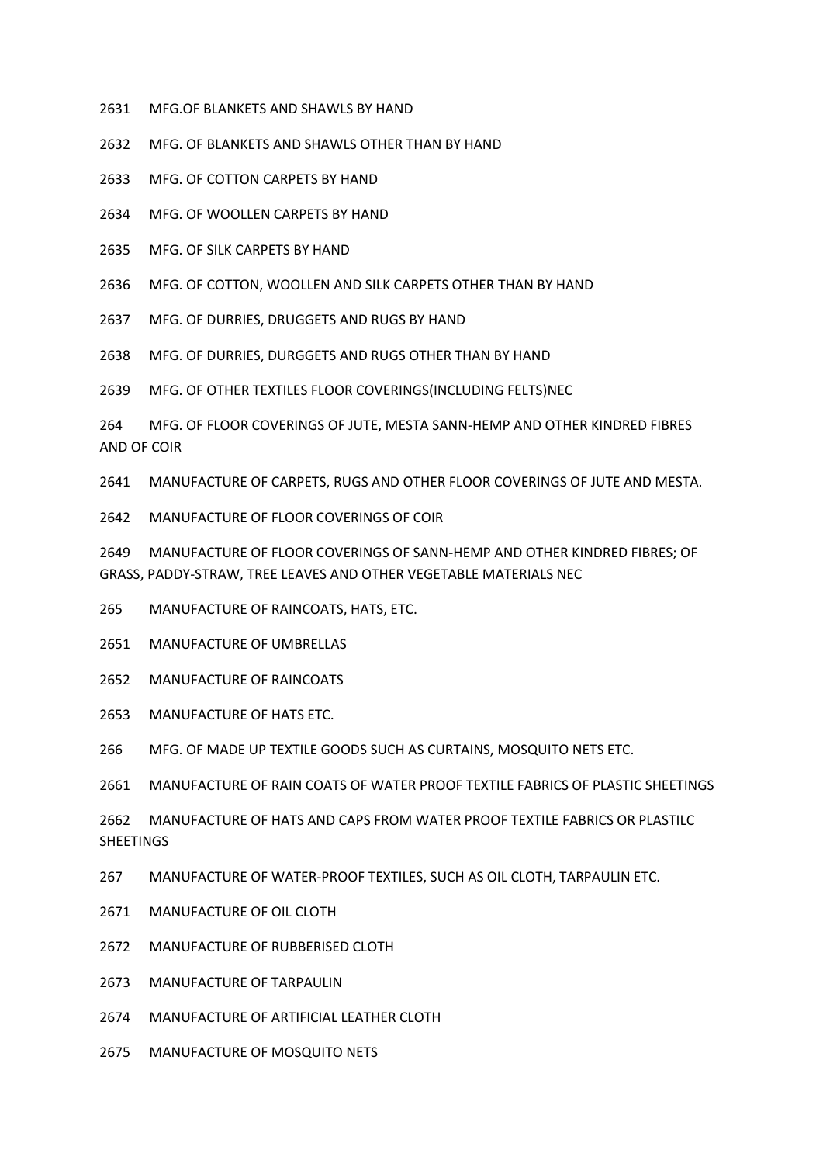- MFG.OF BLANKETS AND SHAWLS BY HAND
- MFG. OF BLANKETS AND SHAWLS OTHER THAN BY HAND
- MFG. OF COTTON CARPETS BY HAND
- MFG. OF WOOLLEN CARPETS BY HAND
- MFG. OF SILK CARPETS BY HAND
- MFG. OF COTTON, WOOLLEN AND SILK CARPETS OTHER THAN BY HAND
- MFG. OF DURRIES, DRUGGETS AND RUGS BY HAND
- MFG. OF DURRIES, DURGGETS AND RUGS OTHER THAN BY HAND

MFG. OF OTHER TEXTILES FLOOR COVERINGS(INCLUDING FELTS)NEC

264 MFG. OF FLOOR COVERINGS OF JUTE, MESTA SANN-HEMP AND OTHER KINDRED FIBRES AND OF COIR

MANUFACTURE OF CARPETS, RUGS AND OTHER FLOOR COVERINGS OF JUTE AND MESTA.

MANUFACTURE OF FLOOR COVERINGS OF COIR

 MANUFACTURE OF FLOOR COVERINGS OF SANN-HEMP AND OTHER KINDRED FIBRES; OF GRASS, PADDY-STRAW, TREE LEAVES AND OTHER VEGETABLE MATERIALS NEC

265 MANUFACTURE OF RAINCOATS, HATS, ETC.

MANUFACTURE OF UMBRELLAS

MANUFACTURE OF RAINCOATS

MANUFACTURE OF HATS ETC.

266 MFG. OF MADE UP TEXTILE GOODS SUCH AS CURTAINS, MOSQUITO NETS ETC.

MANUFACTURE OF RAIN COATS OF WATER PROOF TEXTILE FABRICS OF PLASTIC SHEETINGS

 MANUFACTURE OF HATS AND CAPS FROM WATER PROOF TEXTILE FABRICS OR PLASTILC **SHEETINGS** 

267 MANUFACTURE OF WATER-PROOF TEXTILES, SUCH AS OIL CLOTH, TARPAULIN ETC.

- MANUFACTURE OF OIL CLOTH
- MANUFACTURE OF RUBBERISED CLOTH
- MANUFACTURE OF TARPAULIN
- MANUFACTURE OF ARTIFICIAL LEATHER CLOTH
- MANUFACTURE OF MOSQUITO NETS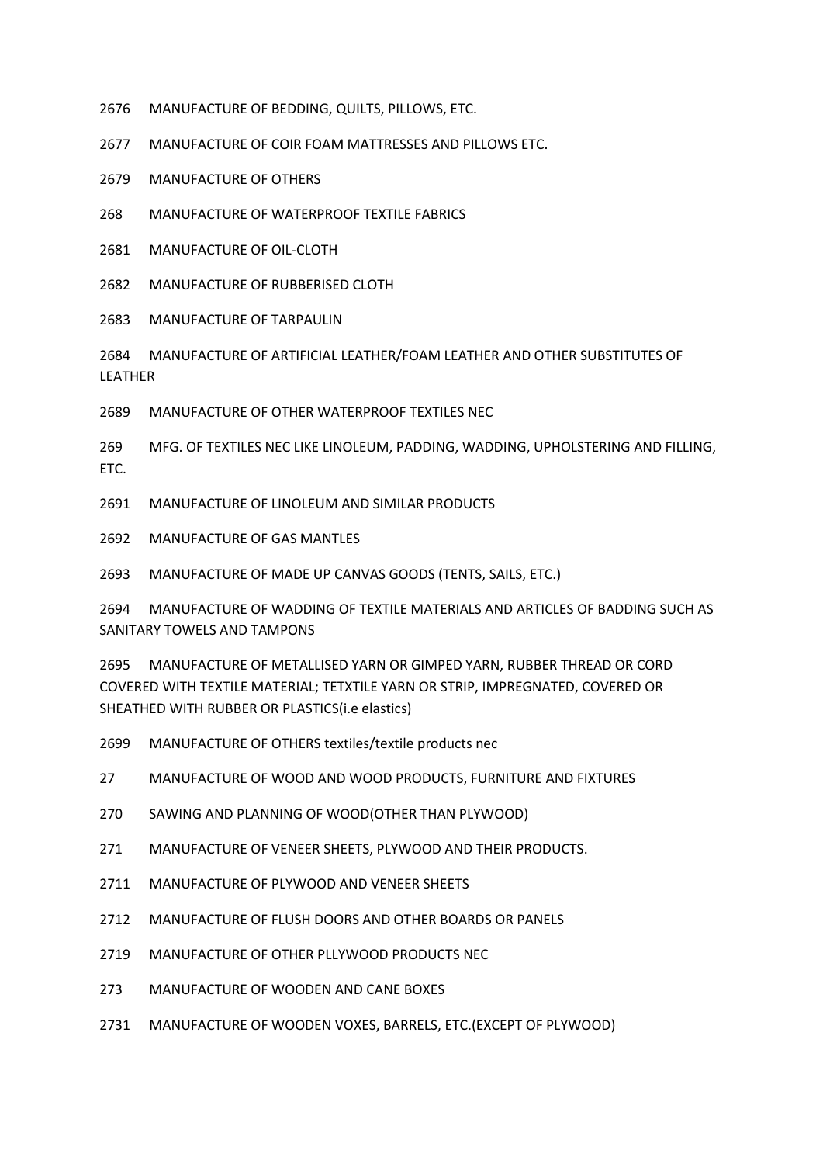MANUFACTURE OF BEDDING, QUILTS, PILLOWS, ETC.

MANUFACTURE OF COIR FOAM MATTRESSES AND PILLOWS ETC.

MANUFACTURE OF OTHERS

268 MANUFACTURE OF WATERPROOF TEXTILE FABRICS

MANUFACTURE OF OIL-CLOTH

MANUFACTURE OF RUBBERISED CLOTH

MANUFACTURE OF TARPAULIN

 MANUFACTURE OF ARTIFICIAL LEATHER/FOAM LEATHER AND OTHER SUBSTITUTES OF LEATHER

MANUFACTURE OF OTHER WATERPROOF TEXTILES NEC

 MFG. OF TEXTILES NEC LIKE LINOLEUM, PADDING, WADDING, UPHOLSTERING AND FILLING, ETC.

MANUFACTURE OF LINOLEUM AND SIMILAR PRODUCTS

MANUFACTURE OF GAS MANTLES

MANUFACTURE OF MADE UP CANVAS GOODS (TENTS, SAILS, ETC.)

 MANUFACTURE OF WADDING OF TEXTILE MATERIALS AND ARTICLES OF BADDING SUCH AS SANITARY TOWELS AND TAMPONS

 MANUFACTURE OF METALLISED YARN OR GIMPED YARN, RUBBER THREAD OR CORD COVERED WITH TEXTILE MATERIAL; TETXTILE YARN OR STRIP, IMPREGNATED, COVERED OR SHEATHED WITH RUBBER OR PLASTICS(i.e elastics)

MANUFACTURE OF OTHERS textiles/textile products nec

27 MANUFACTURE OF WOOD AND WOOD PRODUCTS, FURNITURE AND FIXTURES

- 270 SAWING AND PLANNING OF WOOD(OTHER THAN PLYWOOD)
- 271 MANUFACTURE OF VENEER SHEETS, PLYWOOD AND THEIR PRODUCTS.
- MANUFACTURE OF PLYWOOD AND VENEER SHEETS
- MANUFACTURE OF FLUSH DOORS AND OTHER BOARDS OR PANELS
- MANUFACTURE OF OTHER PLLYWOOD PRODUCTS NEC
- 273 MANUFACTURE OF WOODEN AND CANE BOXES
- MANUFACTURE OF WOODEN VOXES, BARRELS, ETC.(EXCEPT OF PLYWOOD)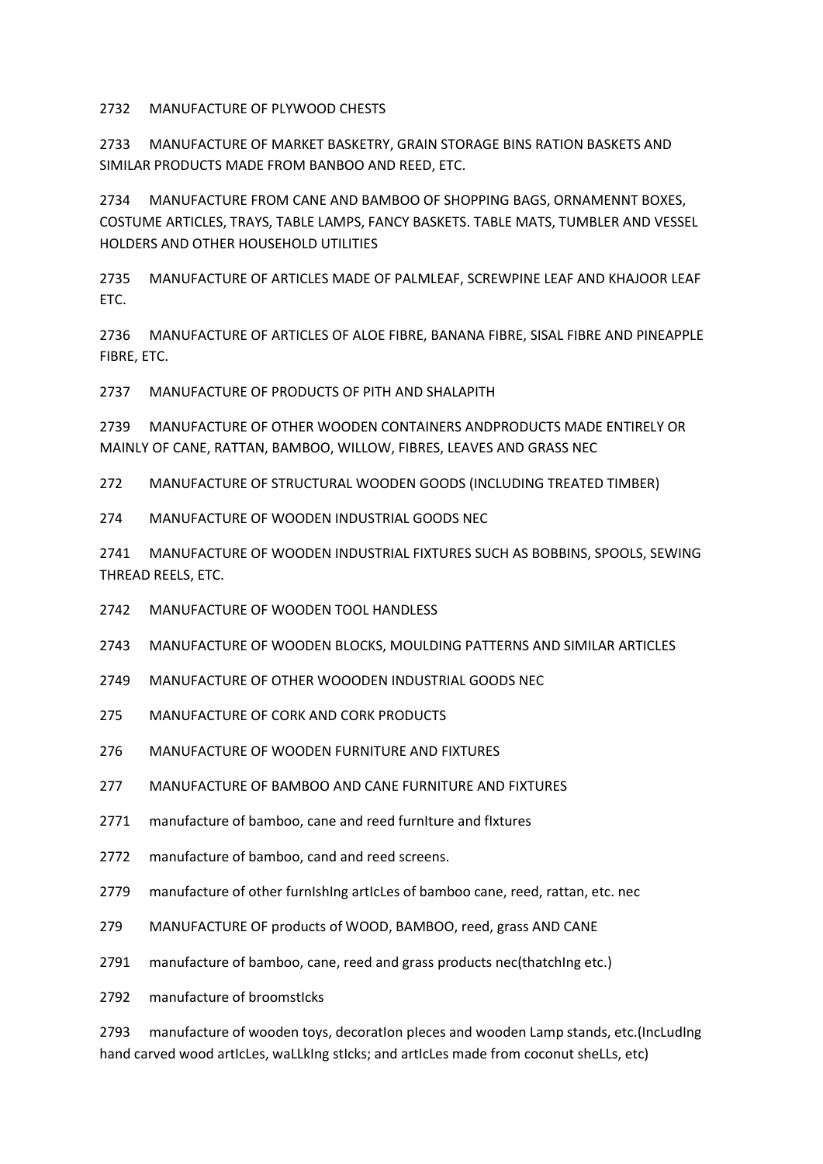2732 MANUFACTURE OF PLYWOOD CHESTS

2733 MANUFACTURE OF MARKET BASKETRY, GRAIN STORAGE BINS RATION BASKETS AND SIMILAR PRODUCTS MADE FROM BANBOO AND REED, ETC.

2734 MANUFACTURE FROM CANE AND BAMBOO OF SHOPPING BAGS, ORNAMENNT BOXES, COSTUME ARTICLES, TRAYS, TABLE LAMPS, FANCY BASKETS. TABLE MATS, TUMBLER AND VESSEL HOLDERS AND OTHER HOUSEHOLD UTILITIES

2735 MANUFACTURE OF ARTICLES MADE OF PALMLEAF, SCREWPINE LEAF AND KHAJOOR LEAF ETC.

2736 MANUFACTURE OF ARTICLES OF ALOE FIBRE, BANANA FIBRE, SISAL FIBRE AND PINEAPPLE FIBRE, ETC.

2737 MANUFACTURE OF PRODUCTS OF PITH AND SHALAPITH

2739 MANUFACTURE OF OTHER WOODEN CONTAINERS ANDPRODUCTS MADE ENTIRELY OR MAINLY OF CANE, RATTAN, BAMBOO, WILLOW, FIBRES, LEAVES AND GRASS NEC

272 MANUFACTURE OF STRUCTURAL WOODEN GOODS (INCLUDING TREATED TIMBER)

274 MANUFACTURE OF WOODEN INDUSTRIAL GOODS NEC

2741 MANUFACTURE OF WOODEN INDUSTRIAL FIXTURES SUCH AS BOBBINS, SPOOLS, SEWING THREAD REELS, ETC.

2742 MANUFACTURE OF WOODEN TOOL HANDLESS

2743 MANUFACTURE OF WOODEN BLOCKS, MOULDING PATTERNS AND SIMILAR ARTICLES

2749 MANUFACTURE OF OTHER WOOODEN INDUSTRIAL GOODS NEC

275 MANUFACTURE OF CORK AND CORK PRODUCTS

276 MANUFACTURE OF WOODEN FURNITURE AND FIXTURES

277 MANUFACTURE OF BAMBOO AND CANE FURNITURE AND FIXTURES

2771 manufacture of bamboo, cane and reed furnIture and fIxtures

2772 manufacture of bamboo, cand and reed screens.

2779 manufacture of other furnIshIng artIcLes of bamboo cane, reed, rattan, etc. nec

279 MANUFACTURE OF products of WOOD, BAMBOO, reed, grass AND CANE

2791 manufacture of bamboo, cane, reed and grass products nec(thatchIng etc.)

2792 manufacture of broomstIcks

2793 manufacture of wooden toys, decoration pieces and wooden Lamp stands, etc.(IncLudIng hand carved wood articLes, waLLking sticks; and articLes made from coconut sheLLs, etc)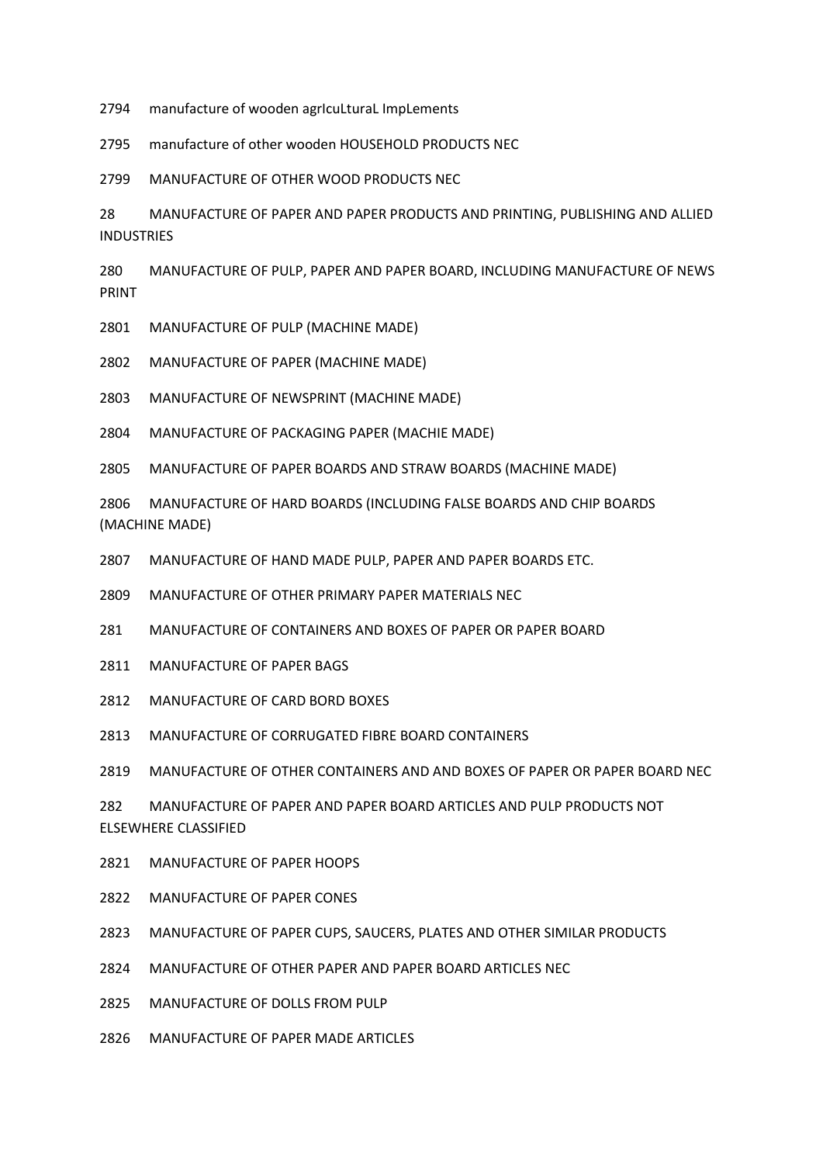2794 manufacture of wooden agricuLturaL ImpLements

manufacture of other wooden HOUSEHOLD PRODUCTS NEC

MANUFACTURE OF OTHER WOOD PRODUCTS NEC

28 MANUFACTURE OF PAPER AND PAPER PRODUCTS AND PRINTING, PUBLISHING AND ALLIED INDUSTRIES

280 MANUFACTURE OF PULP, PAPER AND PAPER BOARD, INCLUDING MANUFACTURE OF NEWS PRINT

MANUFACTURE OF PULP (MACHINE MADE)

MANUFACTURE OF PAPER (MACHINE MADE)

MANUFACTURE OF NEWSPRINT (MACHINE MADE)

MANUFACTURE OF PACKAGING PAPER (MACHIE MADE)

MANUFACTURE OF PAPER BOARDS AND STRAW BOARDS (MACHINE MADE)

 MANUFACTURE OF HARD BOARDS (INCLUDING FALSE BOARDS AND CHIP BOARDS (MACHINE MADE)

2807 MANUFACTURE OF HAND MADE PULP, PAPER AND PAPER BOARDS ETC.

MANUFACTURE OF OTHER PRIMARY PAPER MATERIALS NEC

281 MANUFACTURE OF CONTAINERS AND BOXES OF PAPER OR PAPER BOARD

MANUFACTURE OF PAPER BAGS

MANUFACTURE OF CARD BORD BOXES

MANUFACTURE OF CORRUGATED FIBRE BOARD CONTAINERS

MANUFACTURE OF OTHER CONTAINERS AND AND BOXES OF PAPER OR PAPER BOARD NEC

282 MANUFACTURE OF PAPER AND PAPER BOARD ARTICLES AND PULP PRODUCTS NOT ELSEWHERE CLASSIFIED

MANUFACTURE OF PAPER HOOPS

MANUFACTURE OF PAPER CONES

MANUFACTURE OF PAPER CUPS, SAUCERS, PLATES AND OTHER SIMILAR PRODUCTS

MANUFACTURE OF OTHER PAPER AND PAPER BOARD ARTICLES NEC

MANUFACTURE OF DOLLS FROM PULP

MANUFACTURE OF PAPER MADE ARTICLES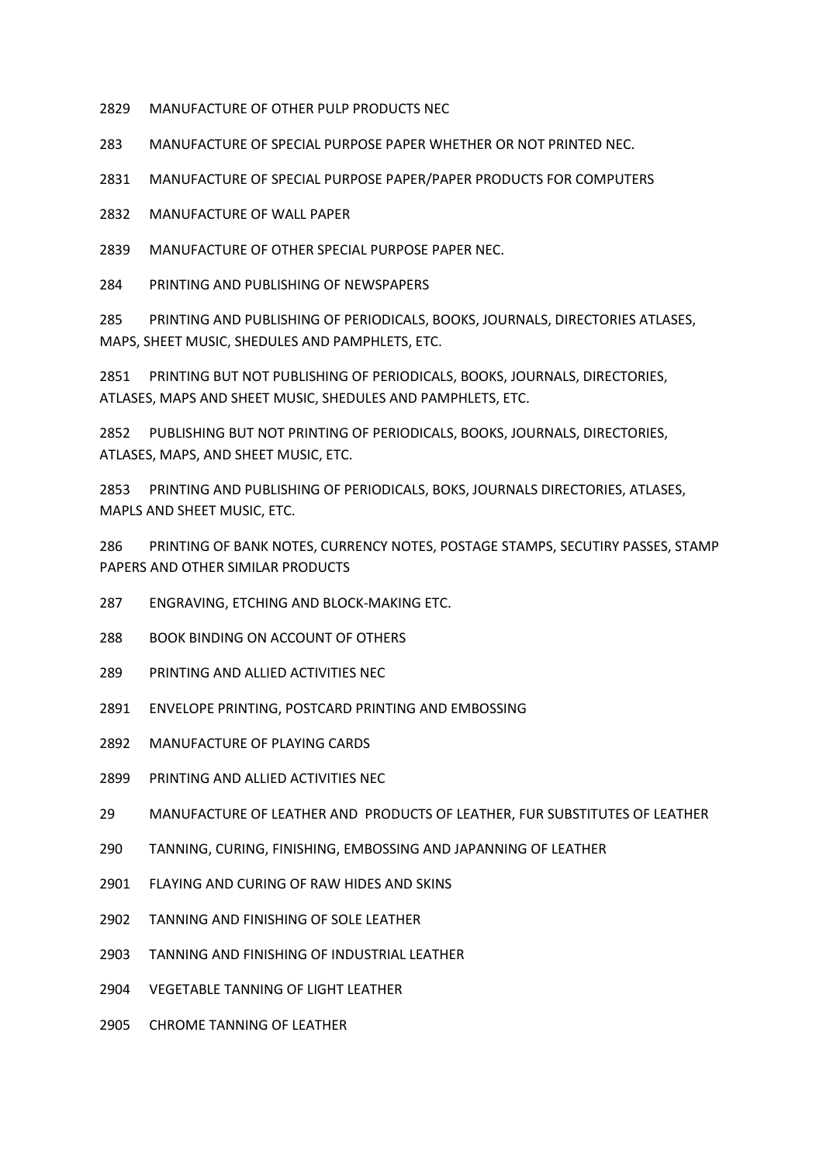2829 MANUFACTURE OF OTHER PULP PRODUCTS NEC

283 MANUFACTURE OF SPECIAL PURPOSE PAPER WHETHER OR NOT PRINTED NEC.

2831 MANUFACTURE OF SPECIAL PURPOSE PAPER/PAPER PRODUCTS FOR COMPUTERS

2832 MANUFACTURE OF WALL PAPER

2839 MANUFACTURE OF OTHER SPECIAL PURPOSE PAPER NEC.

284 PRINTING AND PUBLISHING OF NEWSPAPERS

285 PRINTING AND PUBLISHING OF PERIODICALS, BOOKS, JOURNALS, DIRECTORIES ATLASES, MAPS, SHEET MUSIC, SHEDULES AND PAMPHLETS, ETC.

2851 PRINTING BUT NOT PUBLISHING OF PERIODICALS, BOOKS, JOURNALS, DIRECTORIES, ATLASES, MAPS AND SHEET MUSIC, SHEDULES AND PAMPHLETS, ETC.

2852 PUBLISHING BUT NOT PRINTING OF PERIODICALS, BOOKS, JOURNALS, DIRECTORIES, ATLASES, MAPS, AND SHEET MUSIC, ETC.

2853 PRINTING AND PUBLISHING OF PERIODICALS, BOKS, JOURNALS DIRECTORIES, ATLASES, MAPLS AND SHEET MUSIC, ETC.

286 PRINTING OF BANK NOTES, CURRENCY NOTES, POSTAGE STAMPS, SECUTIRY PASSES, STAMP PAPERS AND OTHER SIMILAR PRODUCTS

287 ENGRAVING, ETCHING AND BLOCK-MAKING ETC.

- 288 BOOK BINDING ON ACCOUNT OF OTHERS
- 289 PRINTING AND ALLIED ACTIVITIES NEC
- 2891 ENVELOPE PRINTING, POSTCARD PRINTING AND EMBOSSING
- 2892 MANUFACTURE OF PLAYING CARDS
- 2899 PRINTING AND ALLIED ACTIVITIES NEC
- 29 MANUFACTURE OF LEATHER AND PRODUCTS OF LEATHER, FUR SUBSTITUTES OF LEATHER
- 290 TANNING, CURING, FINISHING, EMBOSSING AND JAPANNING OF LEATHER
- 2901 FLAYING AND CURING OF RAW HIDES AND SKINS
- 2902 TANNING AND FINISHING OF SOLE LEATHER
- 2903 TANNING AND FINISHING OF INDUSTRIAL LEATHER
- 2904 VEGETABLE TANNING OF LIGHT LEATHER
- 2905 CHROME TANNING OF LEATHER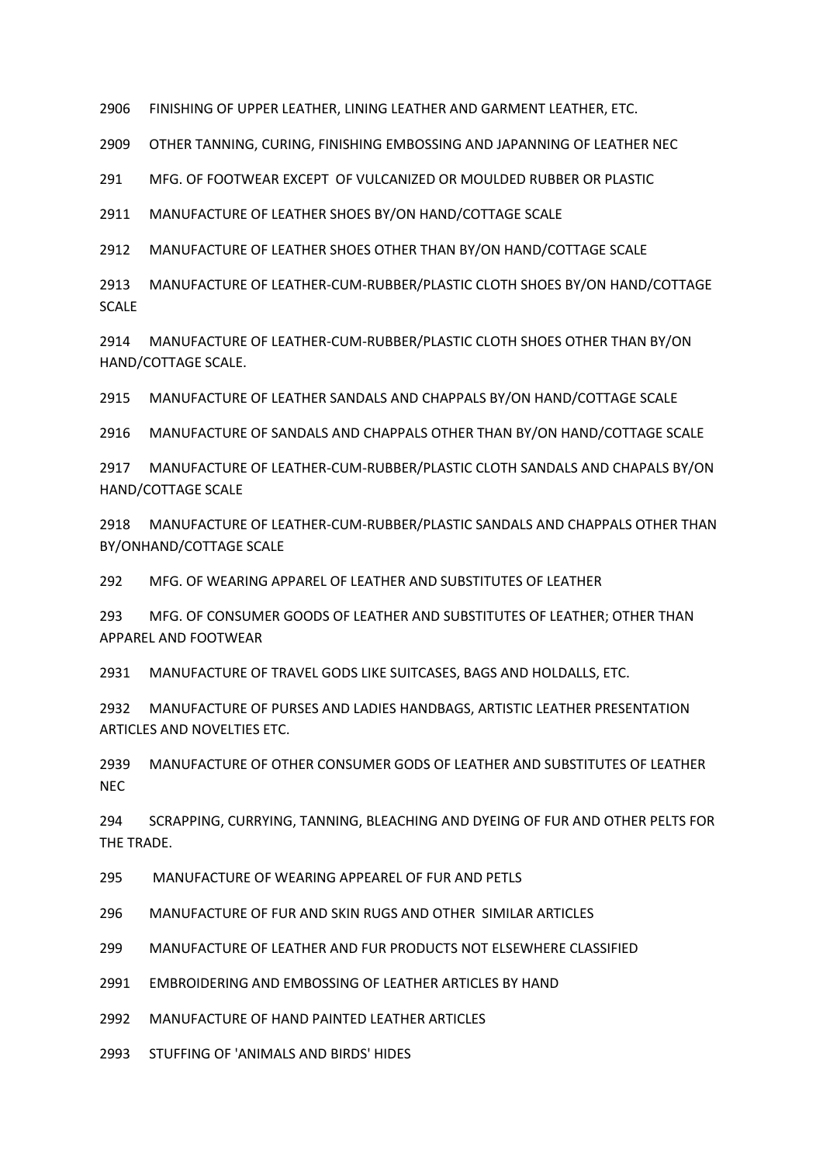2906 FINISHING OF UPPER LEATHER, LINING LEATHER AND GARMENT LEATHER, ETC.

2909 OTHER TANNING, CURING, FINISHING EMBOSSING AND JAPANNING OF LEATHER NEC

291 MFG. OF FOOTWEAR EXCEPT OF VULCANIZED OR MOULDED RUBBER OR PLASTIC

2911 MANUFACTURE OF LEATHER SHOES BY/ON HAND/COTTAGE SCALE

2912 MANUFACTURE OF LEATHER SHOES OTHER THAN BY/ON HAND/COTTAGE SCALE

2913 MANUFACTURE OF LEATHER-CUM-RUBBER/PLASTIC CLOTH SHOES BY/ON HAND/COTTAGE SCALE

2914 MANUFACTURE OF LEATHER-CUM-RUBBER/PLASTIC CLOTH SHOES OTHER THAN BY/ON HAND/COTTAGE SCALE.

2915 MANUFACTURE OF LEATHER SANDALS AND CHAPPALS BY/ON HAND/COTTAGE SCALE

2916 MANUFACTURE OF SANDALS AND CHAPPALS OTHER THAN BY/ON HAND/COTTAGE SCALE

2917 MANUFACTURE OF LEATHER-CUM-RUBBER/PLASTIC CLOTH SANDALS AND CHAPALS BY/ON HAND/COTTAGE SCALE

2918 MANUFACTURE OF LEATHER-CUM-RUBBER/PLASTIC SANDALS AND CHAPPALS OTHER THAN BY/ONHAND/COTTAGE SCALE

292 MFG. OF WEARING APPAREL OF LEATHER AND SUBSTITUTES OF LEATHER

293 MFG. OF CONSUMER GOODS OF LEATHER AND SUBSTITUTES OF LEATHER; OTHER THAN APPAREL AND FOOTWEAR

2931 MANUFACTURE OF TRAVEL GODS LIKE SUITCASES, BAGS AND HOLDALLS, ETC.

2932 MANUFACTURE OF PURSES AND LADIES HANDBAGS, ARTISTIC LEATHER PRESENTATION ARTICLES AND NOVELTIES ETC.

2939 MANUFACTURE OF OTHER CONSUMER GODS OF LEATHER AND SUBSTITUTES OF LEATHER NEC

294 SCRAPPING, CURRYING, TANNING, BLEACHING AND DYEING OF FUR AND OTHER PELTS FOR THE TRADE.

295 MANUFACTURE OF WEARING APPEAREL OF FUR AND PETLS

296 MANUFACTURE OF FUR AND SKIN RUGS AND OTHER SIMILAR ARTICLES

299 MANUFACTURE OF LEATHER AND FUR PRODUCTS NOT ELSEWHERE CLASSIFIED

2991 EMBROIDERING AND EMBOSSING OF LEATHER ARTICLES BY HAND

2992 MANUFACTURE OF HAND PAINTED LEATHER ARTICLES

2993 STUFFING OF 'ANIMALS AND BIRDS' HIDES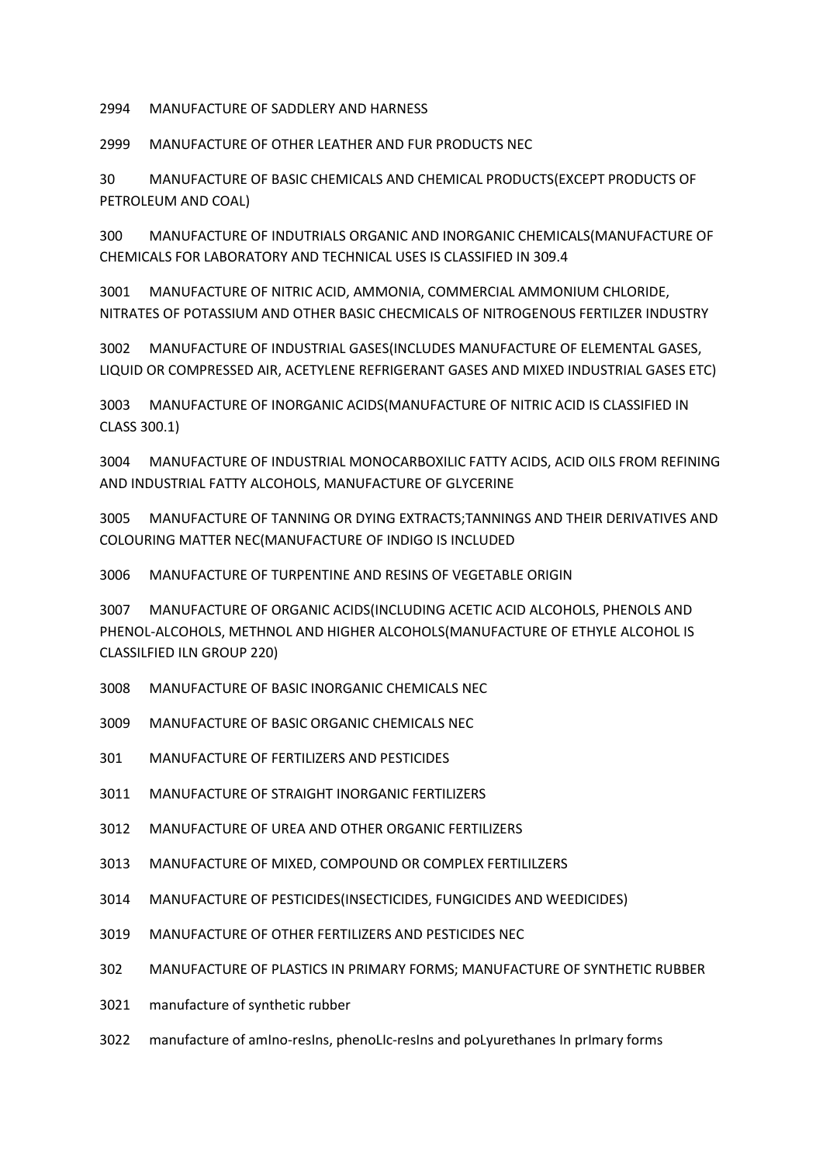2994 MANUFACTURE OF SADDLERY AND HARNESS

2999 MANUFACTURE OF OTHER LEATHER AND FUR PRODUCTS NEC

30 MANUFACTURE OF BASIC CHEMICALS AND CHEMICAL PRODUCTS(EXCEPT PRODUCTS OF PETROLEUM AND COAL)

300 MANUFACTURE OF INDUTRIALS ORGANIC AND INORGANIC CHEMICALS(MANUFACTURE OF CHEMICALS FOR LABORATORY AND TECHNICAL USES IS CLASSIFIED IN 309.4

3001 MANUFACTURE OF NITRIC ACID, AMMONIA, COMMERCIAL AMMONIUM CHLORIDE, NITRATES OF POTASSIUM AND OTHER BASIC CHECMICALS OF NITROGENOUS FERTILZER INDUSTRY

3002 MANUFACTURE OF INDUSTRIAL GASES(INCLUDES MANUFACTURE OF ELEMENTAL GASES, LIQUID OR COMPRESSED AIR, ACETYLENE REFRIGERANT GASES AND MIXED INDUSTRIAL GASES ETC)

3003 MANUFACTURE OF INORGANIC ACIDS(MANUFACTURE OF NITRIC ACID IS CLASSIFIED IN CLASS 300.1)

3004 MANUFACTURE OF INDUSTRIAL MONOCARBOXILIC FATTY ACIDS, ACID OILS FROM REFINING AND INDUSTRIAL FATTY ALCOHOLS, MANUFACTURE OF GLYCERINE

3005 MANUFACTURE OF TANNING OR DYING EXTRACTS;TANNINGS AND THEIR DERIVATIVES AND COLOURING MATTER NEC(MANUFACTURE OF INDIGO IS INCLUDED

3006 MANUFACTURE OF TURPENTINE AND RESINS OF VEGETABLE ORIGIN

3007 MANUFACTURE OF ORGANIC ACIDS(INCLUDING ACETIC ACID ALCOHOLS, PHENOLS AND PHENOL-ALCOHOLS, METHNOL AND HIGHER ALCOHOLS(MANUFACTURE OF ETHYLE ALCOHOL IS CLASSILFIED ILN GROUP 220)

- 3008 MANUFACTURE OF BASIC INORGANIC CHEMICALS NEC
- 3009 MANUFACTURE OF BASIC ORGANIC CHEMICALS NEC
- 301 MANUFACTURE OF FERTILIZERS AND PESTICIDES
- 3011 MANUFACTURE OF STRAIGHT INORGANIC FERTILIZERS
- 3012 MANUFACTURE OF UREA AND OTHER ORGANIC FERTILIZERS
- 3013 MANUFACTURE OF MIXED, COMPOUND OR COMPLEX FERTILILZERS
- 3014 MANUFACTURE OF PESTICIDES(INSECTICIDES, FUNGICIDES AND WEEDICIDES)
- 3019 MANUFACTURE OF OTHER FERTILIZERS AND PESTICIDES NEC
- 302 MANUFACTURE OF PLASTICS IN PRIMARY FORMS; MANUFACTURE OF SYNTHETIC RUBBER
- 3021 manufacture of synthetic rubber
- 3022 manufacture of amIno-resIns, phenoLIc-resIns and poLyurethanes In prImary forms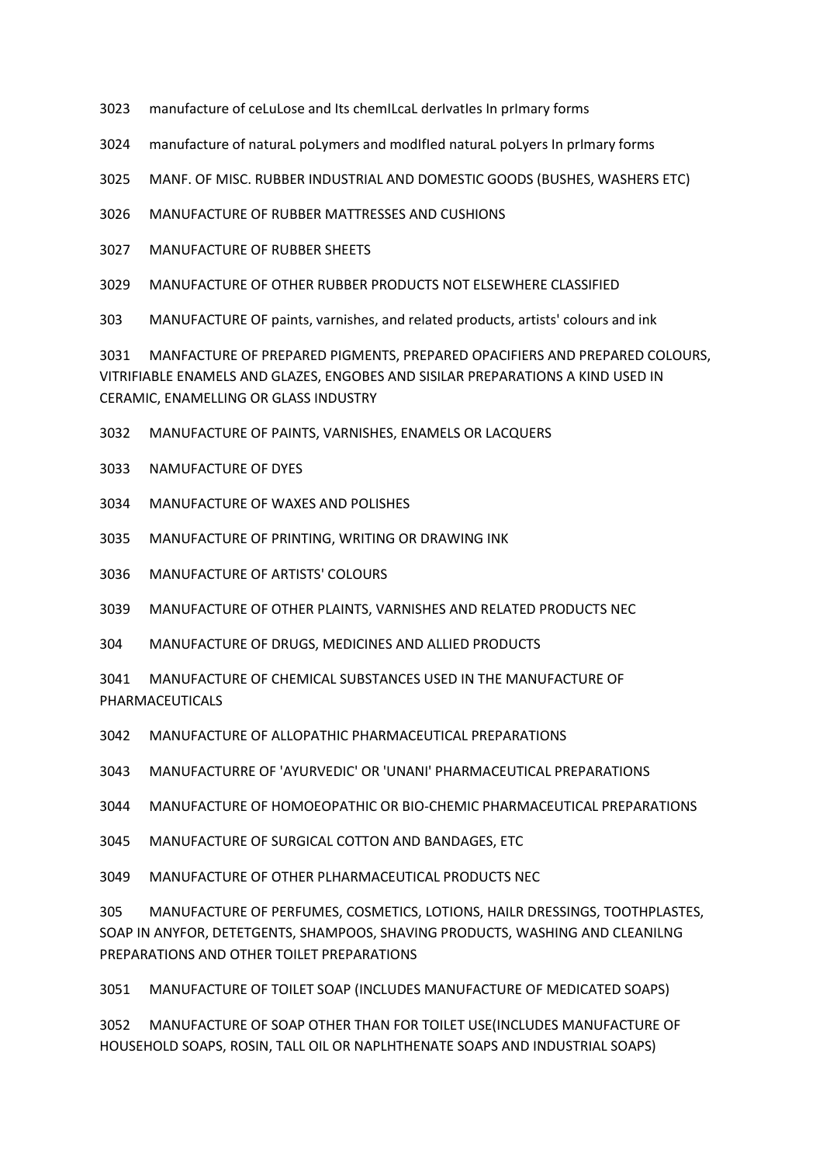3023 manufacture of ceLuLose and Its chemILcaL derIvatIes In prImary forms

manufacture of naturaL poLymers and modIfIed naturaL poLyers In prImary forms

MANF. OF MISC. RUBBER INDUSTRIAL AND DOMESTIC GOODS (BUSHES, WASHERS ETC)

MANUFACTURE OF RUBBER MATTRESSES AND CUSHIONS

MANUFACTURE OF RUBBER SHEETS

MANUFACTURE OF OTHER RUBBER PRODUCTS NOT ELSEWHERE CLASSIFIED

303 MANUFACTURE OF paints, varnishes, and related products, artists' colours and ink

 MANFACTURE OF PREPARED PIGMENTS, PREPARED OPACIFIERS AND PREPARED COLOURS, VITRIFIABLE ENAMELS AND GLAZES, ENGOBES AND SISILAR PREPARATIONS A KIND USED IN CERAMIC, ENAMELLING OR GLASS INDUSTRY

MANUFACTURE OF PAINTS, VARNISHES, ENAMELS OR LACQUERS

NAMUFACTURE OF DYES

MANUFACTURE OF WAXES AND POLISHES

MANUFACTURE OF PRINTING, WRITING OR DRAWING INK

MANUFACTURE OF ARTISTS' COLOURS

MANUFACTURE OF OTHER PLAINTS, VARNISHES AND RELATED PRODUCTS NEC

304 MANUFACTURE OF DRUGS, MEDICINES AND ALLIED PRODUCTS

3041 MANUFACTURE OF CHEMICAL SUBSTANCES USED IN THE MANUFACTURE OF PHARMACEUTICALS

MANUFACTURE OF ALLOPATHIC PHARMACEUTICAL PREPARATIONS

MANUFACTURRE OF 'AYURVEDIC' OR 'UNANI' PHARMACEUTICAL PREPARATIONS

MANUFACTURE OF HOMOEOPATHIC OR BIO-CHEMIC PHARMACEUTICAL PREPARATIONS

MANUFACTURE OF SURGICAL COTTON AND BANDAGES, ETC

MANUFACTURE OF OTHER PLHARMACEUTICAL PRODUCTS NEC

305 MANUFACTURE OF PERFUMES, COSMETICS, LOTIONS, HAILR DRESSINGS, TOOTHPLASTES, SOAP IN ANYFOR, DETETGENTS, SHAMPOOS, SHAVING PRODUCTS, WASHING AND CLEANILNG PREPARATIONS AND OTHER TOILET PREPARATIONS

MANUFACTURE OF TOILET SOAP (INCLUDES MANUFACTURE OF MEDICATED SOAPS)

 MANUFACTURE OF SOAP OTHER THAN FOR TOILET USE(INCLUDES MANUFACTURE OF HOUSEHOLD SOAPS, ROSIN, TALL OIL OR NAPLHTHENATE SOAPS AND INDUSTRIAL SOAPS)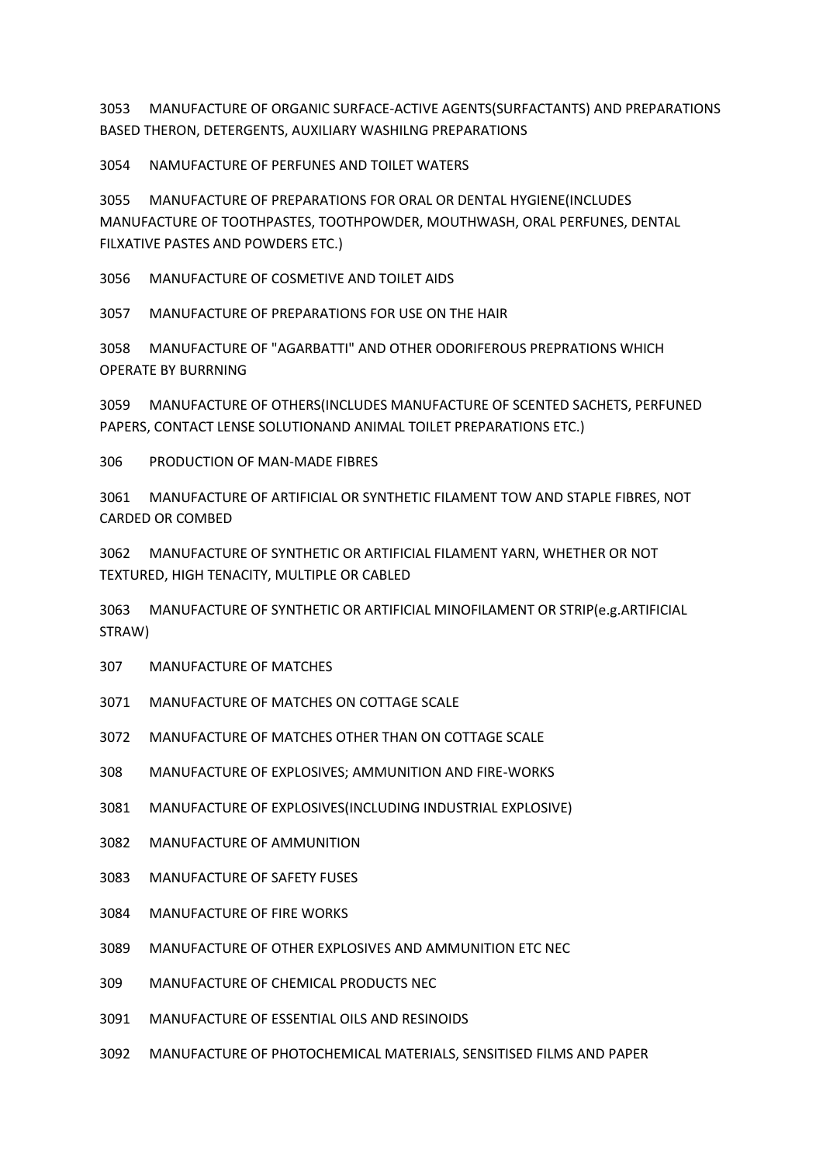MANUFACTURE OF ORGANIC SURFACE-ACTIVE AGENTS(SURFACTANTS) AND PREPARATIONS BASED THERON, DETERGENTS, AUXILIARY WASHILNG PREPARATIONS

NAMUFACTURE OF PERFUNES AND TOILET WATERS

 MANUFACTURE OF PREPARATIONS FOR ORAL OR DENTAL HYGIENE(INCLUDES MANUFACTURE OF TOOTHPASTES, TOOTHPOWDER, MOUTHWASH, ORAL PERFUNES, DENTAL FILXATIVE PASTES AND POWDERS ETC.)

MANUFACTURE OF COSMETIVE AND TOILET AIDS

MANUFACTURE OF PREPARATIONS FOR USE ON THE HAIR

 MANUFACTURE OF "AGARBATTI" AND OTHER ODORIFEROUS PREPRATIONS WHICH OPERATE BY BURRNING

 MANUFACTURE OF OTHERS(INCLUDES MANUFACTURE OF SCENTED SACHETS, PERFUNED PAPERS, CONTACT LENSE SOLUTIONAND ANIMAL TOILET PREPARATIONS ETC.)

306 PRODUCTION OF MAN-MADE FIBRES

 MANUFACTURE OF ARTIFICIAL OR SYNTHETIC FILAMENT TOW AND STAPLE FIBRES, NOT CARDED OR COMBED

 MANUFACTURE OF SYNTHETIC OR ARTIFICIAL FILAMENT YARN, WHETHER OR NOT TEXTURED, HIGH TENACITY, MULTIPLE OR CABLED

 MANUFACTURE OF SYNTHETIC OR ARTIFICIAL MINOFILAMENT OR STRIP(e.g.ARTIFICIAL STRAW)

307 MANUFACTURE OF MATCHES

- MANUFACTURE OF MATCHES ON COTTAGE SCALE
- MANUFACTURE OF MATCHES OTHER THAN ON COTTAGE SCALE
- 308 MANUFACTURE OF EXPLOSIVES; AMMUNITION AND FIRE-WORKS
- MANUFACTURE OF EXPLOSIVES(INCLUDING INDUSTRIAL EXPLOSIVE)
- MANUFACTURE OF AMMUNITION
- MANUFACTURE OF SAFETY FUSES
- MANUFACTURE OF FIRE WORKS
- MANUFACTURE OF OTHER EXPLOSIVES AND AMMUNITION ETC NEC
- 309 MANUFACTURE OF CHEMICAL PRODUCTS NEC
- MANUFACTURE OF ESSENTIAL OILS AND RESINOIDS
- MANUFACTURE OF PHOTOCHEMICAL MATERIALS, SENSITISED FILMS AND PAPER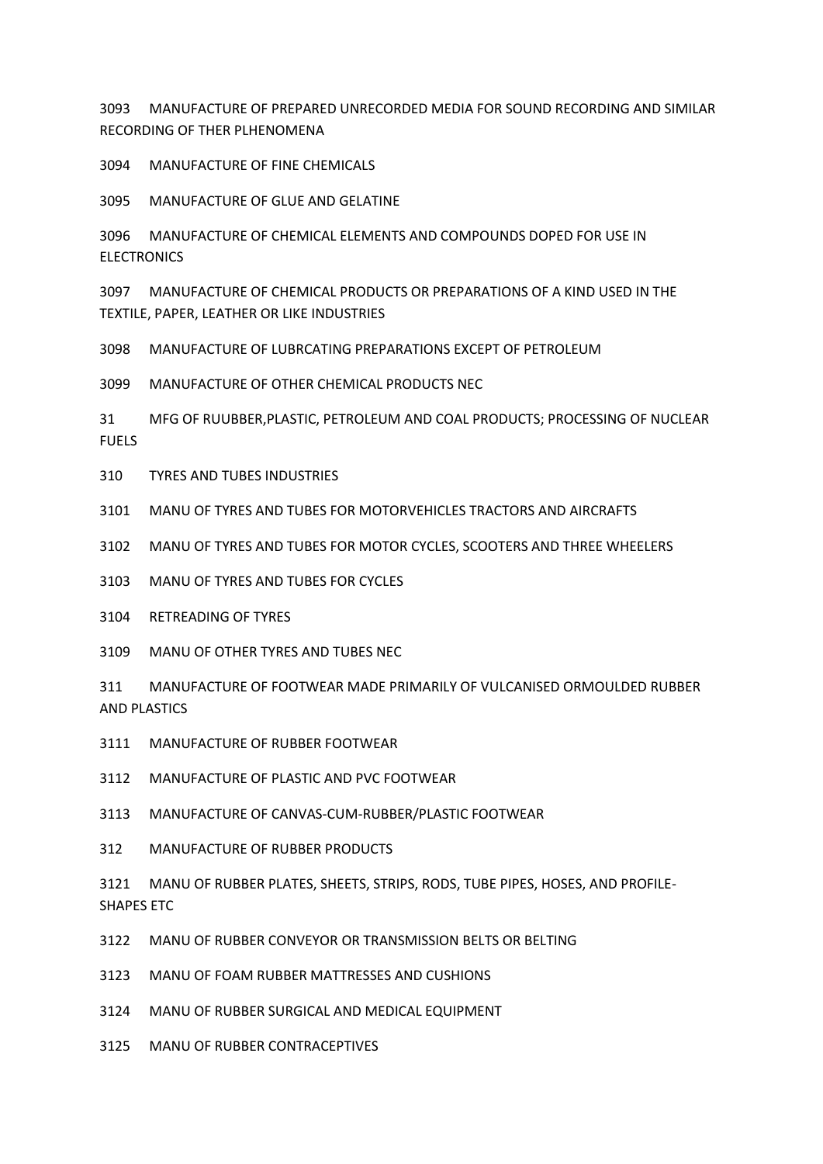MANUFACTURE OF PREPARED UNRECORDED MEDIA FOR SOUND RECORDING AND SIMILAR RECORDING OF THER PLHENOMENA

MANUFACTURE OF FINE CHEMICALS

MANUFACTURE OF GLUE AND GELATINE

 MANUFACTURE OF CHEMICAL ELEMENTS AND COMPOUNDS DOPED FOR USE IN **ELECTRONICS** 

 MANUFACTURE OF CHEMICAL PRODUCTS OR PREPARATIONS OF A KIND USED IN THE TEXTILE, PAPER, LEATHER OR LIKE INDUSTRIES

MANUFACTURE OF LUBRCATING PREPARATIONS EXCEPT OF PETROLEUM

MANUFACTURE OF OTHER CHEMICAL PRODUCTS NEC

31 MFG OF RUUBBER,PLASTIC, PETROLEUM AND COAL PRODUCTS; PROCESSING OF NUCLEAR **FUELS** 

- 310 TYRES AND TUBES INDUSTRIES
- MANU OF TYRES AND TUBES FOR MOTORVEHICLES TRACTORS AND AIRCRAFTS
- MANU OF TYRES AND TUBES FOR MOTOR CYCLES, SCOOTERS AND THREE WHEELERS
- MANU OF TYRES AND TUBES FOR CYCLES
- RETREADING OF TYRES
- MANU OF OTHER TYRES AND TUBES NEC
- 311 MANUFACTURE OF FOOTWEAR MADE PRIMARILY OF VULCANISED ORMOULDED RUBBER AND PLASTICS
- MANUFACTURE OF RUBBER FOOTWEAR
- MANUFACTURE OF PLASTIC AND PVC FOOTWEAR
- MANUFACTURE OF CANVAS-CUM-RUBBER/PLASTIC FOOTWEAR
- 312 MANUFACTURE OF RUBBER PRODUCTS
- MANU OF RUBBER PLATES, SHEETS, STRIPS, RODS, TUBE PIPES, HOSES, AND PROFILE-SHAPES ETC
- MANU OF RUBBER CONVEYOR OR TRANSMISSION BELTS OR BELTING
- MANU OF FOAM RUBBER MATTRESSES AND CUSHIONS
- MANU OF RUBBER SURGICAL AND MEDICAL EQUIPMENT
- MANU OF RUBBER CONTRACEPTIVES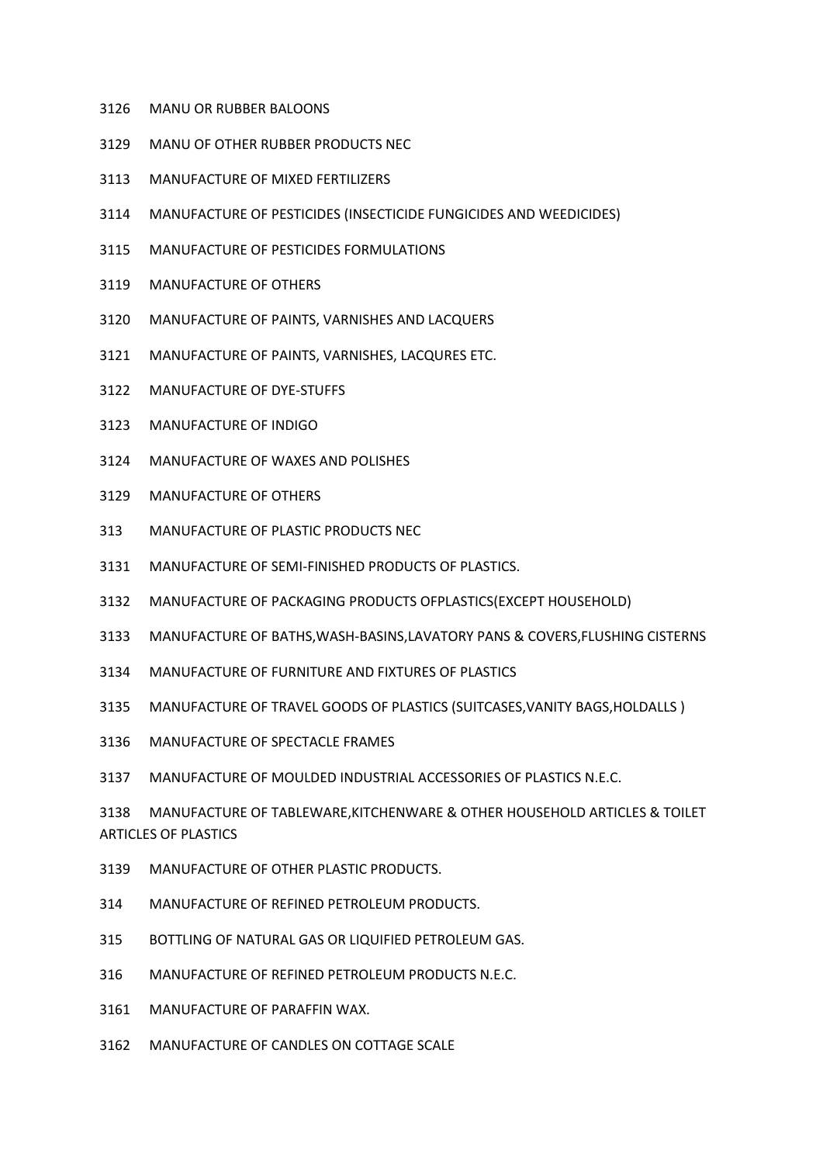- MANU OR RUBBER BALOONS
- MANU OF OTHER RUBBER PRODUCTS NEC
- MANUFACTURE OF MIXED FERTILIZERS
- MANUFACTURE OF PESTICIDES (INSECTICIDE FUNGICIDES AND WEEDICIDES)
- MANUFACTURE OF PESTICIDES FORMULATIONS
- MANUFACTURE OF OTHERS
- MANUFACTURE OF PAINTS, VARNISHES AND LACQUERS
- MANUFACTURE OF PAINTS, VARNISHES, LACQURES ETC.
- MANUFACTURE OF DYE-STUFFS
- MANUFACTURE OF INDIGO
- MANUFACTURE OF WAXES AND POLISHES
- MANUFACTURE OF OTHERS
- 313 MANUFACTURE OF PLASTIC PRODUCTS NEC
- MANUFACTURE OF SEMI-FINISHED PRODUCTS OF PLASTICS.
- MANUFACTURE OF PACKAGING PRODUCTS OFPLASTICS(EXCEPT HOUSEHOLD)
- MANUFACTURE OF BATHS,WASH-BASINS,LAVATORY PANS & COVERS,FLUSHING CISTERNS
- MANUFACTURE OF FURNITURE AND FIXTURES OF PLASTICS
- MANUFACTURE OF TRAVEL GOODS OF PLASTICS (SUITCASES,VANITY BAGS,HOLDALLS )
- MANUFACTURE OF SPECTACLE FRAMES
- MANUFACTURE OF MOULDED INDUSTRIAL ACCESSORIES OF PLASTICS N.E.C.

 MANUFACTURE OF TABLEWARE,KITCHENWARE & OTHER HOUSEHOLD ARTICLES & TOILET ARTICLES OF PLASTICS

- MANUFACTURE OF OTHER PLASTIC PRODUCTS.
- 314 MANUFACTURE OF REFINED PETROLEUM PRODUCTS.
- 315 BOTTLING OF NATURAL GAS OR LIQUIFIED PETROLEUM GAS.
- 316 MANUFACTURE OF REFINED PETROLEUM PRODUCTS N.E.C.
- MANUFACTURE OF PARAFFIN WAX.
- MANUFACTURE OF CANDLES ON COTTAGE SCALE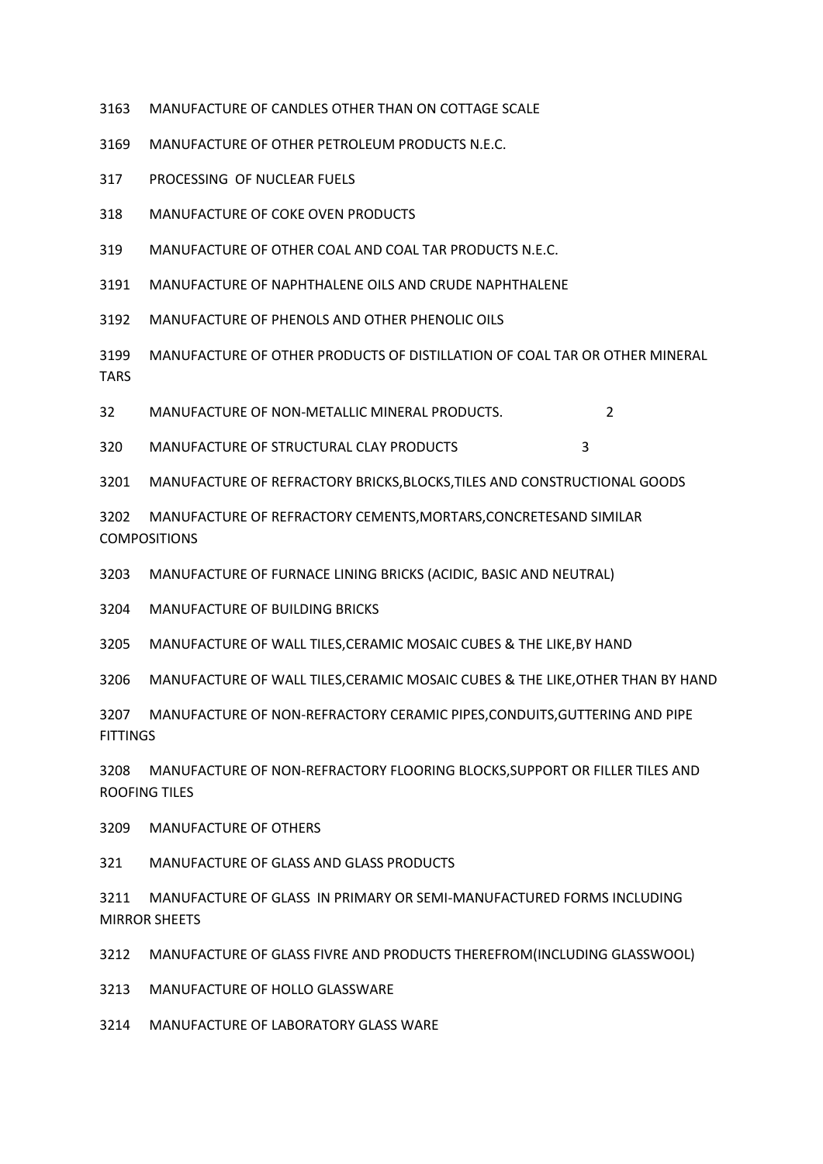- MANUFACTURE OF CANDLES OTHER THAN ON COTTAGE SCALE
- MANUFACTURE OF OTHER PETROLEUM PRODUCTS N.E.C.
- 317 PROCESSING OF NUCLEAR FUELS
- 318 MANUFACTURE OF COKE OVEN PRODUCTS
- 319 MANUFACTURE OF OTHER COAL AND COAL TAR PRODUCTS N.E.C.
- MANUFACTURE OF NAPHTHALENE OILS AND CRUDE NAPHTHALENE
- MANUFACTURE OF PHENOLS AND OTHER PHENOLIC OILS
- MANUFACTURE OF OTHER PRODUCTS OF DISTILLATION OF COAL TAR OR OTHER MINERAL TARS
- 32 MANUFACTURE OF NON-METALLIC MINERAL PRODUCTS. 2
- 320 MANUFACTURE OF STRUCTURAL CLAY PRODUCTS 3
- MANUFACTURE OF REFRACTORY BRICKS,BLOCKS,TILES AND CONSTRUCTIONAL GOODS
- MANUFACTURE OF REFRACTORY CEMENTS,MORTARS,CONCRETESAND SIMILAR **COMPOSITIONS**
- MANUFACTURE OF FURNACE LINING BRICKS (ACIDIC, BASIC AND NEUTRAL)
- MANUFACTURE OF BUILDING BRICKS
- MANUFACTURE OF WALL TILES,CERAMIC MOSAIC CUBES & THE LIKE,BY HAND
- MANUFACTURE OF WALL TILES,CERAMIC MOSAIC CUBES & THE LIKE,OTHER THAN BY HAND
- MANUFACTURE OF NON-REFRACTORY CERAMIC PIPES,CONDUITS,GUTTERING AND PIPE **FITTINGS**
- MANUFACTURE OF NON-REFRACTORY FLOORING BLOCKS,SUPPORT OR FILLER TILES AND ROOFING TILES
- MANUFACTURE OF OTHERS
- 321 MANUFACTURE OF GLASS AND GLASS PRODUCTS
- MANUFACTURE OF GLASS IN PRIMARY OR SEMI-MANUFACTURED FORMS INCLUDING MIRROR SHEETS
- MANUFACTURE OF GLASS FIVRE AND PRODUCTS THEREFROM(INCLUDING GLASSWOOL)
- MANUFACTURE OF HOLLO GLASSWARE
- MANUFACTURE OF LABORATORY GLASS WARE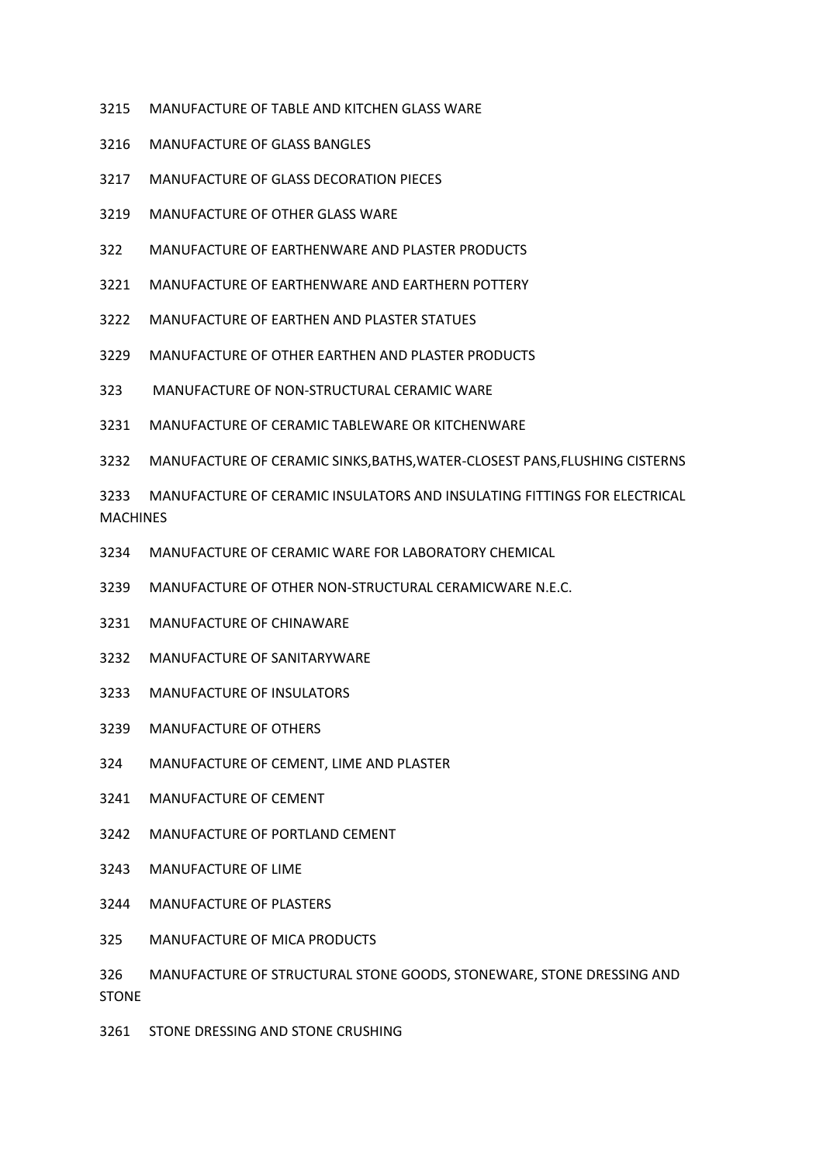- MANUFACTURE OF TABLE AND KITCHEN GLASS WARE
- MANUFACTURE OF GLASS BANGLES
- MANUFACTURE OF GLASS DECORATION PIECES
- MANUFACTURE OF OTHER GLASS WARE
- 322 MANUFACTURE OF EARTHENWARE AND PLASTER PRODUCTS
- MANUFACTURE OF EARTHENWARE AND EARTHERN POTTERY
- MANUFACTURE OF EARTHEN AND PLASTER STATUES
- MANUFACTURE OF OTHER EARTHEN AND PLASTER PRODUCTS
- MANUFACTURE OF NON-STRUCTURAL CERAMIC WARE
- MANUFACTURE OF CERAMIC TABLEWARE OR KITCHENWARE
- MANUFACTURE OF CERAMIC SINKS,BATHS,WATER-CLOSEST PANS,FLUSHING CISTERNS
- MANUFACTURE OF CERAMIC INSULATORS AND INSULATING FITTINGS FOR ELECTRICAL **MACHINES**
- MANUFACTURE OF CERAMIC WARE FOR LABORATORY CHEMICAL
- MANUFACTURE OF OTHER NON-STRUCTURAL CERAMICWARE N.E.C.
- MANUFACTURE OF CHINAWARE
- MANUFACTURE OF SANITARYWARE
- MANUFACTURE OF INSULATORS
- MANUFACTURE OF OTHERS
- 324 MANUFACTURE OF CEMENT, LIME AND PLASTER
- MANUFACTURE OF CEMENT
- MANUFACTURE OF PORTLAND CEMENT
- MANUFACTURE OF LIME
- MANUFACTURE OF PLASTERS
- 325 MANUFACTURE OF MICA PRODUCTS
- 326 MANUFACTURE OF STRUCTURAL STONE GOODS, STONEWARE, STONE DRESSING AND STONE
- STONE DRESSING AND STONE CRUSHING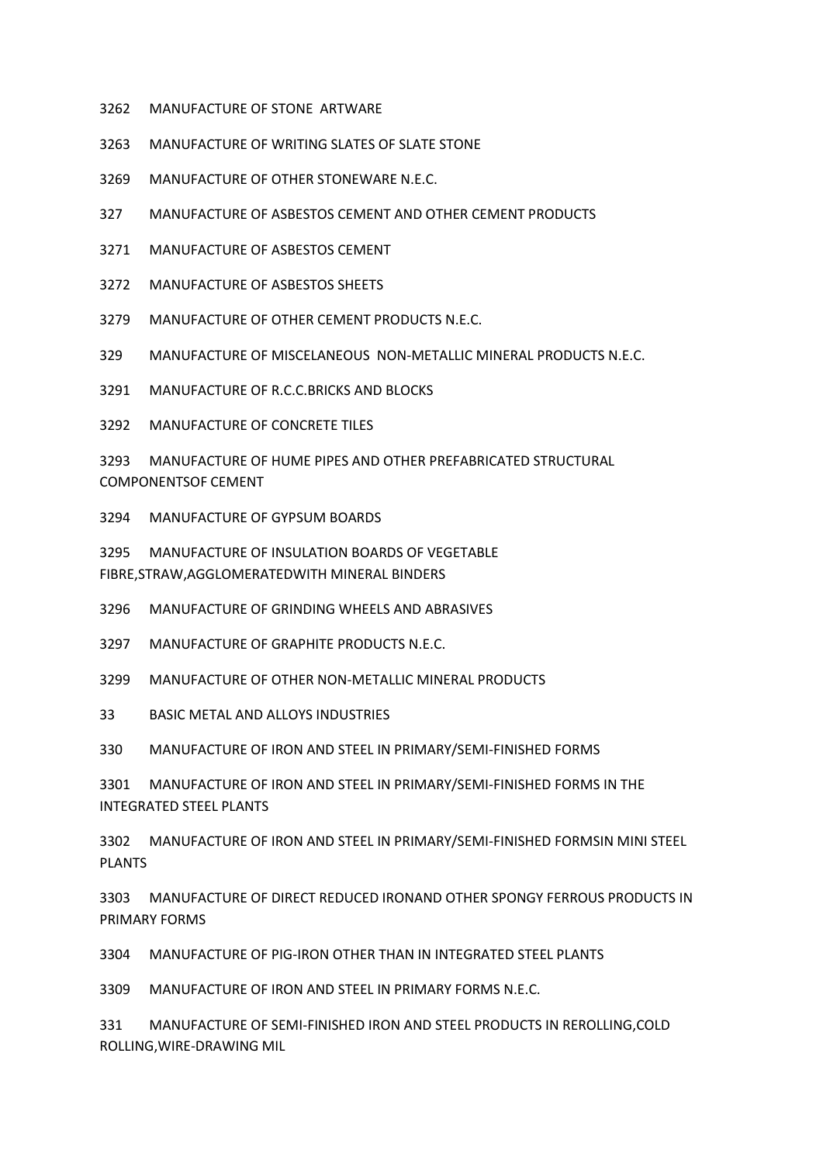- MANUFACTURE OF STONE ARTWARE
- MANUFACTURE OF WRITING SLATES OF SLATE STONE
- MANUFACTURE OF OTHER STONEWARE N.E.C.
- 327 MANUFACTURE OF ASBESTOS CEMENT AND OTHER CEMENT PRODUCTS
- MANUFACTURE OF ASBESTOS CEMENT
- MANUFACTURE OF ASBESTOS SHEETS
- MANUFACTURE OF OTHER CEMENT PRODUCTS N.E.C.
- MANUFACTURE OF MISCELANEOUS NON-METALLIC MINERAL PRODUCTS N.E.C.
- MANUFACTURE OF R.C.C.BRICKS AND BLOCKS
- MANUFACTURE OF CONCRETE TILES

 MANUFACTURE OF HUME PIPES AND OTHER PREFABRICATED STRUCTURAL COMPONENTSOF CEMENT

MANUFACTURE OF GYPSUM BOARDS

 MANUFACTURE OF INSULATION BOARDS OF VEGETABLE FIBRE,STRAW,AGGLOMERATEDWITH MINERAL BINDERS

- MANUFACTURE OF GRINDING WHEELS AND ABRASIVES
- MANUFACTURE OF GRAPHITE PRODUCTS N.E.C.
- MANUFACTURE OF OTHER NON-METALLIC MINERAL PRODUCTS
- 33 BASIC METAL AND ALLOYS INDUSTRIES
- 330 MANUFACTURE OF IRON AND STEEL IN PRIMARY/SEMI-FINISHED FORMS

 MANUFACTURE OF IRON AND STEEL IN PRIMARY/SEMI-FINISHED FORMS IN THE INTEGRATED STEEL PLANTS

 MANUFACTURE OF IRON AND STEEL IN PRIMARY/SEMI-FINISHED FORMSIN MINI STEEL PLANTS

 MANUFACTURE OF DIRECT REDUCED IRONAND OTHER SPONGY FERROUS PRODUCTS IN PRIMARY FORMS

MANUFACTURE OF PIG-IRON OTHER THAN IN INTEGRATED STEEL PLANTS

MANUFACTURE OF IRON AND STEEL IN PRIMARY FORMS N.E.C.

331 MANUFACTURE OF SEMI-FINISHED IRON AND STEEL PRODUCTS IN REROLLING,COLD ROLLING,WIRE-DRAWING MIL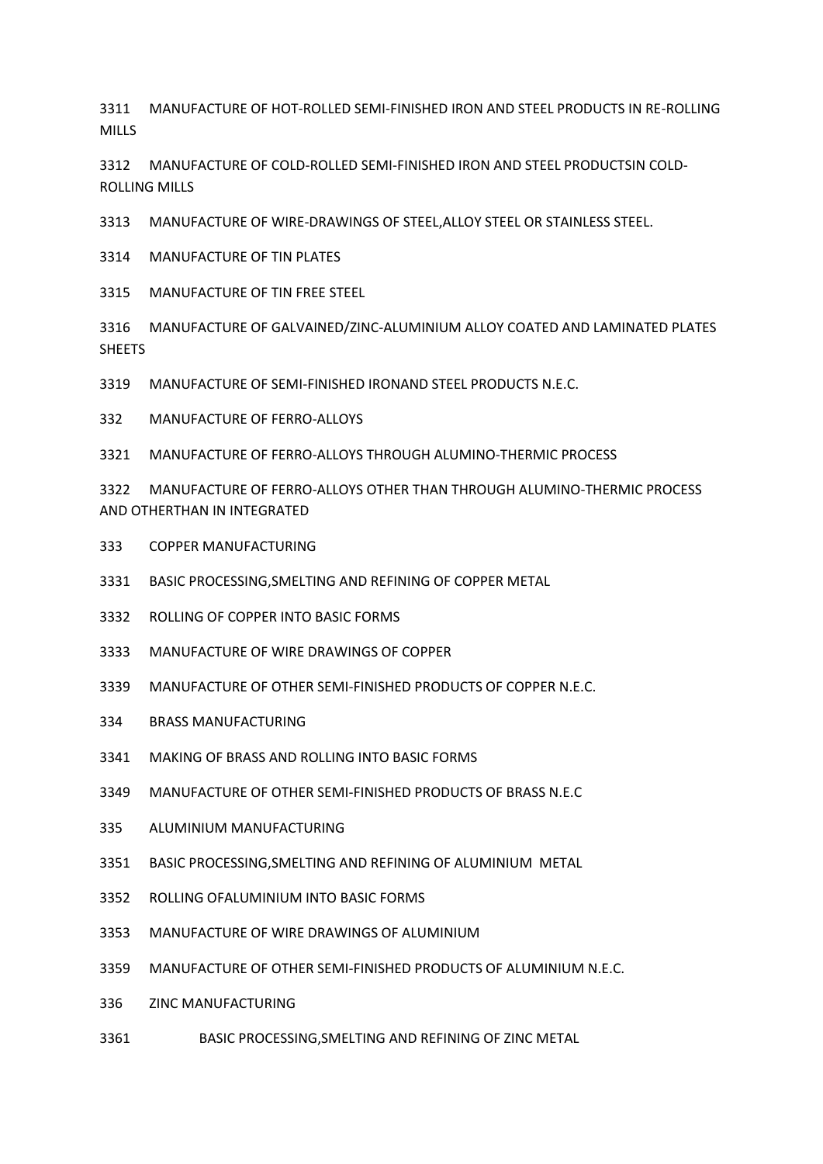MANUFACTURE OF HOT-ROLLED SEMI-FINISHED IRON AND STEEL PRODUCTS IN RE-ROLLING MILLS

 MANUFACTURE OF COLD-ROLLED SEMI-FINISHED IRON AND STEEL PRODUCTSIN COLD-ROLLING MILLS

MANUFACTURE OF WIRE-DRAWINGS OF STEEL,ALLOY STEEL OR STAINLESS STEEL.

MANUFACTURE OF TIN PLATES

MANUFACTURE OF TIN FREE STEEL

 MANUFACTURE OF GALVAINED/ZINC-ALUMINIUM ALLOY COATED AND LAMINATED PLATES **SHEETS** 

MANUFACTURE OF SEMI-FINISHED IRONAND STEEL PRODUCTS N.E.C.

332 MANUFACTURE OF FERRO-ALLOYS

MANUFACTURE OF FERRO-ALLOYS THROUGH ALUMINO-THERMIC PROCESS

 MANUFACTURE OF FERRO-ALLOYS OTHER THAN THROUGH ALUMINO-THERMIC PROCESS AND OTHERTHAN IN INTEGRATED

333 COPPER MANUFACTURING

BASIC PROCESSING,SMELTING AND REFINING OF COPPER METAL

ROLLING OF COPPER INTO BASIC FORMS

MANUFACTURE OF WIRE DRAWINGS OF COPPER

MANUFACTURE OF OTHER SEMI-FINISHED PRODUCTS OF COPPER N.E.C.

334 BRASS MANUFACTURING

MAKING OF BRASS AND ROLLING INTO BASIC FORMS

MANUFACTURE OF OTHER SEMI-FINISHED PRODUCTS OF BRASS N.E.C

335 ALUMINIUM MANUFACTURING

BASIC PROCESSING,SMELTING AND REFINING OF ALUMINIUM METAL

ROLLING OFALUMINIUM INTO BASIC FORMS

MANUFACTURE OF WIRE DRAWINGS OF ALUMINIUM

MANUFACTURE OF OTHER SEMI-FINISHED PRODUCTS OF ALUMINIUM N.E.C.

336 ZINC MANUFACTURING

BASIC PROCESSING,SMELTING AND REFINING OF ZINC METAL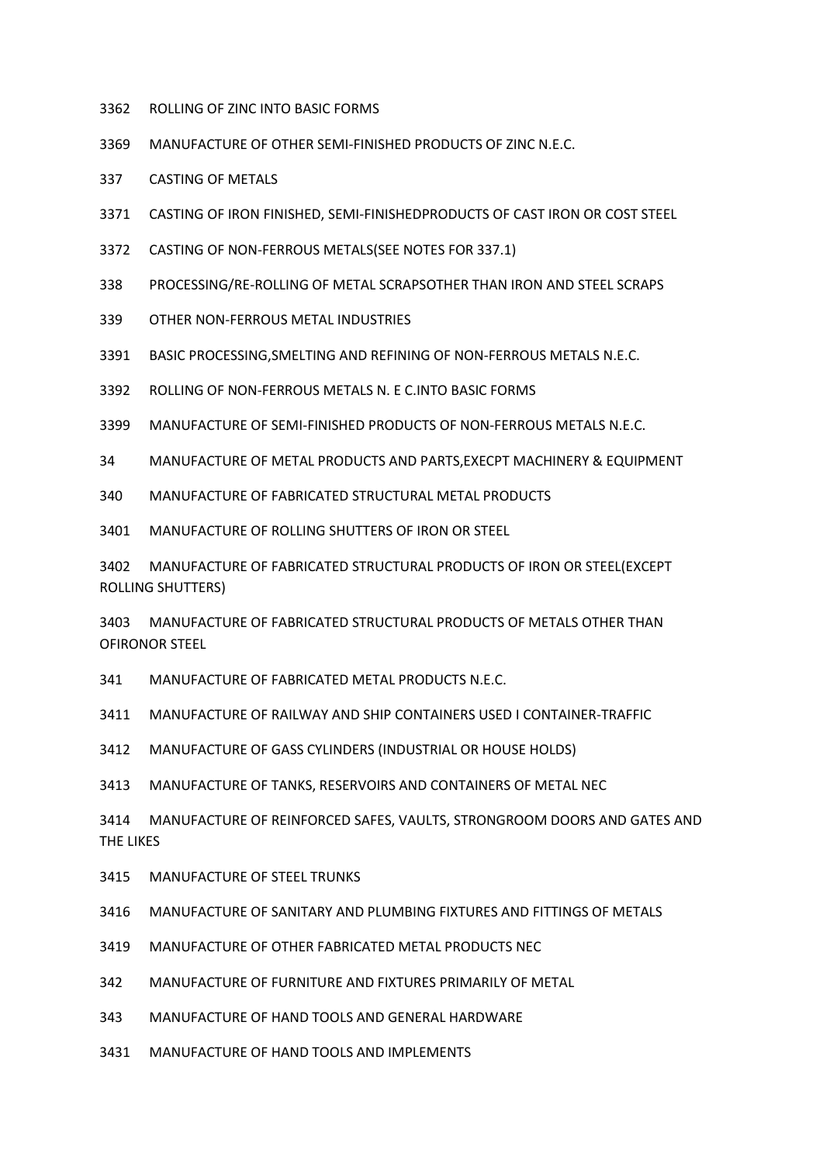- ROLLING OF ZINC INTO BASIC FORMS
- MANUFACTURE OF OTHER SEMI-FINISHED PRODUCTS OF ZINC N.E.C.
- 337 CASTING OF METALS
- CASTING OF IRON FINISHED, SEMI-FINISHEDPRODUCTS OF CAST IRON OR COST STEEL
- CASTING OF NON-FERROUS METALS(SEE NOTES FOR 337.1)
- 338 PROCESSING/RE-ROLLING OF METAL SCRAPSOTHER THAN IRON AND STEEL SCRAPS
- 339 OTHER NON-FERROUS METAL INDUSTRIES
- BASIC PROCESSING,SMELTING AND REFINING OF NON-FERROUS METALS N.E.C.
- ROLLING OF NON-FERROUS METALS N. E C.INTO BASIC FORMS
- MANUFACTURE OF SEMI-FINISHED PRODUCTS OF NON-FERROUS METALS N.E.C.
- 34 MANUFACTURE OF METAL PRODUCTS AND PARTS,EXECPT MACHINERY & EQUIPMENT
- 340 MANUFACTURE OF FABRICATED STRUCTURAL METAL PRODUCTS
- MANUFACTURE OF ROLLING SHUTTERS OF IRON OR STEEL

 MANUFACTURE OF FABRICATED STRUCTURAL PRODUCTS OF IRON OR STEEL(EXCEPT ROLLING SHUTTERS)

 MANUFACTURE OF FABRICATED STRUCTURAL PRODUCTS OF METALS OTHER THAN OFIRONOR STEEL

341 MANUFACTURE OF FABRICATED METAL PRODUCTS N.E.C.

MANUFACTURE OF RAILWAY AND SHIP CONTAINERS USED I CONTAINER-TRAFFIC

MANUFACTURE OF GASS CYLINDERS (INDUSTRIAL OR HOUSE HOLDS)

MANUFACTURE OF TANKS, RESERVOIRS AND CONTAINERS OF METAL NEC

 MANUFACTURE OF REINFORCED SAFES, VAULTS, STRONGROOM DOORS AND GATES AND THE LIKES

MANUFACTURE OF STEEL TRUNKS

MANUFACTURE OF SANITARY AND PLUMBING FIXTURES AND FITTINGS OF METALS

- MANUFACTURE OF OTHER FABRICATED METAL PRODUCTS NEC
- 342 MANUFACTURE OF FURNITURE AND FIXTURES PRIMARILY OF METAL
- 343 MANUFACTURE OF HAND TOOLS AND GENERAL HARDWARE
- MANUFACTURE OF HAND TOOLS AND IMPLEMENTS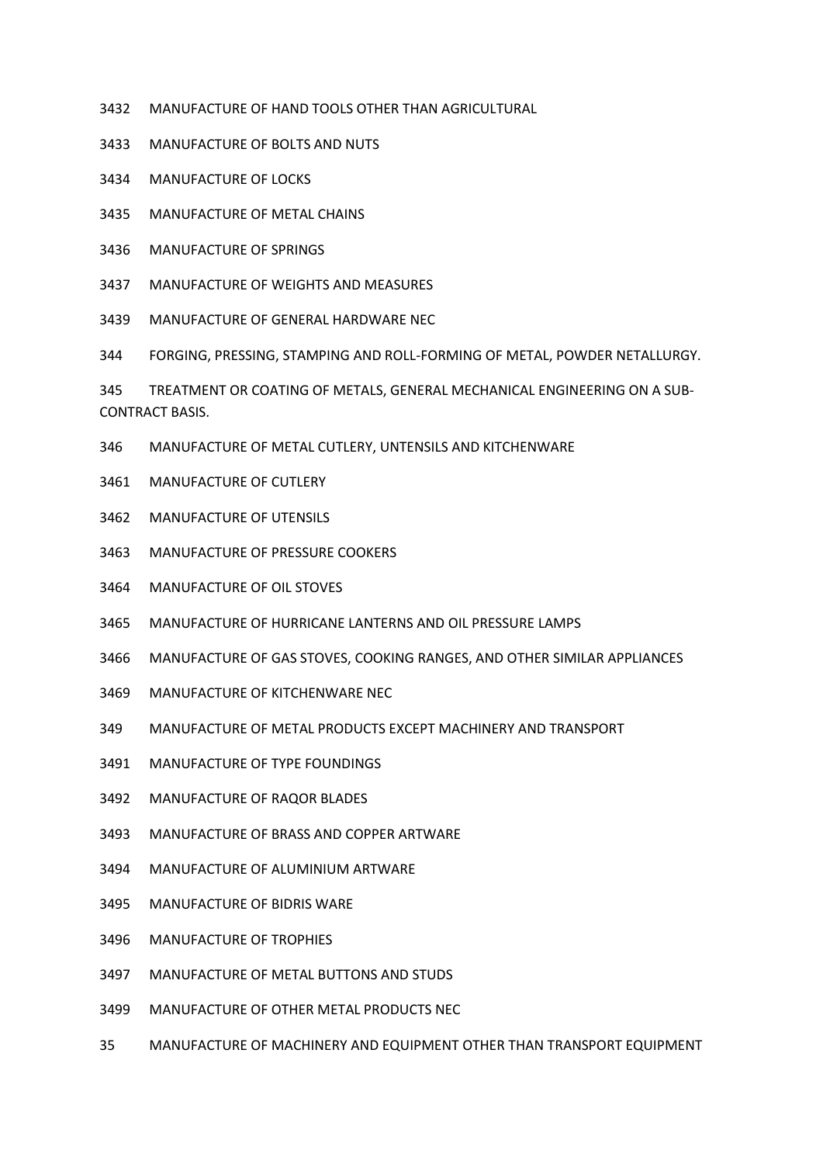- MANUFACTURE OF HAND TOOLS OTHER THAN AGRICULTURAL
- MANUFACTURE OF BOLTS AND NUTS
- MANUFACTURE OF LOCKS
- MANUFACTURE OF METAL CHAINS
- MANUFACTURE OF SPRINGS
- MANUFACTURE OF WEIGHTS AND MEASURES
- MANUFACTURE OF GENERAL HARDWARE NEC
- 344 FORGING, PRESSING, STAMPING AND ROLL-FORMING OF METAL, POWDER NETALLURGY.

345 TREATMENT OR COATING OF METALS, GENERAL MECHANICAL ENGINEERING ON A SUB-CONTRACT BASIS.

- 346 MANUFACTURE OF METAL CUTLERY, UNTENSILS AND KITCHENWARE
- MANUFACTURE OF CUTLERY
- MANUFACTURE OF UTENSILS
- MANUFACTURE OF PRESSURE COOKERS
- MANUFACTURE OF OIL STOVES
- MANUFACTURE OF HURRICANE LANTERNS AND OIL PRESSURE LAMPS
- MANUFACTURE OF GAS STOVES, COOKING RANGES, AND OTHER SIMILAR APPLIANCES
- MANUFACTURE OF KITCHENWARE NEC
- 349 MANUFACTURE OF METAL PRODUCTS EXCEPT MACHINERY AND TRANSPORT
- MANUFACTURE OF TYPE FOUNDINGS
- MANUFACTURE OF RAQOR BLADES
- MANUFACTURE OF BRASS AND COPPER ARTWARE
- MANUFACTURE OF ALUMINIUM ARTWARE
- MANUFACTURE OF BIDRIS WARE
- MANUFACTURE OF TROPHIES
- MANUFACTURE OF METAL BUTTONS AND STUDS
- MANUFACTURE OF OTHER METAL PRODUCTS NEC
- 35 MANUFACTURE OF MACHINERY AND EQUIPMENT OTHER THAN TRANSPORT EQUIPMENT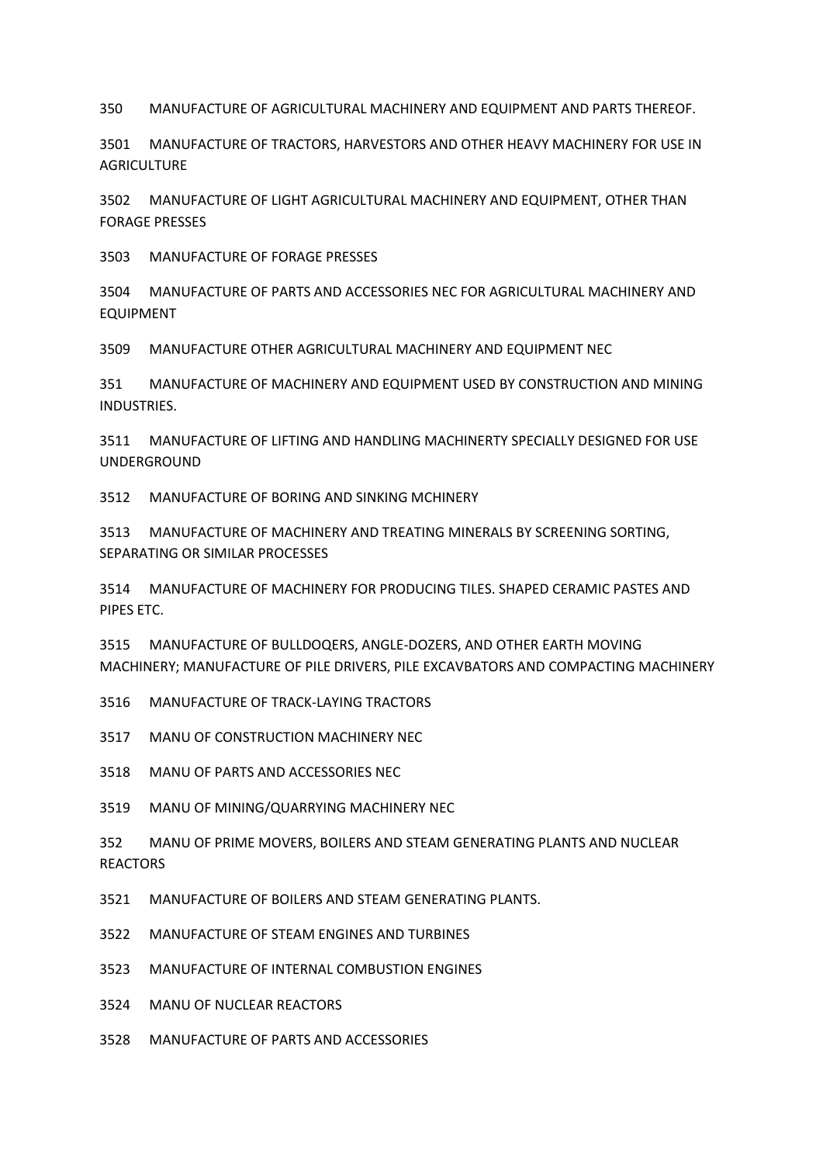350 MANUFACTURE OF AGRICULTURAL MACHINERY AND EQUIPMENT AND PARTS THEREOF.

 MANUFACTURE OF TRACTORS, HARVESTORS AND OTHER HEAVY MACHINERY FOR USE IN AGRICULTURE

 MANUFACTURE OF LIGHT AGRICULTURAL MACHINERY AND EQUIPMENT, OTHER THAN FORAGE PRESSES

MANUFACTURE OF FORAGE PRESSES

 MANUFACTURE OF PARTS AND ACCESSORIES NEC FOR AGRICULTURAL MACHINERY AND EQUIPMENT

MANUFACTURE OTHER AGRICULTURAL MACHINERY AND EQUIPMENT NEC

351 MANUFACTURE OF MACHINERY AND EQUIPMENT USED BY CONSTRUCTION AND MINING INDUSTRIES.

 MANUFACTURE OF LIFTING AND HANDLING MACHINERTY SPECIALLY DESIGNED FOR USE UNDERGROUND

MANUFACTURE OF BORING AND SINKING MCHINERY

 MANUFACTURE OF MACHINERY AND TREATING MINERALS BY SCREENING SORTING, SEPARATING OR SIMILAR PROCESSES

 MANUFACTURE OF MACHINERY FOR PRODUCING TILES. SHAPED CERAMIC PASTES AND PIPES ETC.

 MANUFACTURE OF BULLDOQERS, ANGLE-DOZERS, AND OTHER EARTH MOVING MACHINERY; MANUFACTURE OF PILE DRIVERS, PILE EXCAVBATORS AND COMPACTING MACHINERY

MANUFACTURE OF TRACK-LAYING TRACTORS

MANU OF CONSTRUCTION MACHINERY NEC

MANU OF PARTS AND ACCESSORIES NEC

MANU OF MINING/QUARRYING MACHINERY NEC

352 MANU OF PRIME MOVERS, BOILERS AND STEAM GENERATING PLANTS AND NUCLEAR REACTORS

MANUFACTURE OF BOILERS AND STEAM GENERATING PLANTS.

MANUFACTURE OF STEAM ENGINES AND TURBINES

MANUFACTURE OF INTERNAL COMBUSTION ENGINES

MANU OF NUCLEAR REACTORS

MANUFACTURE OF PARTS AND ACCESSORIES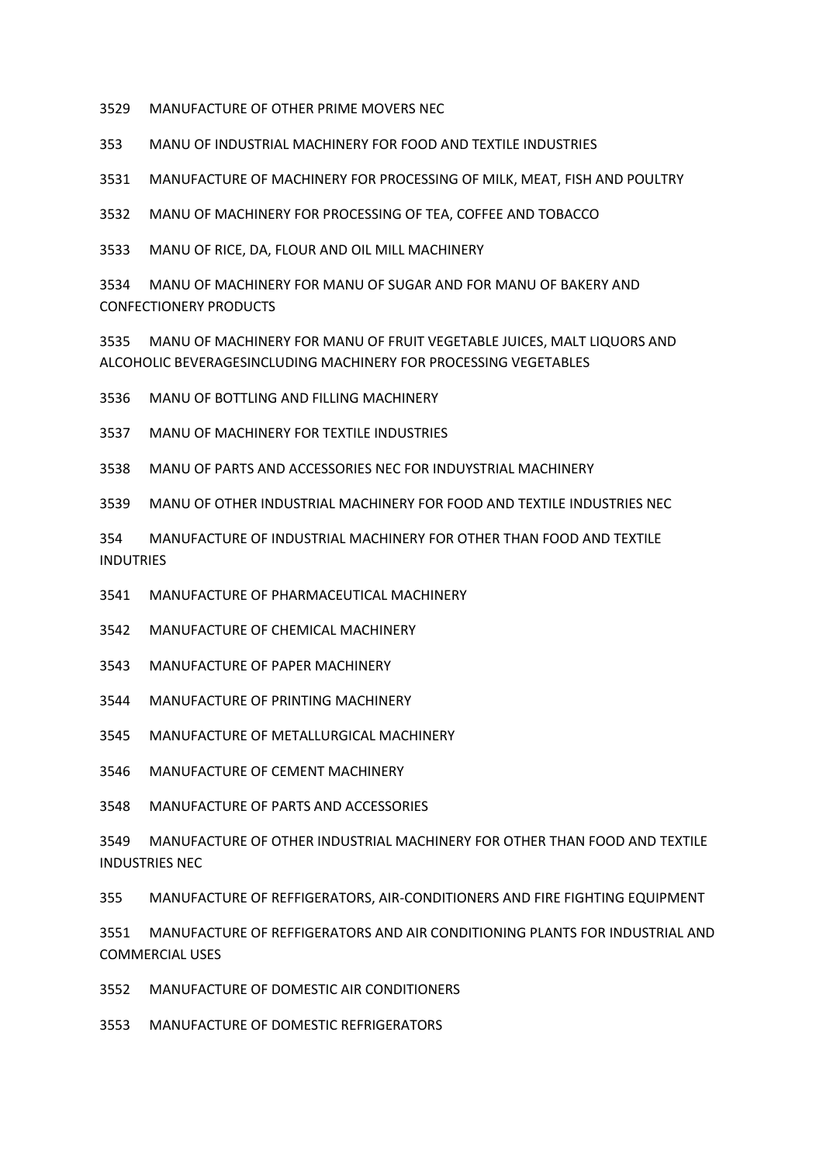MANUFACTURE OF OTHER PRIME MOVERS NEC

MANU OF INDUSTRIAL MACHINERY FOR FOOD AND TEXTILE INDUSTRIES

MANUFACTURE OF MACHINERY FOR PROCESSING OF MILK, MEAT, FISH AND POULTRY

MANU OF MACHINERY FOR PROCESSING OF TEA, COFFEE AND TOBACCO

MANU OF RICE, DA, FLOUR AND OIL MILL MACHINERY

 MANU OF MACHINERY FOR MANU OF SUGAR AND FOR MANU OF BAKERY AND CONFECTIONERY PRODUCTS

 MANU OF MACHINERY FOR MANU OF FRUIT VEGETABLE JUICES, MALT LIQUORS AND ALCOHOLIC BEVERAGESINCLUDING MACHINERY FOR PROCESSING VEGETABLES

MANU OF BOTTLING AND FILLING MACHINERY

MANU OF MACHINERY FOR TEXTILE INDUSTRIES

MANU OF PARTS AND ACCESSORIES NEC FOR INDUYSTRIAL MACHINERY

MANU OF OTHER INDUSTRIAL MACHINERY FOR FOOD AND TEXTILE INDUSTRIES NEC

354 MANUFACTURE OF INDUSTRIAL MACHINERY FOR OTHER THAN FOOD AND TEXTILE **INDUTRIES** 

MANUFACTURE OF PHARMACEUTICAL MACHINERY

MANUFACTURE OF CHEMICAL MACHINERY

MANUFACTURE OF PAPER MACHINERY

MANUFACTURE OF PRINTING MACHINERY

MANUFACTURE OF METALLURGICAL MACHINERY

MANUFACTURE OF CEMENT MACHINERY

MANUFACTURE OF PARTS AND ACCESSORIES

 MANUFACTURE OF OTHER INDUSTRIAL MACHINERY FOR OTHER THAN FOOD AND TEXTILE INDUSTRIES NEC

355 MANUFACTURE OF REFFIGERATORS, AIR-CONDITIONERS AND FIRE FIGHTING EQUIPMENT

 MANUFACTURE OF REFFIGERATORS AND AIR CONDITIONING PLANTS FOR INDUSTRIAL AND COMMERCIAL USES

MANUFACTURE OF DOMESTIC AIR CONDITIONERS

MANUFACTURE OF DOMESTIC REFRIGERATORS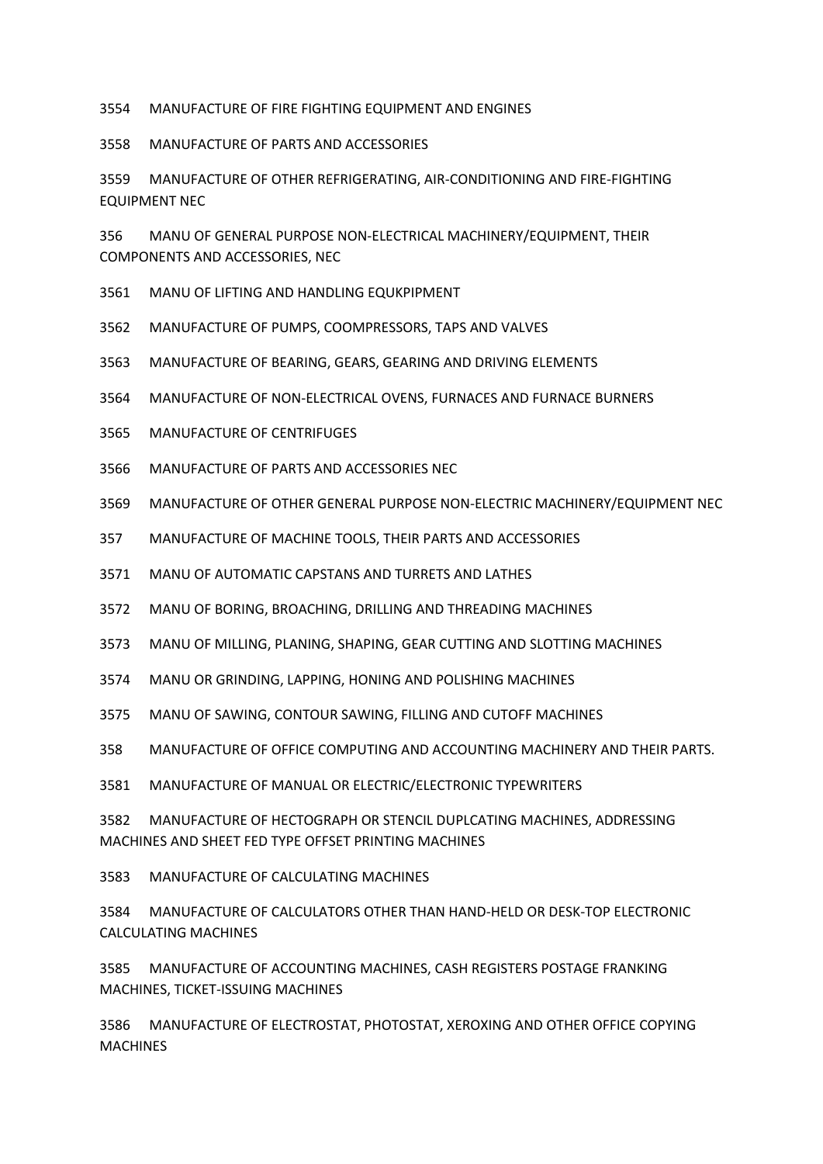MANUFACTURE OF FIRE FIGHTING EQUIPMENT AND ENGINES

MANUFACTURE OF PARTS AND ACCESSORIES

3559 MANUFACTURE OF OTHER REFRIGERATING, AIR-CONDITIONING AND FIRE-FIGHTING EQUIPMENT NEC

356 MANU OF GENERAL PURPOSE NON-ELECTRICAL MACHINERY/EQUIPMENT, THEIR COMPONENTS AND ACCESSORIES, NEC

- MANU OF LIFTING AND HANDLING EQUKPIPMENT
- MANUFACTURE OF PUMPS, COOMPRESSORS, TAPS AND VALVES
- MANUFACTURE OF BEARING, GEARS, GEARING AND DRIVING ELEMENTS
- MANUFACTURE OF NON-ELECTRICAL OVENS, FURNACES AND FURNACE BURNERS
- MANUFACTURE OF CENTRIFUGES
- MANUFACTURE OF PARTS AND ACCESSORIES NEC
- MANUFACTURE OF OTHER GENERAL PURPOSE NON-ELECTRIC MACHINERY/EQUIPMENT NEC
- 357 MANUFACTURE OF MACHINE TOOLS, THEIR PARTS AND ACCESSORIES
- MANU OF AUTOMATIC CAPSTANS AND TURRETS AND LATHES
- MANU OF BORING, BROACHING, DRILLING AND THREADING MACHINES
- MANU OF MILLING, PLANING, SHAPING, GEAR CUTTING AND SLOTTING MACHINES
- MANU OR GRINDING, LAPPING, HONING AND POLISHING MACHINES
- MANU OF SAWING, CONTOUR SAWING, FILLING AND CUTOFF MACHINES
- 358 MANUFACTURE OF OFFICE COMPUTING AND ACCOUNTING MACHINERY AND THEIR PARTS.

MANUFACTURE OF MANUAL OR ELECTRIC/ELECTRONIC TYPEWRITERS

 MANUFACTURE OF HECTOGRAPH OR STENCIL DUPLCATING MACHINES, ADDRESSING MACHINES AND SHEET FED TYPE OFFSET PRINTING MACHINES

MANUFACTURE OF CALCULATING MACHINES

 MANUFACTURE OF CALCULATORS OTHER THAN HAND-HELD OR DESK-TOP ELECTRONIC CALCULATING MACHINES

 MANUFACTURE OF ACCOUNTING MACHINES, CASH REGISTERS POSTAGE FRANKING MACHINES, TICKET-ISSUING MACHINES

 MANUFACTURE OF ELECTROSTAT, PHOTOSTAT, XEROXING AND OTHER OFFICE COPYING MACHINES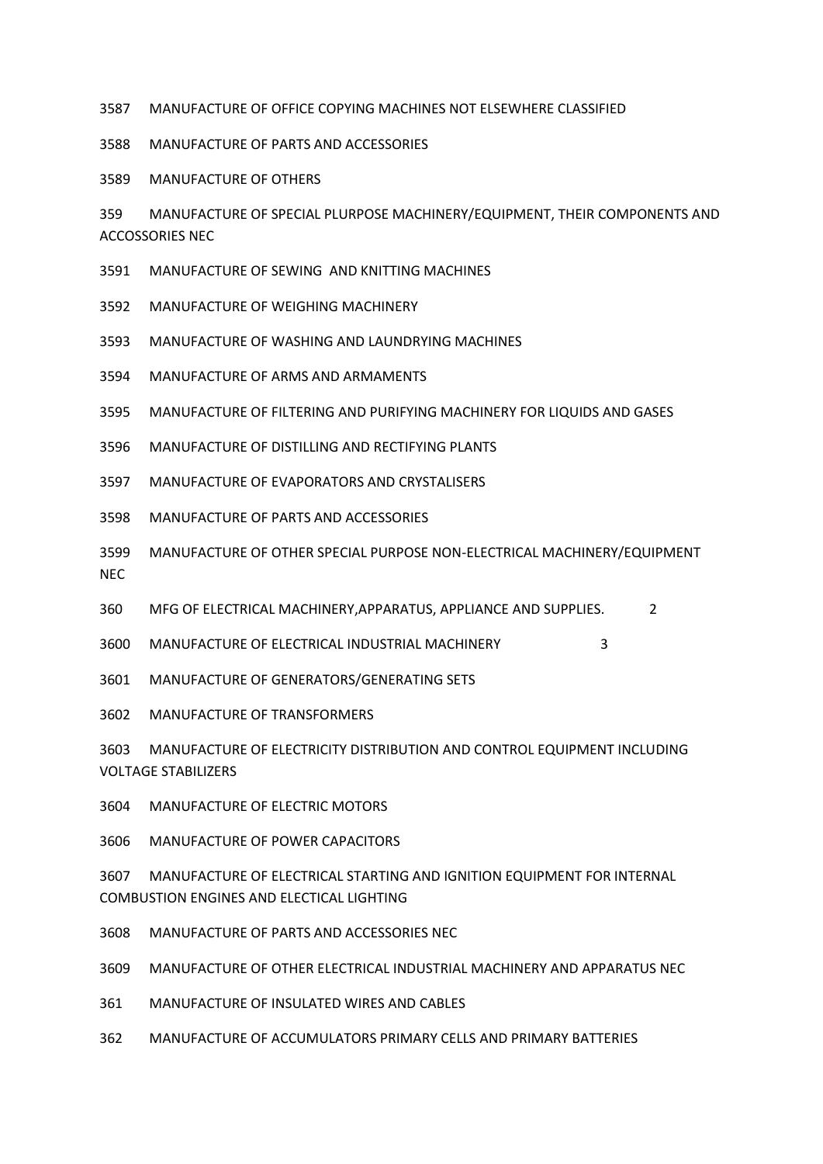MANUFACTURE OF OFFICE COPYING MACHINES NOT ELSEWHERE CLASSIFIED

MANUFACTURE OF PARTS AND ACCESSORIES

MANUFACTURE OF OTHERS

359 MANUFACTURE OF SPECIAL PLURPOSE MACHINERY/EQUIPMENT, THEIR COMPONENTS AND ACCOSSORIES NEC

MANUFACTURE OF SEWING AND KNITTING MACHINES

MANUFACTURE OF WEIGHING MACHINERY

MANUFACTURE OF WASHING AND LAUNDRYING MACHINES

MANUFACTURE OF ARMS AND ARMAMENTS

MANUFACTURE OF FILTERING AND PURIFYING MACHINERY FOR LIQUIDS AND GASES

MANUFACTURE OF DISTILLING AND RECTIFYING PLANTS

MANUFACTURE OF EVAPORATORS AND CRYSTALISERS

MANUFACTURE OF PARTS AND ACCESSORIES

 MANUFACTURE OF OTHER SPECIAL PURPOSE NON-ELECTRICAL MACHINERY/EQUIPMENT NEC

360 MFG OF ELECTRICAL MACHINERY,APPARATUS, APPLIANCE AND SUPPLIES. 2

MANUFACTURE OF ELECTRICAL INDUSTRIAL MACHINERY 3

MANUFACTURE OF GENERATORS/GENERATING SETS

MANUFACTURE OF TRANSFORMERS

 MANUFACTURE OF ELECTRICITY DISTRIBUTION AND CONTROL EQUIPMENT INCLUDING VOLTAGE STABILIZERS

MANUFACTURE OF ELECTRIC MOTORS

MANUFACTURE OF POWER CAPACITORS

 MANUFACTURE OF ELECTRICAL STARTING AND IGNITION EQUIPMENT FOR INTERNAL COMBUSTION ENGINES AND ELECTICAL LIGHTING

MANUFACTURE OF PARTS AND ACCESSORIES NEC

MANUFACTURE OF OTHER ELECTRICAL INDUSTRIAL MACHINERY AND APPARATUS NEC

361 MANUFACTURE OF INSULATED WIRES AND CABLES

362 MANUFACTURE OF ACCUMULATORS PRIMARY CELLS AND PRIMARY BATTERIES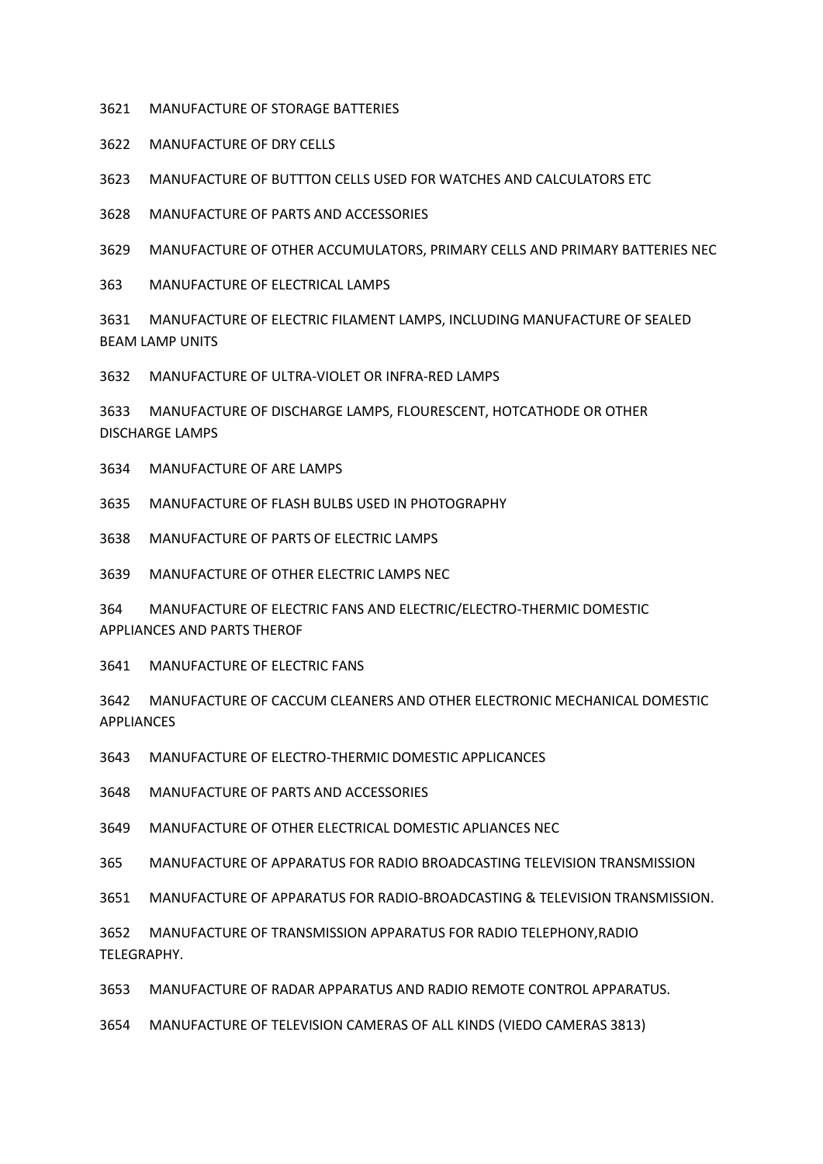MANUFACTURE OF STORAGE BATTERIES

MANUFACTURE OF DRY CELLS

MANUFACTURE OF BUTTTON CELLS USED FOR WATCHES AND CALCULATORS ETC

MANUFACTURE OF PARTS AND ACCESSORIES

MANUFACTURE OF OTHER ACCUMULATORS, PRIMARY CELLS AND PRIMARY BATTERIES NEC

363 MANUFACTURE OF ELECTRICAL LAMPS

 MANUFACTURE OF ELECTRIC FILAMENT LAMPS, INCLUDING MANUFACTURE OF SEALED BEAM LAMP UNITS

MANUFACTURE OF ULTRA-VIOLET OR INFRA-RED LAMPS

 MANUFACTURE OF DISCHARGE LAMPS, FLOURESCENT, HOTCATHODE OR OTHER DISCHARGE LAMPS

MANUFACTURE OF ARE LAMPS

MANUFACTURE OF FLASH BULBS USED IN PHOTOGRAPHY

MANUFACTURE OF PARTS OF ELECTRIC LAMPS

MANUFACTURE OF OTHER ELECTRIC LAMPS NEC

364 MANUFACTURE OF ELECTRIC FANS AND ELECTRIC/ELECTRO-THERMIC DOMESTIC APPLIANCES AND PARTS THEROF

MANUFACTURE OF ELECTRIC FANS

 MANUFACTURE OF CACCUM CLEANERS AND OTHER ELECTRONIC MECHANICAL DOMESTIC APPLIANCES

MANUFACTURE OF ELECTRO-THERMIC DOMESTIC APPLICANCES

MANUFACTURE OF PARTS AND ACCESSORIES

MANUFACTURE OF OTHER ELECTRICAL DOMESTIC APLIANCES NEC

365 MANUFACTURE OF APPARATUS FOR RADIO BROADCASTING TELEVISION TRANSMISSION

MANUFACTURE OF APPARATUS FOR RADIO-BROADCASTING & TELEVISION TRANSMISSION.

 MANUFACTURE OF TRANSMISSION APPARATUS FOR RADIO TELEPHONY,RADIO TELEGRAPHY.

MANUFACTURE OF RADAR APPARATUS AND RADIO REMOTE CONTROL APPARATUS.

MANUFACTURE OF TELEVISION CAMERAS OF ALL KINDS (VIEDO CAMERAS 3813)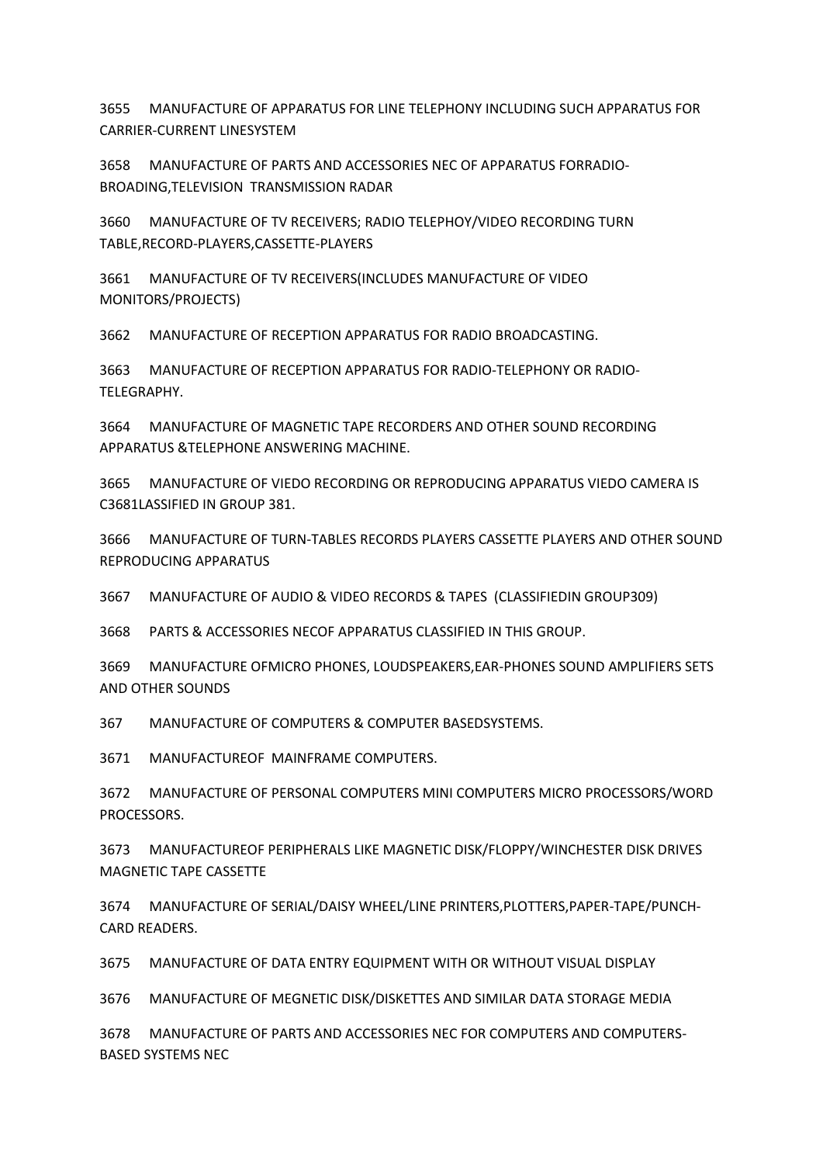3655 MANUFACTURE OF APPARATUS FOR LINE TELEPHONY INCLUDING SUCH APPARATUS FOR CARRIER-CURRENT LINESYSTEM

3658 MANUFACTURE OF PARTS AND ACCESSORIES NEC OF APPARATUS FORRADIO-BROADING,TELEVISION TRANSMISSION RADAR

3660 MANUFACTURE OF TV RECEIVERS; RADIO TELEPHOY/VIDEO RECORDING TURN TABLE,RECORD-PLAYERS,CASSETTE-PLAYERS

3661 MANUFACTURE OF TV RECEIVERS(INCLUDES MANUFACTURE OF VIDEO MONITORS/PROJECTS)

3662 MANUFACTURE OF RECEPTION APPARATUS FOR RADIO BROADCASTING.

3663 MANUFACTURE OF RECEPTION APPARATUS FOR RADIO-TELEPHONY OR RADIO-TELEGRAPHY.

3664 MANUFACTURE OF MAGNETIC TAPE RECORDERS AND OTHER SOUND RECORDING APPARATUS &TELEPHONE ANSWERING MACHINE.

3665 MANUFACTURE OF VIEDO RECORDING OR REPRODUCING APPARATUS VIEDO CAMERA IS C3681LASSIFIED IN GROUP 381.

3666 MANUFACTURE OF TURN-TABLES RECORDS PLAYERS CASSETTE PLAYERS AND OTHER SOUND REPRODUCING APPARATUS

3667 MANUFACTURE OF AUDIO & VIDEO RECORDS & TAPES (CLASSIFIEDIN GROUP309)

3668 PARTS & ACCESSORIES NECOF APPARATUS CLASSIFIED IN THIS GROUP.

3669 MANUFACTURE OFMICRO PHONES, LOUDSPEAKERS,EAR-PHONES SOUND AMPLIFIERS SETS AND OTHER SOUNDS

367 MANUFACTURE OF COMPUTERS & COMPUTER BASEDSYSTEMS.

3671 MANUFACTUREOF MAINFRAME COMPUTERS.

3672 MANUFACTURE OF PERSONAL COMPUTERS MINI COMPUTERS MICRO PROCESSORS/WORD PROCESSORS.

3673 MANUFACTUREOF PERIPHERALS LIKE MAGNETIC DISK/FLOPPY/WINCHESTER DISK DRIVES MAGNETIC TAPE CASSETTE

3674 MANUFACTURE OF SERIAL/DAISY WHEEL/LINE PRINTERS,PLOTTERS,PAPER-TAPE/PUNCH-CARD READERS.

3675 MANUFACTURE OF DATA ENTRY EQUIPMENT WITH OR WITHOUT VISUAL DISPLAY

3676 MANUFACTURE OF MEGNETIC DISK/DISKETTES AND SIMILAR DATA STORAGE MEDIA

3678 MANUFACTURE OF PARTS AND ACCESSORIES NEC FOR COMPUTERS AND COMPUTERS-BASED SYSTEMS NEC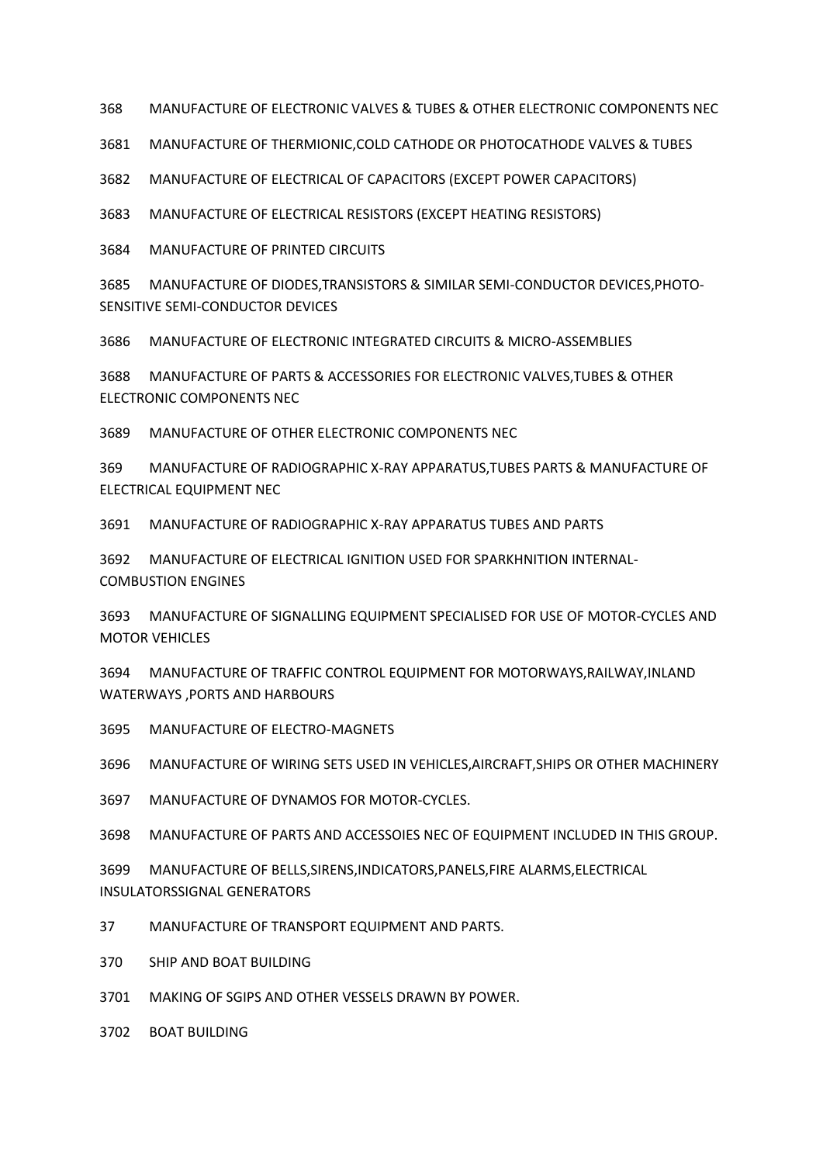368 MANUFACTURE OF ELECTRONIC VALVES & TUBES & OTHER ELECTRONIC COMPONENTS NEC

MANUFACTURE OF THERMIONIC,COLD CATHODE OR PHOTOCATHODE VALVES & TUBES

MANUFACTURE OF ELECTRICAL OF CAPACITORS (EXCEPT POWER CAPACITORS)

MANUFACTURE OF ELECTRICAL RESISTORS (EXCEPT HEATING RESISTORS)

MANUFACTURE OF PRINTED CIRCUITS

 MANUFACTURE OF DIODES,TRANSISTORS & SIMILAR SEMI-CONDUCTOR DEVICES,PHOTO-SENSITIVE SEMI-CONDUCTOR DEVICES

MANUFACTURE OF ELECTRONIC INTEGRATED CIRCUITS & MICRO-ASSEMBLIES

 MANUFACTURE OF PARTS & ACCESSORIES FOR ELECTRONIC VALVES,TUBES & OTHER ELECTRONIC COMPONENTS NEC

MANUFACTURE OF OTHER ELECTRONIC COMPONENTS NEC

369 MANUFACTURE OF RADIOGRAPHIC X-RAY APPARATUS,TUBES PARTS & MANUFACTURE OF ELECTRICAL EQUIPMENT NEC

MANUFACTURE OF RADIOGRAPHIC X-RAY APPARATUS TUBES AND PARTS

 MANUFACTURE OF ELECTRICAL IGNITION USED FOR SPARKHNITION INTERNAL-COMBUSTION ENGINES

 MANUFACTURE OF SIGNALLING EQUIPMENT SPECIALISED FOR USE OF MOTOR-CYCLES AND MOTOR VEHICLES

 MANUFACTURE OF TRAFFIC CONTROL EQUIPMENT FOR MOTORWAYS,RAILWAY,INLAND WATERWAYS ,PORTS AND HARBOURS

MANUFACTURE OF ELECTRO-MAGNETS

MANUFACTURE OF WIRING SETS USED IN VEHICLES,AIRCRAFT,SHIPS OR OTHER MACHINERY

MANUFACTURE OF DYNAMOS FOR MOTOR-CYCLES.

MANUFACTURE OF PARTS AND ACCESSOIES NEC OF EQUIPMENT INCLUDED IN THIS GROUP.

 MANUFACTURE OF BELLS,SIRENS,INDICATORS,PANELS,FIRE ALARMS,ELECTRICAL INSULATORSSIGNAL GENERATORS

37 MANUFACTURE OF TRANSPORT EQUIPMENT AND PARTS.

370 SHIP AND BOAT BUILDING

MAKING OF SGIPS AND OTHER VESSELS DRAWN BY POWER.

BOAT BUILDING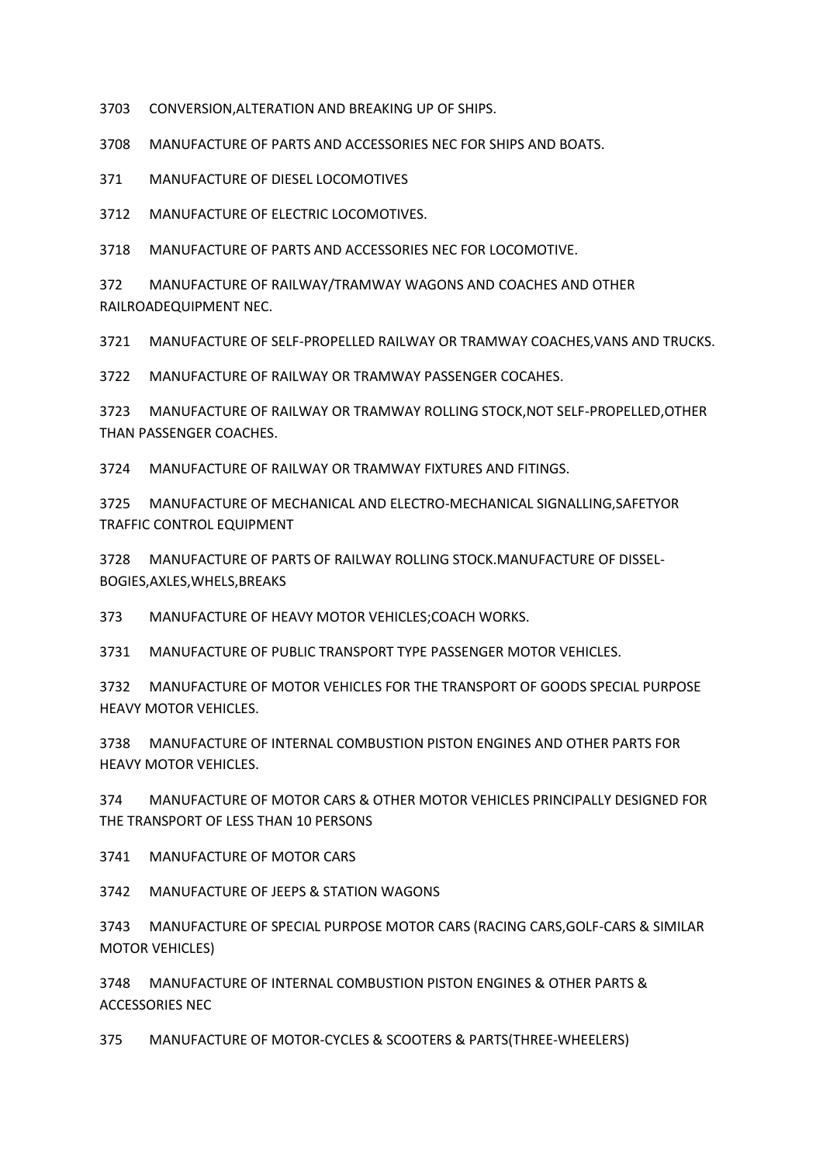3703 CONVERSION,ALTERATION AND BREAKING UP OF SHIPS.

3708 MANUFACTURE OF PARTS AND ACCESSORIES NEC FOR SHIPS AND BOATS.

371 MANUFACTURE OF DIESEL LOCOMOTIVES

3712 MANUFACTURE OF ELECTRIC LOCOMOTIVES.

3718 MANUFACTURE OF PARTS AND ACCESSORIES NEC FOR LOCOMOTIVE.

372 MANUFACTURE OF RAILWAY/TRAMWAY WAGONS AND COACHES AND OTHER RAILROADEQUIPMENT NEC.

3721 MANUFACTURE OF SELF-PROPELLED RAILWAY OR TRAMWAY COACHES,VANS AND TRUCKS.

3722 MANUFACTURE OF RAILWAY OR TRAMWAY PASSENGER COCAHES.

3723 MANUFACTURE OF RAILWAY OR TRAMWAY ROLLING STOCK,NOT SELF-PROPELLED,OTHER THAN PASSENGER COACHES.

3724 MANUFACTURE OF RAILWAY OR TRAMWAY FIXTURES AND FITINGS.

3725 MANUFACTURE OF MECHANICAL AND ELECTRO-MECHANICAL SIGNALLING,SAFETYOR TRAFFIC CONTROL EQUIPMENT

3728 MANUFACTURE OF PARTS OF RAILWAY ROLLING STOCK.MANUFACTURE OF DISSEL-BOGIES,AXLES,WHELS,BREAKS

373 MANUFACTURE OF HEAVY MOTOR VEHICLES;COACH WORKS.

3731 MANUFACTURE OF PUBLIC TRANSPORT TYPE PASSENGER MOTOR VEHICLES.

3732 MANUFACTURE OF MOTOR VEHICLES FOR THE TRANSPORT OF GOODS SPECIAL PURPOSE HEAVY MOTOR VEHICLES.

3738 MANUFACTURE OF INTERNAL COMBUSTION PISTON ENGINES AND OTHER PARTS FOR HEAVY MOTOR VEHICLES.

374 MANUFACTURE OF MOTOR CARS & OTHER MOTOR VEHICLES PRINCIPALLY DESIGNED FOR THE TRANSPORT OF LESS THAN 10 PERSONS

3741 MANUFACTURE OF MOTOR CARS

3742 MANUFACTURE OF JEEPS & STATION WAGONS

3743 MANUFACTURE OF SPECIAL PURPOSE MOTOR CARS (RACING CARS,GOLF-CARS & SIMILAR MOTOR VEHICLES)

3748 MANUFACTURE OF INTERNAL COMBUSTION PISTON ENGINES & OTHER PARTS & ACCESSORIES NEC

375 MANUFACTURE OF MOTOR-CYCLES & SCOOTERS & PARTS(THREE-WHEELERS)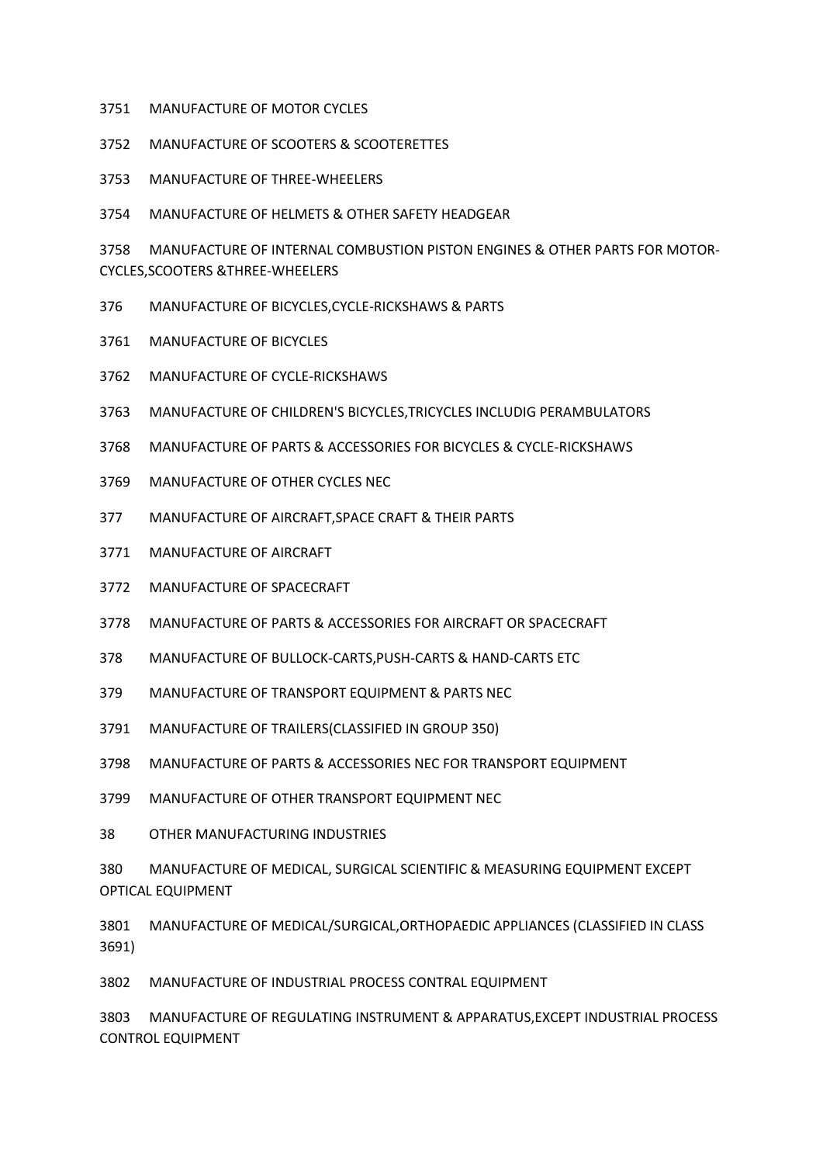- MANUFACTURE OF MOTOR CYCLES
- MANUFACTURE OF SCOOTERS & SCOOTERETTES
- MANUFACTURE OF THREE-WHEELERS
- MANUFACTURE OF HELMETS & OTHER SAFETY HEADGEAR

 MANUFACTURE OF INTERNAL COMBUSTION PISTON ENGINES & OTHER PARTS FOR MOTOR-CYCLES,SCOOTERS &THREE-WHEELERS

- 376 MANUFACTURE OF BICYCLES,CYCLE-RICKSHAWS & PARTS
- MANUFACTURE OF BICYCLES
- MANUFACTURE OF CYCLE-RICKSHAWS
- MANUFACTURE OF CHILDREN'S BICYCLES,TRICYCLES INCLUDIG PERAMBULATORS
- MANUFACTURE OF PARTS & ACCESSORIES FOR BICYCLES & CYCLE-RICKSHAWS
- MANUFACTURE OF OTHER CYCLES NEC
- 377 MANUFACTURE OF AIRCRAFT,SPACE CRAFT & THEIR PARTS
- MANUFACTURE OF AIRCRAFT
- MANUFACTURE OF SPACECRAFT
- MANUFACTURE OF PARTS & ACCESSORIES FOR AIRCRAFT OR SPACECRAFT
- 378 MANUFACTURE OF BULLOCK-CARTS,PUSH-CARTS & HAND-CARTS ETC
- MANUFACTURE OF TRANSPORT EQUIPMENT & PARTS NEC
- MANUFACTURE OF TRAILERS(CLASSIFIED IN GROUP 350)
- MANUFACTURE OF PARTS & ACCESSORIES NEC FOR TRANSPORT EQUIPMENT
- MANUFACTURE OF OTHER TRANSPORT EQUIPMENT NEC
- 38 OTHER MANUFACTURING INDUSTRIES

380 MANUFACTURE OF MEDICAL, SURGICAL SCIENTIFIC & MEASURING EQUIPMENT EXCEPT OPTICAL EQUIPMENT

 MANUFACTURE OF MEDICAL/SURGICAL,ORTHOPAEDIC APPLIANCES (CLASSIFIED IN CLASS 3691)

MANUFACTURE OF INDUSTRIAL PROCESS CONTRAL EQUIPMENT

 MANUFACTURE OF REGULATING INSTRUMENT & APPARATUS,EXCEPT INDUSTRIAL PROCESS CONTROL EQUIPMENT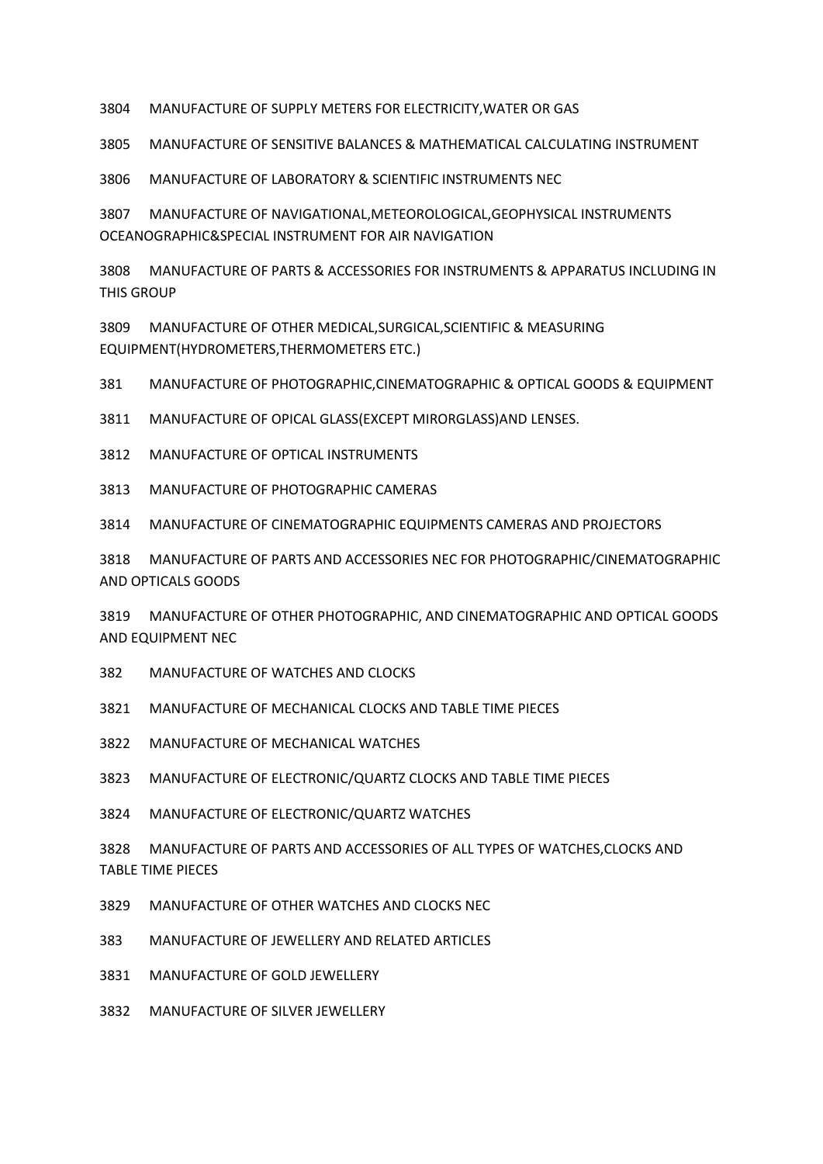MANUFACTURE OF SUPPLY METERS FOR ELECTRICITY,WATER OR GAS

MANUFACTURE OF SENSITIVE BALANCES & MATHEMATICAL CALCULATING INSTRUMENT

MANUFACTURE OF LABORATORY & SCIENTIFIC INSTRUMENTS NEC

 MANUFACTURE OF NAVIGATIONAL,METEOROLOGICAL,GEOPHYSICAL INSTRUMENTS OCEANOGRAPHIC&SPECIAL INSTRUMENT FOR AIR NAVIGATION

 MANUFACTURE OF PARTS & ACCESSORIES FOR INSTRUMENTS & APPARATUS INCLUDING IN THIS GROUP

 MANUFACTURE OF OTHER MEDICAL,SURGICAL,SCIENTIFIC & MEASURING EQUIPMENT(HYDROMETERS,THERMOMETERS ETC.)

381 MANUFACTURE OF PHOTOGRAPHIC,CINEMATOGRAPHIC & OPTICAL GOODS & EQUIPMENT

MANUFACTURE OF OPICAL GLASS(EXCEPT MIRORGLASS)AND LENSES.

MANUFACTURE OF OPTICAL INSTRUMENTS

MANUFACTURE OF PHOTOGRAPHIC CAMERAS

MANUFACTURE OF CINEMATOGRAPHIC EQUIPMENTS CAMERAS AND PROJECTORS

 MANUFACTURE OF PARTS AND ACCESSORIES NEC FOR PHOTOGRAPHIC/CINEMATOGRAPHIC AND OPTICALS GOODS

 MANUFACTURE OF OTHER PHOTOGRAPHIC, AND CINEMATOGRAPHIC AND OPTICAL GOODS AND EQUIPMENT NEC

382 MANUFACTURE OF WATCHES AND CLOCKS

MANUFACTURE OF MECHANICAL CLOCKS AND TABLE TIME PIECES

MANUFACTURE OF MECHANICAL WATCHES

MANUFACTURE OF ELECTRONIC/QUARTZ CLOCKS AND TABLE TIME PIECES

MANUFACTURE OF ELECTRONIC/QUARTZ WATCHES

 MANUFACTURE OF PARTS AND ACCESSORIES OF ALL TYPES OF WATCHES,CLOCKS AND TABLE TIME PIECES

MANUFACTURE OF OTHER WATCHES AND CLOCKS NEC

383 MANUFACTURE OF JEWELLERY AND RELATED ARTICLES

MANUFACTURE OF GOLD JEWELLERY

MANUFACTURE OF SILVER JEWELLERY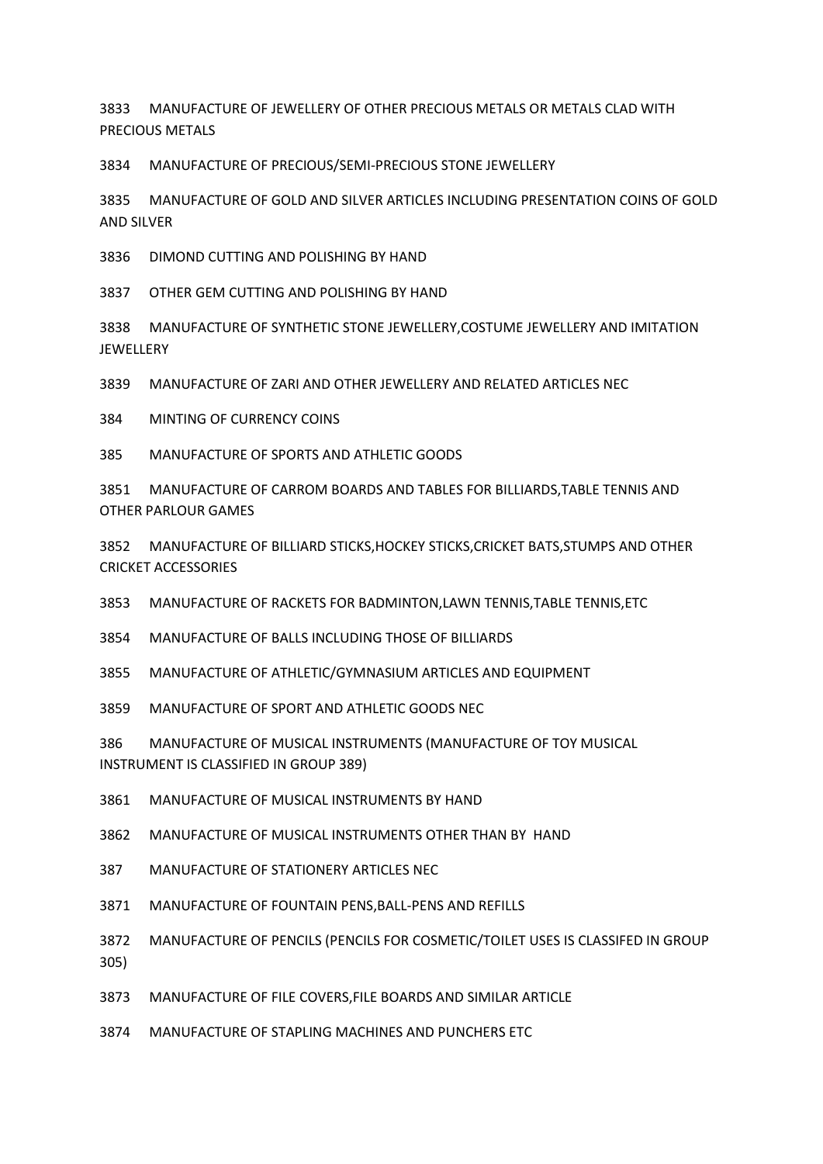MANUFACTURE OF JEWELLERY OF OTHER PRECIOUS METALS OR METALS CLAD WITH PRECIOUS METALS

MANUFACTURE OF PRECIOUS/SEMI-PRECIOUS STONE JEWELLERY

 MANUFACTURE OF GOLD AND SILVER ARTICLES INCLUDING PRESENTATION COINS OF GOLD AND SILVER

DIMOND CUTTING AND POLISHING BY HAND

OTHER GEM CUTTING AND POLISHING BY HAND

 MANUFACTURE OF SYNTHETIC STONE JEWELLERY,COSTUME JEWELLERY AND IMITATION **JFWFLLFRY** 

MANUFACTURE OF ZARI AND OTHER JEWELLERY AND RELATED ARTICLES NEC

384 MINTING OF CURRENCY COINS

385 MANUFACTURE OF SPORTS AND ATHLETIC GOODS

 MANUFACTURE OF CARROM BOARDS AND TABLES FOR BILLIARDS,TABLE TENNIS AND OTHER PARLOUR GAMES

 MANUFACTURE OF BILLIARD STICKS,HOCKEY STICKS,CRICKET BATS,STUMPS AND OTHER CRICKET ACCESSORIES

MANUFACTURE OF RACKETS FOR BADMINTON,LAWN TENNIS,TABLE TENNIS,ETC

MANUFACTURE OF BALLS INCLUDING THOSE OF BILLIARDS

MANUFACTURE OF ATHLETIC/GYMNASIUM ARTICLES AND EQUIPMENT

MANUFACTURE OF SPORT AND ATHLETIC GOODS NEC

386 MANUFACTURE OF MUSICAL INSTRUMENTS (MANUFACTURE OF TOY MUSICAL INSTRUMENT IS CLASSIFIED IN GROUP 389)

MANUFACTURE OF MUSICAL INSTRUMENTS BY HAND

MANUFACTURE OF MUSICAL INSTRUMENTS OTHER THAN BY HAND

387 MANUFACTURE OF STATIONERY ARTICLES NEC

MANUFACTURE OF FOUNTAIN PENS,BALL-PENS AND REFILLS

 MANUFACTURE OF PENCILS (PENCILS FOR COSMETIC/TOILET USES IS CLASSIFED IN GROUP 305)

MANUFACTURE OF FILE COVERS,FILE BOARDS AND SIMILAR ARTICLE

MANUFACTURE OF STAPLING MACHINES AND PUNCHERS ETC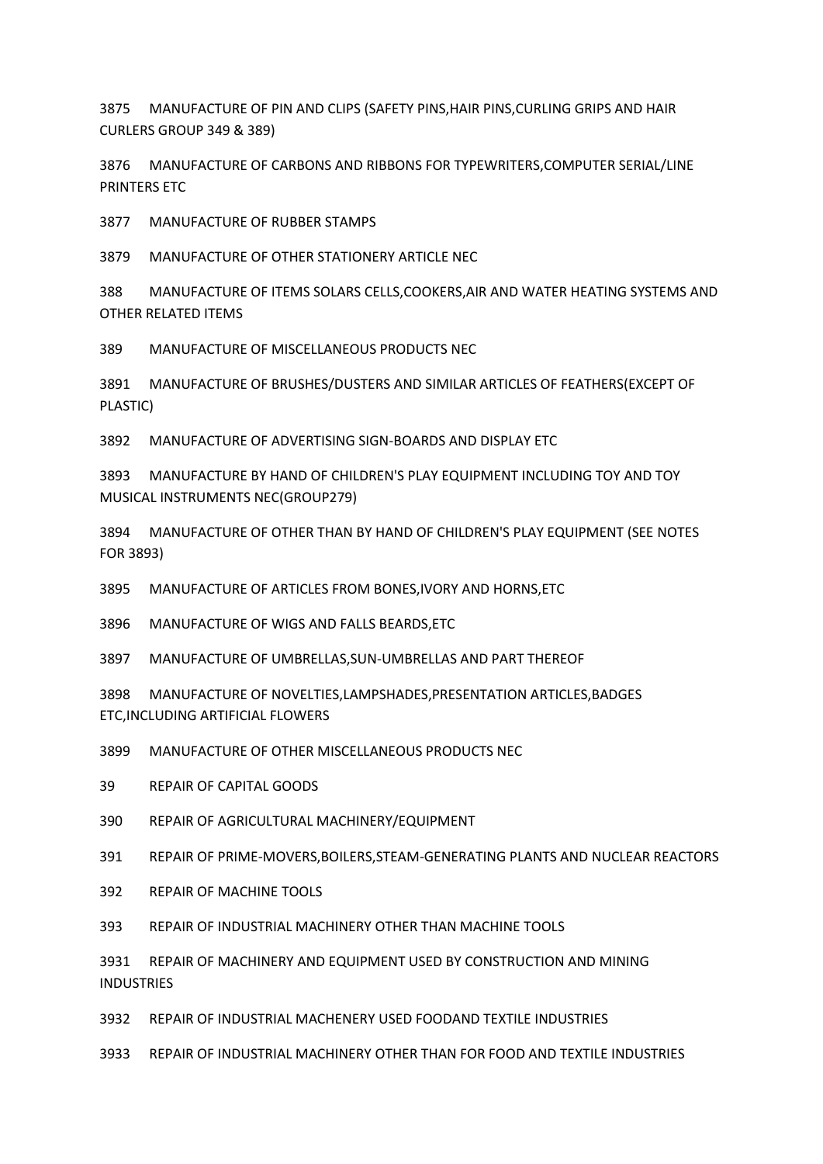3875 MANUFACTURE OF PIN AND CLIPS (SAFETY PINS,HAIR PINS,CURLING GRIPS AND HAIR CURLERS GROUP 349 & 389)

3876 MANUFACTURE OF CARBONS AND RIBBONS FOR TYPEWRITERS,COMPUTER SERIAL/LINE PRINTERS ETC

3877 MANUFACTURE OF RUBBER STAMPS

3879 MANUFACTURE OF OTHER STATIONERY ARTICLE NEC

388 MANUFACTURE OF ITEMS SOLARS CELLS,COOKERS,AIR AND WATER HEATING SYSTEMS AND OTHER RELATED ITEMS

389 MANUFACTURE OF MISCELLANEOUS PRODUCTS NEC

3891 MANUFACTURE OF BRUSHES/DUSTERS AND SIMILAR ARTICLES OF FEATHERS(EXCEPT OF PLASTIC)

3892 MANUFACTURE OF ADVERTISING SIGN-BOARDS AND DISPLAY ETC

3893 MANUFACTURE BY HAND OF CHILDREN'S PLAY EQUIPMENT INCLUDING TOY AND TOY MUSICAL INSTRUMENTS NEC(GROUP279)

3894 MANUFACTURE OF OTHER THAN BY HAND OF CHILDREN'S PLAY EQUIPMENT (SEE NOTES FOR 3893)

3895 MANUFACTURE OF ARTICLES FROM BONES,IVORY AND HORNS,ETC

3896 MANUFACTURE OF WIGS AND FALLS BEARDS,ETC

3897 MANUFACTURE OF UMBRELLAS,SUN-UMBRELLAS AND PART THEREOF

3898 MANUFACTURE OF NOVELTIES,LAMPSHADES,PRESENTATION ARTICLES,BADGES ETC,INCLUDING ARTIFICIAL FLOWERS

3899 MANUFACTURE OF OTHER MISCELLANEOUS PRODUCTS NEC

39 REPAIR OF CAPITAL GOODS

390 REPAIR OF AGRICULTURAL MACHINERY/EQUIPMENT

391 REPAIR OF PRIME-MOVERS,BOILERS,STEAM-GENERATING PLANTS AND NUCLEAR REACTORS

392 REPAIR OF MACHINE TOOLS

393 REPAIR OF INDUSTRIAL MACHINERY OTHER THAN MACHINE TOOLS

3931 REPAIR OF MACHINERY AND EQUIPMENT USED BY CONSTRUCTION AND MINING INDUSTRIES

3932 REPAIR OF INDUSTRIAL MACHENERY USED FOODAND TEXTILE INDUSTRIES

3933 REPAIR OF INDUSTRIAL MACHINERY OTHER THAN FOR FOOD AND TEXTILE INDUSTRIES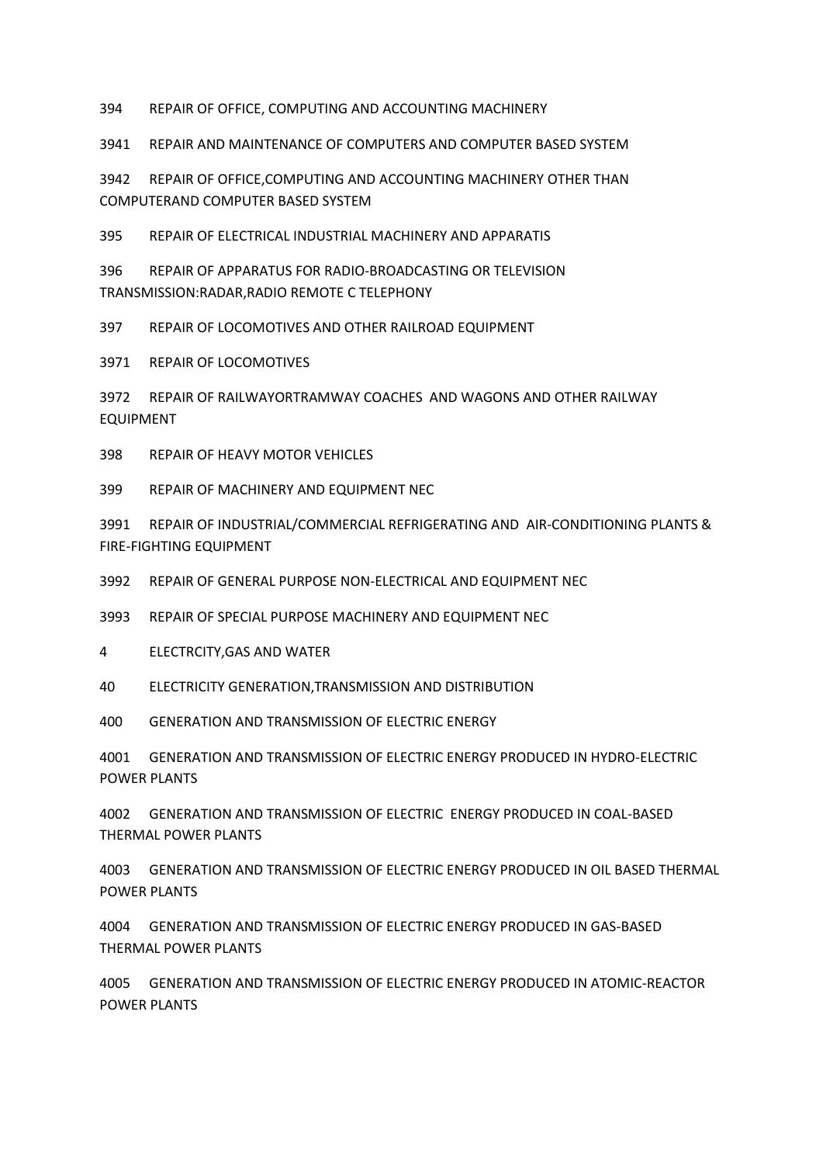394 REPAIR OF OFFICE, COMPUTING AND ACCOUNTING MACHINERY

3941 REPAIR AND MAINTENANCE OF COMPUTERS AND COMPUTER BASED SYSTEM

3942 REPAIR OF OFFICE,COMPUTING AND ACCOUNTING MACHINERY OTHER THAN COMPUTERAND COMPUTER BASED SYSTEM

395 REPAIR OF ELECTRICAL INDUSTRIAL MACHINERY AND APPARATIS

396 REPAIR OF APPARATUS FOR RADIO-BROADCASTING OR TELEVISION TRANSMISSION:RADAR,RADIO REMOTE C TELEPHONY

397 REPAIR OF LOCOMOTIVES AND OTHER RAILROAD EQUIPMENT

3971 REPAIR OF LOCOMOTIVES

3972 REPAIR OF RAILWAYORTRAMWAY COACHES AND WAGONS AND OTHER RAILWAY EQUIPMENT

398 REPAIR OF HEAVY MOTOR VEHICLES

399 REPAIR OF MACHINERY AND EQUIPMENT NEC

3991 REPAIR OF INDUSTRIAL/COMMERCIAL REFRIGERATING AND AIR-CONDITIONING PLANTS & FIRE-FIGHTING EQUIPMENT

3992 REPAIR OF GENERAL PURPOSE NON-ELECTRICAL AND EQUIPMENT NEC

3993 REPAIR OF SPECIAL PURPOSE MACHINERY AND EQUIPMENT NEC

4 ELECTRCITY,GAS AND WATER

40 ELECTRICITY GENERATION,TRANSMISSION AND DISTRIBUTION

400 GENERATION AND TRANSMISSION OF ELECTRIC ENERGY

4001 GENERATION AND TRANSMISSION OF ELECTRIC ENERGY PRODUCED IN HYDRO-ELECTRIC POWER PLANTS

4002 GENERATION AND TRANSMISSION OF ELECTRIC ENERGY PRODUCED IN COAL-BASED THERMAL POWER PLANTS

4003 GENERATION AND TRANSMISSION OF ELECTRIC ENERGY PRODUCED IN OIL BASED THERMAL POWER PLANTS

4004 GENERATION AND TRANSMISSION OF ELECTRIC ENERGY PRODUCED IN GAS-BASED THERMAL POWER PLANTS

4005 GENERATION AND TRANSMISSION OF ELECTRIC ENERGY PRODUCED IN ATOMIC-REACTOR POWER PLANTS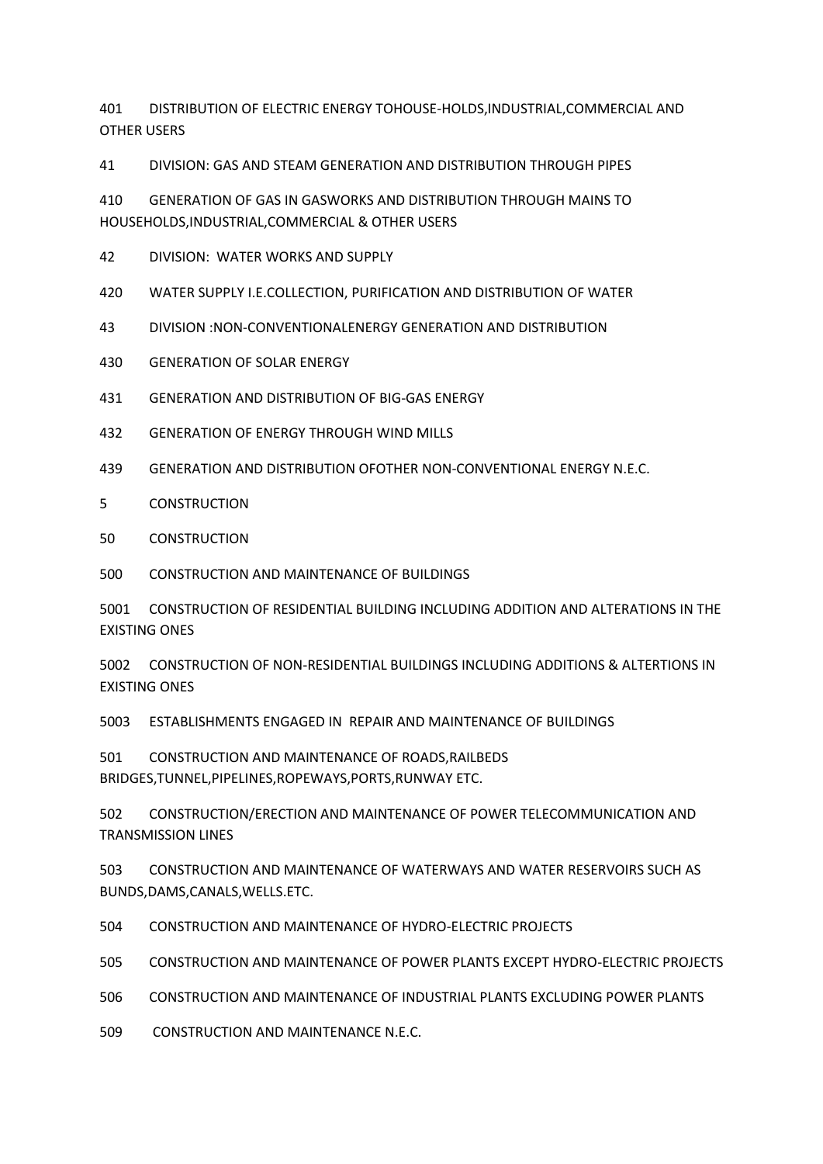401 DISTRIBUTION OF ELECTRIC ENERGY TOHOUSE-HOLDS,INDUSTRIAL,COMMERCIAL AND OTHER USERS

41 DIVISION: GAS AND STEAM GENERATION AND DISTRIBUTION THROUGH PIPES

410 GENERATION OF GAS IN GASWORKS AND DISTRIBUTION THROUGH MAINS TO HOUSEHOLDS,INDUSTRIAL,COMMERCIAL & OTHER USERS

42 DIVISION: WATER WORKS AND SUPPLY

420 WATER SUPPLY I.E.COLLECTION, PURIFICATION AND DISTRIBUTION OF WATER

43 DIVISION :NON-CONVENTIONALENERGY GENERATION AND DISTRIBUTION

430 GENERATION OF SOLAR ENERGY

431 GENERATION AND DISTRIBUTION OF BIG-GAS ENERGY

432 GENERATION OF ENERGY THROUGH WIND MILLS

439 GENERATION AND DISTRIBUTION OFOTHER NON-CONVENTIONAL ENERGY N.E.C.

5 CONSTRUCTION

50 CONSTRUCTION

500 CONSTRUCTION AND MAINTENANCE OF BUILDINGS

5001 CONSTRUCTION OF RESIDENTIAL BUILDING INCLUDING ADDITION AND ALTERATIONS IN THE EXISTING ONES

5002 CONSTRUCTION OF NON-RESIDENTIAL BUILDINGS INCLUDING ADDITIONS & ALTERTIONS IN EXISTING ONES

5003 ESTABLISHMENTS ENGAGED IN REPAIR AND MAINTENANCE OF BUILDINGS

501 CONSTRUCTION AND MAINTENANCE OF ROADS,RAILBEDS BRIDGES,TUNNEL,PIPELINES,ROPEWAYS,PORTS,RUNWAY ETC.

502 CONSTRUCTION/ERECTION AND MAINTENANCE OF POWER TELECOMMUNICATION AND TRANSMISSION LINES

503 CONSTRUCTION AND MAINTENANCE OF WATERWAYS AND WATER RESERVOIRS SUCH AS BUNDS,DAMS,CANALS,WELLS.ETC.

504 CONSTRUCTION AND MAINTENANCE OF HYDRO-ELECTRIC PROJECTS

505 CONSTRUCTION AND MAINTENANCE OF POWER PLANTS EXCEPT HYDRO-ELECTRIC PROJECTS

506 CONSTRUCTION AND MAINTENANCE OF INDUSTRIAL PLANTS EXCLUDING POWER PLANTS

509 CONSTRUCTION AND MAINTENANCE N.E.C.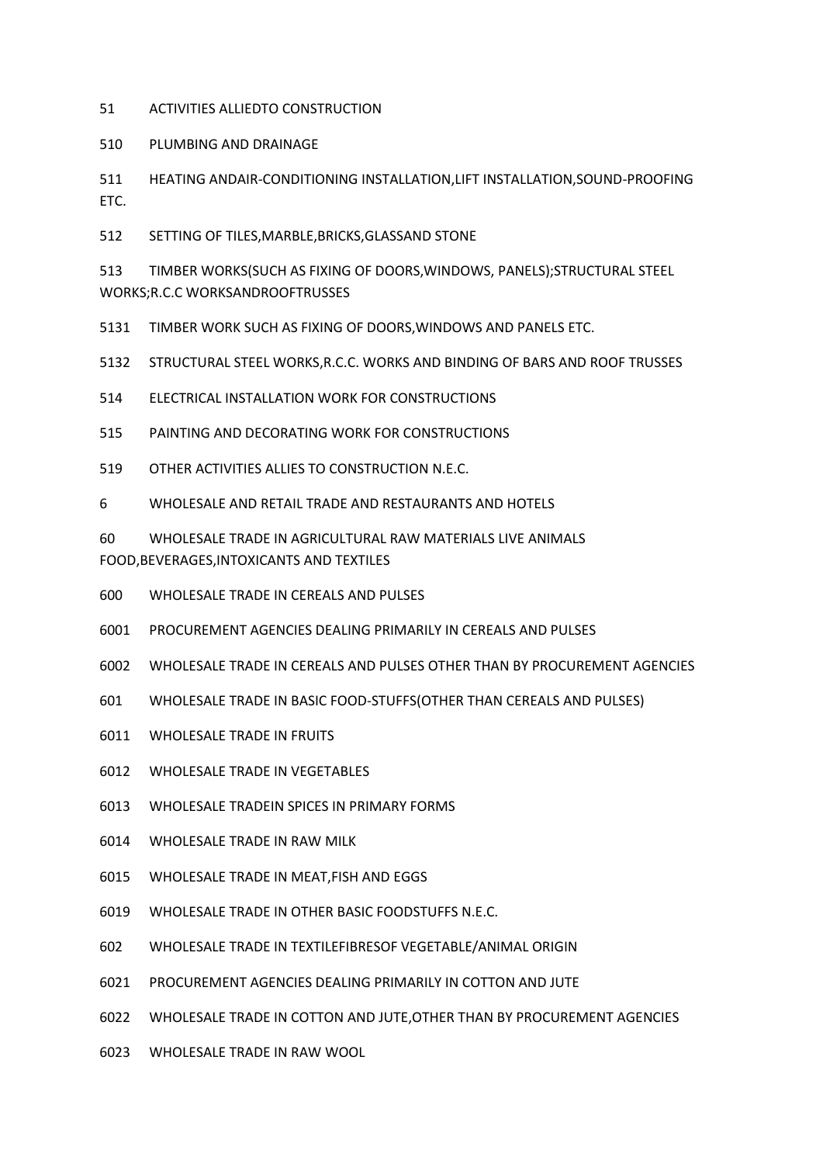51 ACTIVITIES ALLIEDTO CONSTRUCTION

510 PLUMBING AND DRAINAGE

511 HEATING ANDAIR-CONDITIONING INSTALLATION,LIFT INSTALLATION,SOUND-PROOFING ETC.

512 SETTING OF TILES,MARBLE,BRICKS,GLASSAND STONE

513 TIMBER WORKS(SUCH AS FIXING OF DOORS,WINDOWS, PANELS);STRUCTURAL STEEL WORKS;R.C.C WORKSANDROOFTRUSSES

5131 TIMBER WORK SUCH AS FIXING OF DOORS,WINDOWS AND PANELS ETC.

5132 STRUCTURAL STEEL WORKS,R.C.C. WORKS AND BINDING OF BARS AND ROOF TRUSSES

514 ELECTRICAL INSTALLATION WORK FOR CONSTRUCTIONS

515 PAINTING AND DECORATING WORK FOR CONSTRUCTIONS

- 519 OTHER ACTIVITIES ALLIES TO CONSTRUCTION N.E.C.
- 6 WHOLESALE AND RETAIL TRADE AND RESTAURANTS AND HOTELS

60 WHOLESALE TRADE IN AGRICULTURAL RAW MATERIALS LIVE ANIMALS FOOD,BEVERAGES,INTOXICANTS AND TEXTILES

- 600 WHOLESALE TRADE IN CEREALS AND PULSES
- 6001 PROCUREMENT AGENCIES DEALING PRIMARILY IN CEREALS AND PULSES
- 6002 WHOLESALE TRADE IN CEREALS AND PULSES OTHER THAN BY PROCUREMENT AGENCIES
- 601 WHOLESALE TRADE IN BASIC FOOD-STUFFS(OTHER THAN CEREALS AND PULSES)
- 6011 WHOLESALE TRADE IN FRUITS
- 6012 WHOLESALE TRADE IN VEGETABLES
- 6013 WHOLESALE TRADEIN SPICES IN PRIMARY FORMS
- 6014 WHOLESALE TRADE IN RAW MILK
- 6015 WHOLESALE TRADE IN MEAT,FISH AND EGGS
- 6019 WHOLESALE TRADE IN OTHER BASIC FOODSTUFFS N.E.C.
- 602 WHOLESALE TRADE IN TEXTILEFIBRESOF VEGETABLE/ANIMAL ORIGIN
- 6021 PROCUREMENT AGENCIES DEALING PRIMARILY IN COTTON AND JUTE
- 6022 WHOLESALE TRADE IN COTTON AND JUTE,OTHER THAN BY PROCUREMENT AGENCIES
- 6023 WHOLESALE TRADE IN RAW WOOL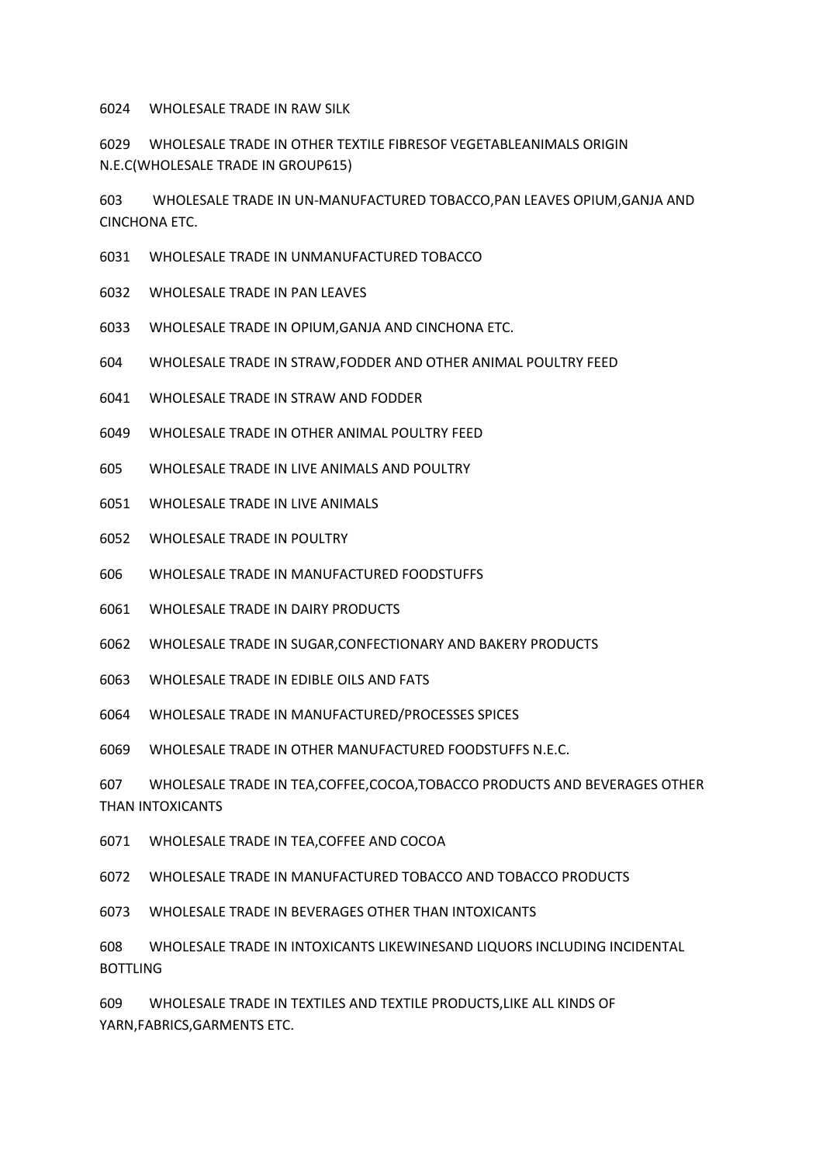WHOLESALE TRADE IN RAW SILK

 WHOLESALE TRADE IN OTHER TEXTILE FIBRESOF VEGETABLEANIMALS ORIGIN N.E.C(WHOLESALE TRADE IN GROUP615)

 WHOLESALE TRADE IN UN-MANUFACTURED TOBACCO,PAN LEAVES OPIUM,GANJA AND CINCHONA ETC.

- WHOLESALE TRADE IN UNMANUFACTURED TOBACCO
- WHOLESALE TRADE IN PAN LEAVES
- WHOLESALE TRADE IN OPIUM,GANJA AND CINCHONA ETC.
- 604 WHOLESALE TRADE IN STRAW,FODDER AND OTHER ANIMAL POULTRY FEED
- WHOLESALE TRADE IN STRAW AND FODDER
- WHOLESALE TRADE IN OTHER ANIMAL POULTRY FEED
- 605 WHOLESALE TRADE IN LIVE ANIMALS AND POULTRY
- WHOLESALE TRADE IN LIVE ANIMALS
- WHOLESALE TRADE IN POULTRY
- 606 WHOLESALE TRADE IN MANUFACTURED FOODSTUFFS
- WHOLESALE TRADE IN DAIRY PRODUCTS
- WHOLESALE TRADE IN SUGAR,CONFECTIONARY AND BAKERY PRODUCTS
- WHOLESALE TRADE IN EDIBLE OILS AND FATS
- WHOLESALE TRADE IN MANUFACTURED/PROCESSES SPICES

WHOLESALE TRADE IN OTHER MANUFACTURED FOODSTUFFS N.E.C.

607 WHOLESALE TRADE IN TEA,COFFEE,COCOA,TOBACCO PRODUCTS AND BEVERAGES OTHER THAN INTOXICANTS

- WHOLESALE TRADE IN TEA,COFFEE AND COCOA
- WHOLESALE TRADE IN MANUFACTURED TOBACCO AND TOBACCO PRODUCTS
- WHOLESALE TRADE IN BEVERAGES OTHER THAN INTOXICANTS

608 WHOLESALE TRADE IN INTOXICANTS LIKEWINESAND LIQUORS INCLUDING INCIDENTAL BOTTLING

609 WHOLESALE TRADE IN TEXTILES AND TEXTILE PRODUCTS,LIKE ALL KINDS OF YARN,FABRICS,GARMENTS ETC.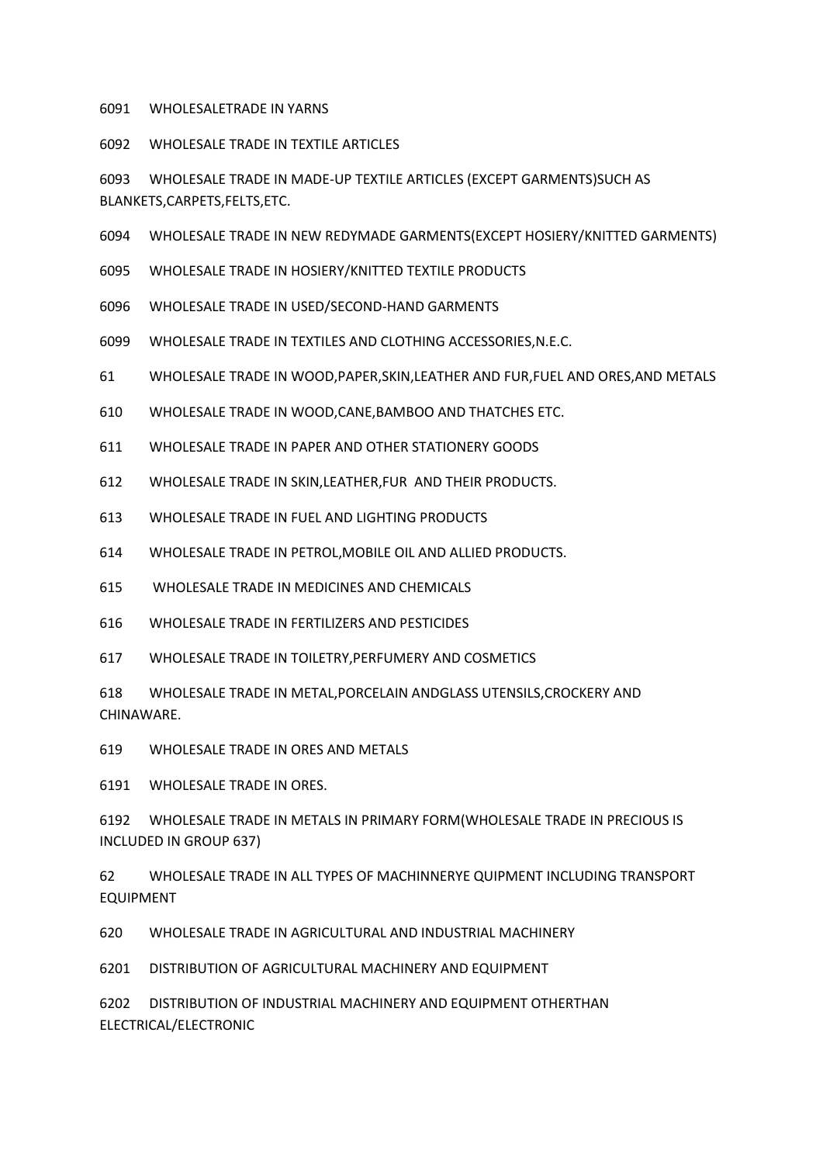6091 WHOLESALETRADE IN YARNS

6092 WHOLESALE TRADE IN TEXTILE ARTICLES

6093 WHOLESALE TRADE IN MADE-UP TEXTILE ARTICLES (EXCEPT GARMENTS)SUCH AS BLANKETS,CARPETS,FELTS,ETC.

6094 WHOLESALE TRADE IN NEW REDYMADE GARMENTS(EXCEPT HOSIERY/KNITTED GARMENTS)

6095 WHOLESALE TRADE IN HOSIERY/KNITTED TEXTILE PRODUCTS

6096 WHOLESALE TRADE IN USED/SECOND-HAND GARMENTS

6099 WHOLESALE TRADE IN TEXTILES AND CLOTHING ACCESSORIES,N.E.C.

61 WHOLESALE TRADE IN WOOD,PAPER,SKIN,LEATHER AND FUR,FUEL AND ORES,AND METALS

610 WHOLESALE TRADE IN WOOD,CANE,BAMBOO AND THATCHES ETC.

611 WHOLESALE TRADE IN PAPER AND OTHER STATIONERY GOODS

612 WHOLESALE TRADE IN SKIN,LEATHER,FUR AND THEIR PRODUCTS.

613 WHOLESALE TRADE IN FUEL AND LIGHTING PRODUCTS

614 WHOLESALE TRADE IN PETROL,MOBILE OIL AND ALLIED PRODUCTS.

615 WHOLESALE TRADE IN MEDICINES AND CHEMICALS

616 WHOLESALE TRADE IN FERTILIZERS AND PESTICIDES

617 WHOLESALE TRADE IN TOILETRY,PERFUMERY AND COSMETICS

618 WHOLESALE TRADE IN METAL,PORCELAIN ANDGLASS UTENSILS,CROCKERY AND CHINAWARE.

619 WHOLESALE TRADE IN ORES AND METALS

6191 WHOLESALE TRADE IN ORES.

6192 WHOLESALE TRADE IN METALS IN PRIMARY FORM(WHOLESALE TRADE IN PRECIOUS IS INCLUDED IN GROUP 637)

62 WHOLESALE TRADE IN ALL TYPES OF MACHINNERYE QUIPMENT INCLUDING TRANSPORT EQUIPMENT

620 WHOLESALE TRADE IN AGRICULTURAL AND INDUSTRIAL MACHINERY

6201 DISTRIBUTION OF AGRICULTURAL MACHINERY AND EQUIPMENT

6202 DISTRIBUTION OF INDUSTRIAL MACHINERY AND EQUIPMENT OTHERTHAN ELECTRICAL/ELECTRONIC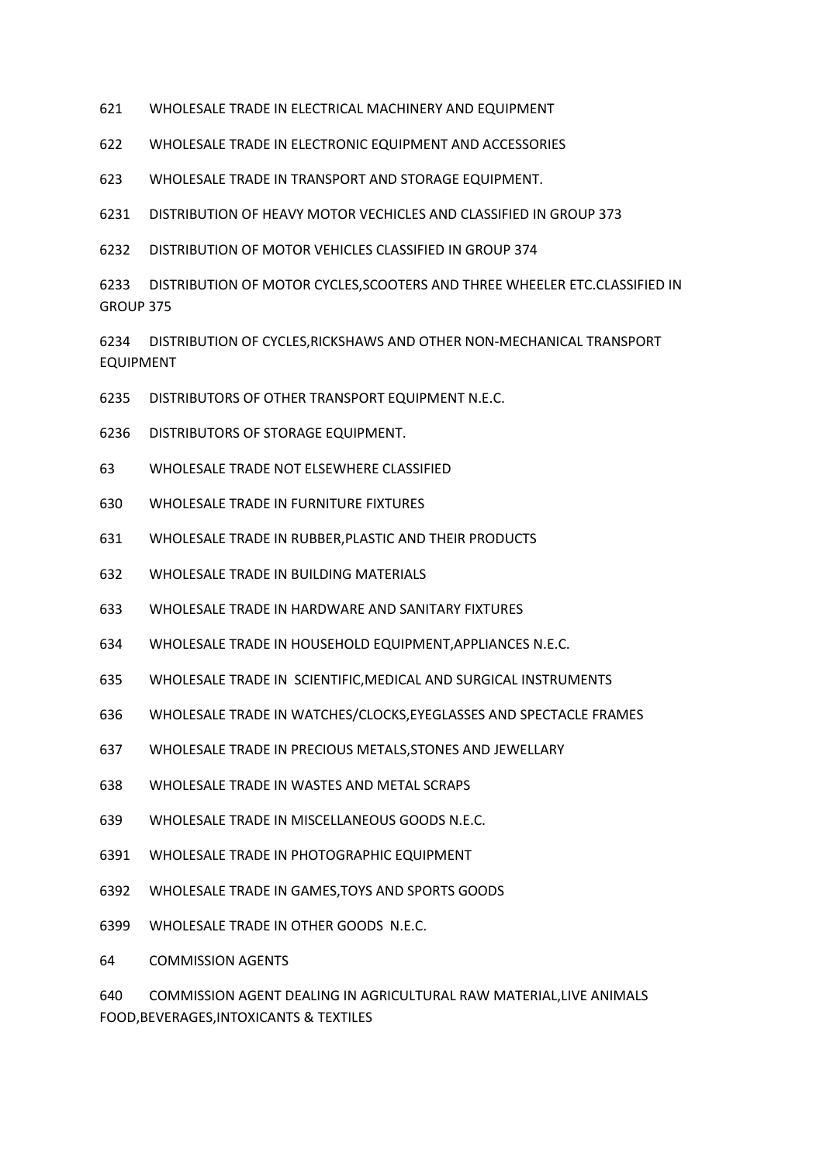- 621 WHOLESALE TRADE IN ELECTRICAL MACHINERY AND EQUIPMENT
- 622 WHOLESALE TRADE IN ELECTRONIC EQUIPMENT AND ACCESSORIES
- 623 WHOLESALE TRADE IN TRANSPORT AND STORAGE EQUIPMENT.
- 6231 DISTRIBUTION OF HEAVY MOTOR VECHICLES AND CLASSIFIED IN GROUP 373
- 6232 DISTRIBUTION OF MOTOR VEHICLES CLASSIFIED IN GROUP 374

6233 DISTRIBUTION OF MOTOR CYCLES,SCOOTERS AND THREE WHEELER ETC.CLASSIFIED IN GROUP 375

6234 DISTRIBUTION OF CYCLES,RICKSHAWS AND OTHER NON-MECHANICAL TRANSPORT EQUIPMENT

- 6235 DISTRIBUTORS OF OTHER TRANSPORT EQUIPMENT N.E.C.
- 6236 DISTRIBUTORS OF STORAGE EQUIPMENT.
- 63 WHOLESALE TRADE NOT ELSEWHERE CLASSIFIED
- 630 WHOLESALE TRADE IN FURNITURE FIXTURES
- 631 WHOLESALE TRADE IN RUBBER,PLASTIC AND THEIR PRODUCTS
- 632 WHOLESALE TRADE IN BUILDING MATERIALS
- 633 WHOLESALE TRADE IN HARDWARE AND SANITARY FIXTURES
- 634 WHOLESALE TRADE IN HOUSEHOLD EQUIPMENT,APPLIANCES N.E.C.
- 635 WHOLESALE TRADE IN SCIENTIFIC,MEDICAL AND SURGICAL INSTRUMENTS
- 636 WHOLESALE TRADE IN WATCHES/CLOCKS,EYEGLASSES AND SPECTACLE FRAMES
- 637 WHOLESALE TRADE IN PRECIOUS METALS,STONES AND JEWELLARY
- 638 WHOLESALE TRADE IN WASTES AND METAL SCRAPS
- 639 WHOLESALE TRADE IN MISCELLANEOUS GOODS N.E.C.
- 6391 WHOLESALE TRADE IN PHOTOGRAPHIC EQUIPMENT
- 6392 WHOLESALE TRADE IN GAMES,TOYS AND SPORTS GOODS
- 6399 WHOLESALE TRADE IN OTHER GOODS N.E.C.
- 64 COMMISSION AGENTS

640 COMMISSION AGENT DEALING IN AGRICULTURAL RAW MATERIAL,LIVE ANIMALS FOOD,BEVERAGES,INTOXICANTS & TEXTILES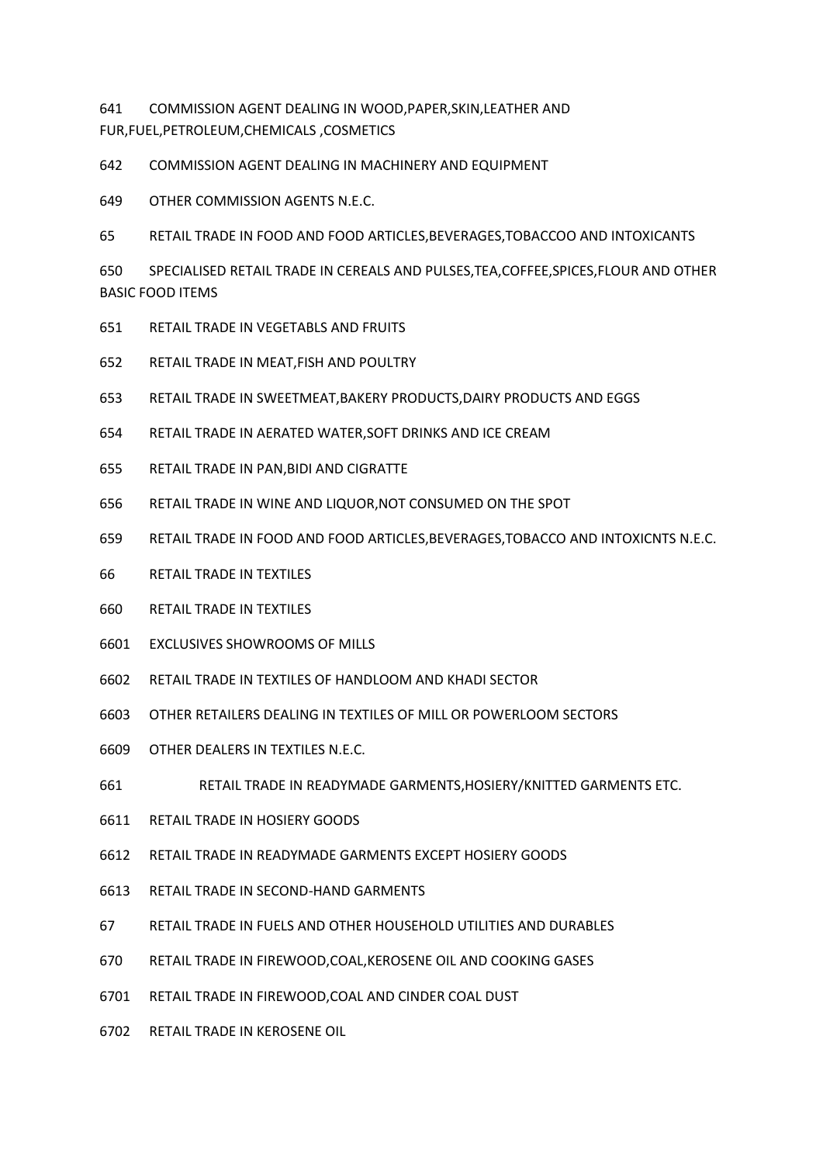641 COMMISSION AGENT DEALING IN WOOD,PAPER,SKIN,LEATHER AND FUR,FUEL,PETROLEUM,CHEMICALS ,COSMETICS

642 COMMISSION AGENT DEALING IN MACHINERY AND EQUIPMENT

649 OTHER COMMISSION AGENTS N.E.C.

65 RETAIL TRADE IN FOOD AND FOOD ARTICLES,BEVERAGES,TOBACCOO AND INTOXICANTS

650 SPECIALISED RETAIL TRADE IN CEREALS AND PULSES,TEA,COFFEE,SPICES,FLOUR AND OTHER BASIC FOOD ITEMS

- 651 RETAIL TRADE IN VEGETABLS AND FRUITS
- 652 RETAIL TRADE IN MEAT,FISH AND POULTRY
- 653 RETAIL TRADE IN SWEETMEAT,BAKERY PRODUCTS,DAIRY PRODUCTS AND EGGS
- 654 RETAIL TRADE IN AERATED WATER,SOFT DRINKS AND ICE CREAM
- 655 RETAIL TRADE IN PAN,BIDI AND CIGRATTE
- 656 RETAIL TRADE IN WINE AND LIQUOR,NOT CONSUMED ON THE SPOT
- 659 RETAIL TRADE IN FOOD AND FOOD ARTICLES,BEVERAGES,TOBACCO AND INTOXICNTS N.E.C.
- 66 RETAIL TRADE IN TEXTILES
- 660 RETAIL TRADE IN TEXTILES
- 6601 EXCLUSIVES SHOWROOMS OF MILLS
- 6602 RETAIL TRADE IN TEXTILES OF HANDLOOM AND KHADI SECTOR
- 6603 OTHER RETAILERS DEALING IN TEXTILES OF MILL OR POWERLOOM SECTORS
- 6609 OTHER DEALERS IN TEXTILES N.E.C.
- 661 RETAIL TRADE IN READYMADE GARMENTS,HOSIERY/KNITTED GARMENTS ETC.
- 6611 RETAIL TRADE IN HOSIERY GOODS
- 6612 RETAIL TRADE IN READYMADE GARMENTS EXCEPT HOSIERY GOODS
- 6613 RETAIL TRADE IN SECOND-HAND GARMENTS
- 67 RETAIL TRADE IN FUELS AND OTHER HOUSEHOLD UTILITIES AND DURABLES
- 670 RETAIL TRADE IN FIREWOOD,COAL,KEROSENE OIL AND COOKING GASES
- 6701 RETAIL TRADE IN FIREWOOD,COAL AND CINDER COAL DUST
- 6702 RETAIL TRADE IN KEROSENE OIL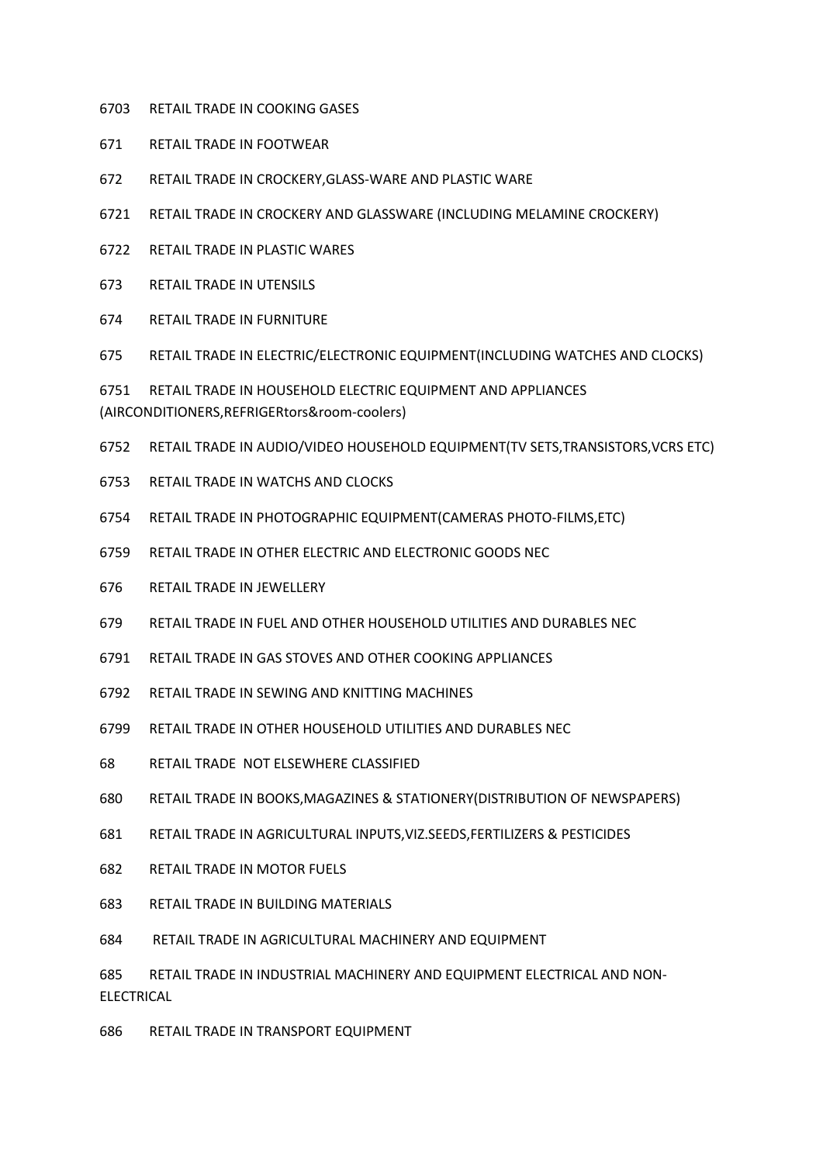- 6703 RETAIL TRADE IN COOKING GASES
- 671 RETAIL TRADE IN FOOTWEAR
- 672 RETAIL TRADE IN CROCKERY,GLASS-WARE AND PLASTIC WARE
- 6721 RETAIL TRADE IN CROCKERY AND GLASSWARE (INCLUDING MELAMINE CROCKERY)
- 6722 RETAIL TRADE IN PLASTIC WARES
- 673 RETAIL TRADE IN UTENSILS
- 674 RETAIL TRADE IN FURNITURE
- 675 RETAIL TRADE IN ELECTRIC/ELECTRONIC EQUIPMENT(INCLUDING WATCHES AND CLOCKS)

6751 RETAIL TRADE IN HOUSEHOLD ELECTRIC EQUIPMENT AND APPLIANCES (AIRCONDITIONERS,REFRIGERtors&room-coolers)

- 6752 RETAIL TRADE IN AUDIO/VIDEO HOUSEHOLD EQUIPMENT(TV SETS,TRANSISTORS,VCRS ETC)
- 6753 RETAIL TRADE IN WATCHS AND CLOCKS
- 6754 RETAIL TRADE IN PHOTOGRAPHIC EQUIPMENT(CAMERAS PHOTO-FILMS,ETC)
- 6759 RETAIL TRADE IN OTHER ELECTRIC AND ELECTRONIC GOODS NEC
- 676 RETAIL TRADE IN JEWELLERY
- 679 RETAIL TRADE IN FUEL AND OTHER HOUSEHOLD UTILITIES AND DURABLES NEC
- 6791 RETAIL TRADE IN GAS STOVES AND OTHER COOKING APPLIANCES
- 6792 RETAIL TRADE IN SEWING AND KNITTING MACHINES
- 6799 RETAIL TRADE IN OTHER HOUSEHOLD UTILITIES AND DURABLES NEC
- 68 RETAIL TRADE NOT ELSEWHERE CLASSIFIED
- 680 RETAIL TRADE IN BOOKS,MAGAZINES & STATIONERY(DISTRIBUTION OF NEWSPAPERS)
- 681 RETAIL TRADE IN AGRICULTURAL INPUTS,VIZ.SEEDS,FERTILIZERS & PESTICIDES
- 682 RETAIL TRADE IN MOTOR FUELS
- 683 RETAIL TRADE IN BUILDING MATERIALS
- 684 RETAIL TRADE IN AGRICULTURAL MACHINERY AND EQUIPMENT

685 RETAIL TRADE IN INDUSTRIAL MACHINERY AND EQUIPMENT ELECTRICAL AND NON-ELECTRICAL

686 RETAIL TRADE IN TRANSPORT EQUIPMENT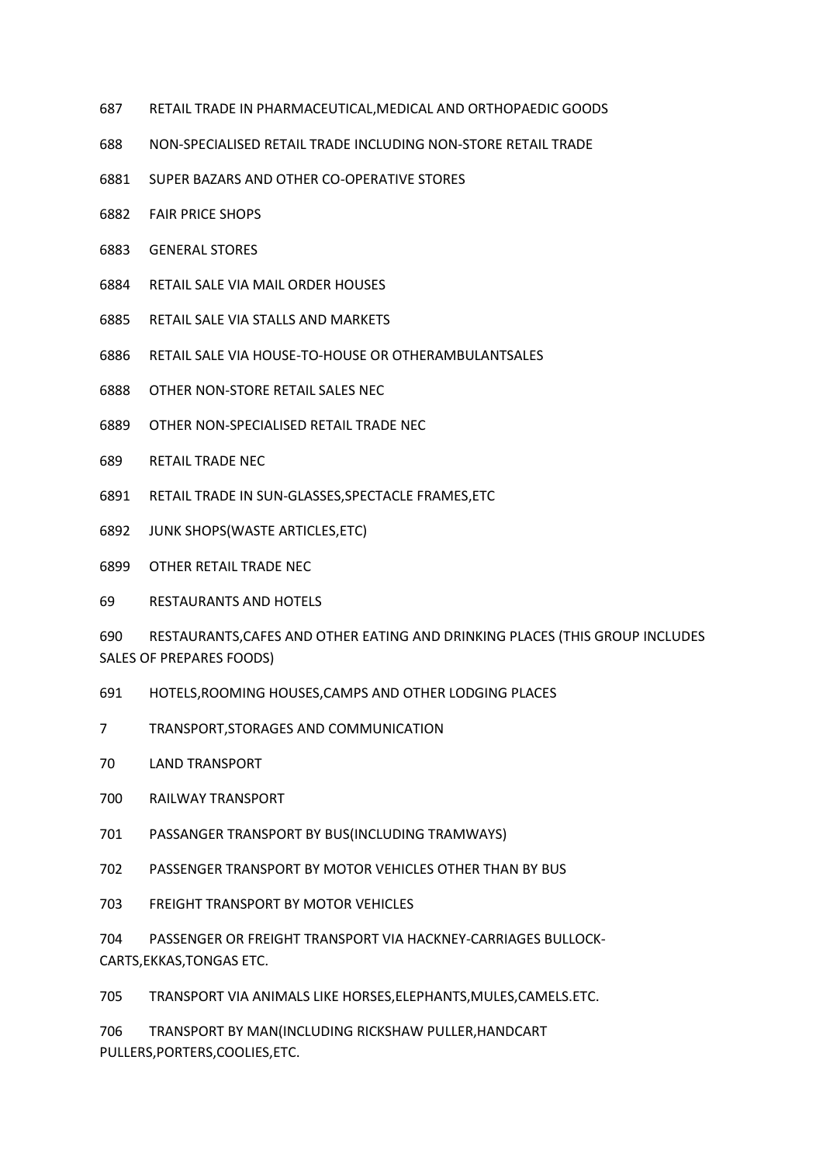- 687 RETAIL TRADE IN PHARMACEUTICAL,MEDICAL AND ORTHOPAEDIC GOODS
- 688 NON-SPECIALISED RETAIL TRADE INCLUDING NON-STORE RETAIL TRADE
- 6881 SUPER BAZARS AND OTHER CO-OPERATIVE STORES
- 6882 FAIR PRICE SHOPS
- 6883 GENERAL STORES
- 6884 RETAIL SALE VIA MAIL ORDER HOUSES
- 6885 RETAIL SALE VIA STALLS AND MARKETS
- 6886 RETAIL SALE VIA HOUSE-TO-HOUSE OR OTHERAMBULANTSALES
- 6888 OTHER NON-STORE RETAIL SALES NEC
- 6889 OTHER NON-SPECIALISED RETAIL TRADE NEC
- 689 RETAIL TRADE NEC
- 6891 RETAIL TRADE IN SUN-GLASSES,SPECTACLE FRAMES,ETC
- 6892 JUNK SHOPS(WASTE ARTICLES,ETC)

6899 OTHER RETAIL TRADE NEC

69 RESTAURANTS AND HOTELS

690 RESTAURANTS,CAFES AND OTHER EATING AND DRINKING PLACES (THIS GROUP INCLUDES SALES OF PREPARES FOODS)

691 HOTELS,ROOMING HOUSES,CAMPS AND OTHER LODGING PLACES

7 TRANSPORT,STORAGES AND COMMUNICATION

70 LAND TRANSPORT

700 RAILWAY TRANSPORT

- 701 PASSANGER TRANSPORT BY BUS(INCLUDING TRAMWAYS)
- 702 PASSENGER TRANSPORT BY MOTOR VEHICLES OTHER THAN BY BUS

703 FREIGHT TRANSPORT BY MOTOR VEHICLES

704 PASSENGER OR FREIGHT TRANSPORT VIA HACKNEY-CARRIAGES BULLOCK-CARTS,EKKAS,TONGAS ETC.

705 TRANSPORT VIA ANIMALS LIKE HORSES,ELEPHANTS,MULES,CAMELS.ETC.

706 TRANSPORT BY MAN(INCLUDING RICKSHAW PULLER,HANDCART PULLERS,PORTERS,COOLIES,ETC.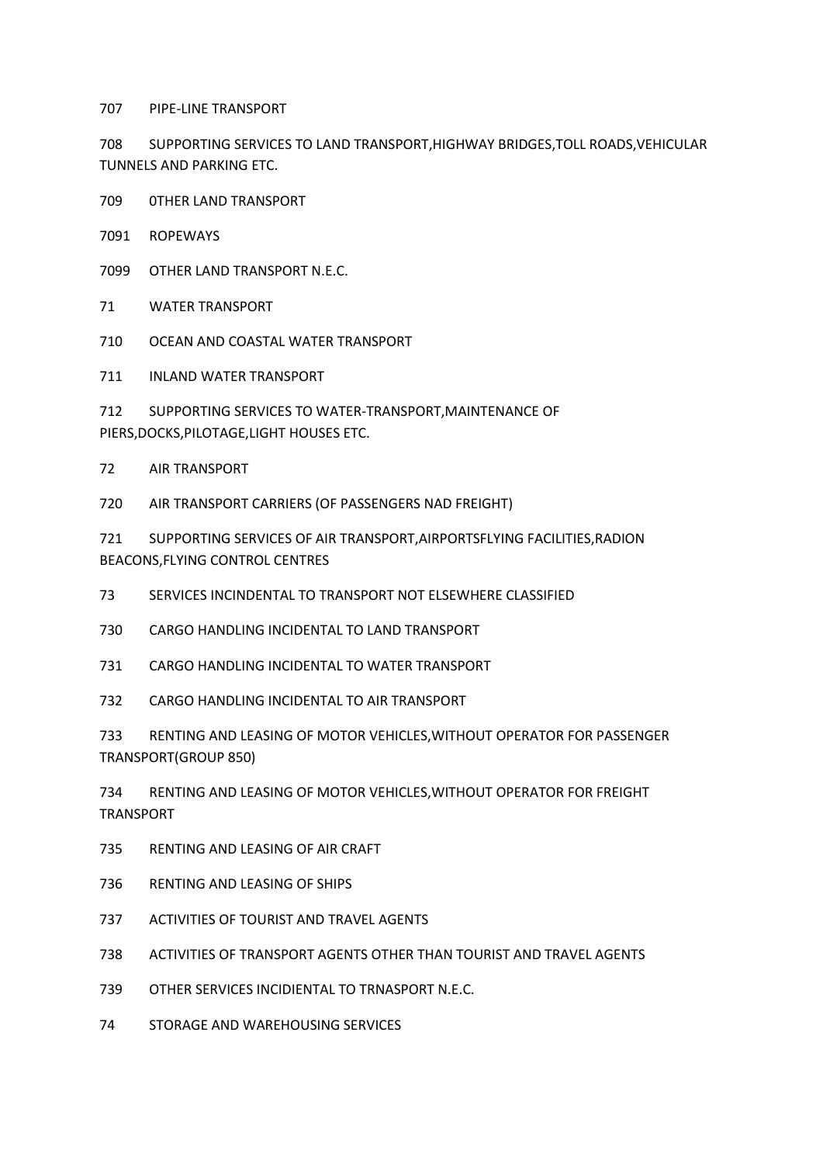707 PIPE-LINE TRANSPORT

708 SUPPORTING SERVICES TO LAND TRANSPORT,HIGHWAY BRIDGES,TOLL ROADS,VEHICULAR TUNNELS AND PARKING ETC.

709 0THER LAND TRANSPORT

- 7091 ROPEWAYS
- 7099 OTHER LAND TRANSPORT N.E.C.
- 71 WATER TRANSPORT
- 710 OCEAN AND COASTAL WATER TRANSPORT

711 INLAND WATER TRANSPORT

712 SUPPORTING SERVICES TO WATER-TRANSPORT,MAINTENANCE OF PIERS,DOCKS,PILOTAGE,LIGHT HOUSES ETC.

72 AIR TRANSPORT

720 AIR TRANSPORT CARRIERS (OF PASSENGERS NAD FREIGHT)

721 SUPPORTING SERVICES OF AIR TRANSPORT,AIRPORTSFLYING FACILITIES,RADION BEACONS,FLYING CONTROL CENTRES

73 SERVICES INCINDENTAL TO TRANSPORT NOT ELSEWHERE CLASSIFIED

730 CARGO HANDLING INCIDENTAL TO LAND TRANSPORT

731 CARGO HANDLING INCIDENTAL TO WATER TRANSPORT

732 CARGO HANDLING INCIDENTAL TO AIR TRANSPORT

733 RENTING AND LEASING OF MOTOR VEHICLES,WITHOUT OPERATOR FOR PASSENGER TRANSPORT(GROUP 850)

734 RENTING AND LEASING OF MOTOR VEHICLES,WITHOUT OPERATOR FOR FREIGHT TRANSPORT

735 RENTING AND LEASING OF AIR CRAFT

736 RENTING AND LEASING OF SHIPS

737 ACTIVITIES OF TOURIST AND TRAVEL AGENTS

738 ACTIVITIES OF TRANSPORT AGENTS OTHER THAN TOURIST AND TRAVEL AGENTS

739 OTHER SERVICES INCIDIENTAL TO TRNASPORT N.E.C.

74 STORAGE AND WAREHOUSING SERVICES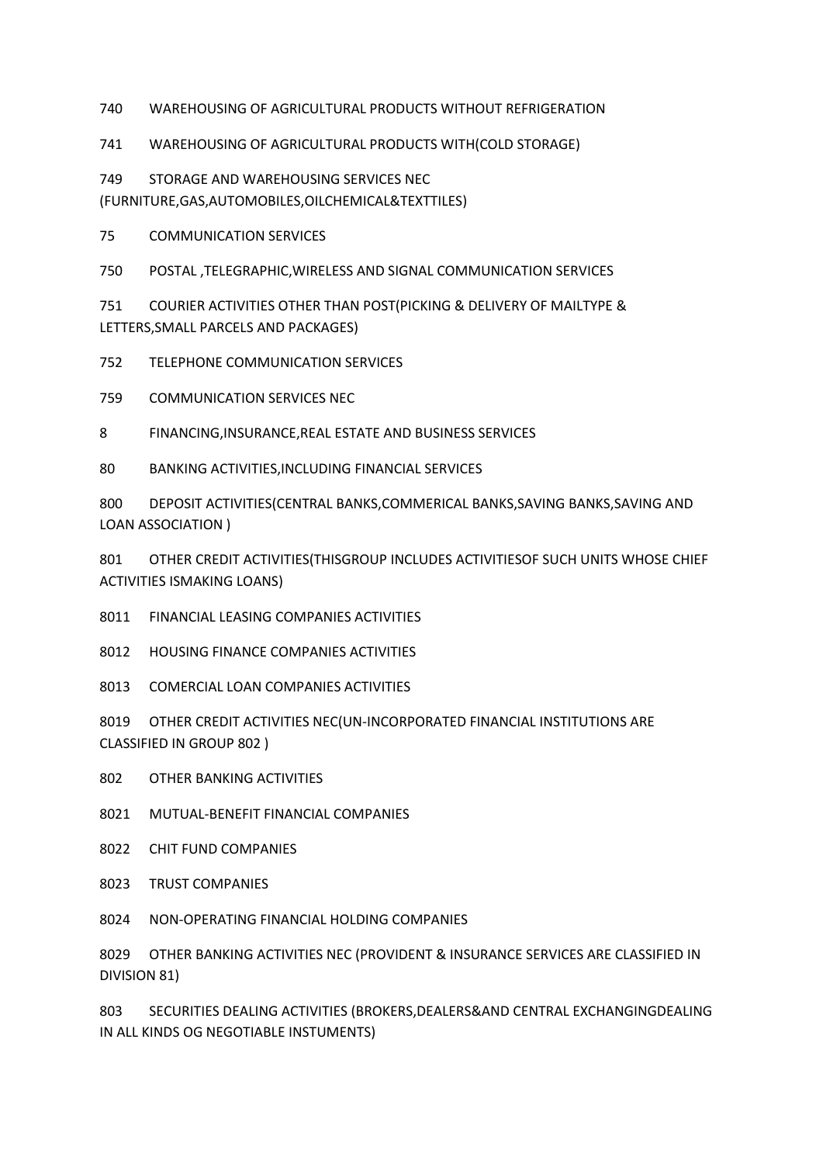740 WAREHOUSING OF AGRICULTURAL PRODUCTS WITHOUT REFRIGERATION

741 WAREHOUSING OF AGRICULTURAL PRODUCTS WITH(COLD STORAGE)

749 STORAGE AND WAREHOUSING SERVICES NEC (FURNITURE,GAS,AUTOMOBILES,OILCHEMICAL&TEXTTILES)

75 COMMUNICATION SERVICES

750 POSTAL ,TELEGRAPHIC,WIRELESS AND SIGNAL COMMUNICATION SERVICES

751 COURIER ACTIVITIES OTHER THAN POST(PICKING & DELIVERY OF MAILTYPE & LETTERS,SMALL PARCELS AND PACKAGES)

752 TELEPHONE COMMUNICATION SERVICES

759 COMMUNICATION SERVICES NEC

8 FINANCING,INSURANCE,REAL ESTATE AND BUSINESS SERVICES

80 BANKING ACTIVITIES,INCLUDING FINANCIAL SERVICES

800 DEPOSIT ACTIVITIES(CENTRAL BANKS,COMMERICAL BANKS,SAVING BANKS,SAVING AND LOAN ASSOCIATION )

801 OTHER CREDIT ACTIVITIES(THISGROUP INCLUDES ACTIVITIESOF SUCH UNITS WHOSE CHIEF ACTIVITIES ISMAKING LOANS)

8011 FINANCIAL LEASING COMPANIES ACTIVITIES

8012 HOUSING FINANCE COMPANIES ACTIVITIES

8013 COMERCIAL LOAN COMPANIES ACTIVITIES

8019 OTHER CREDIT ACTIVITIES NEC(UN-INCORPORATED FINANCIAL INSTITUTIONS ARE CLASSIFIED IN GROUP 802 )

802 OTHER BANKING ACTIVITIES

8021 MUTUAL-BENEFIT FINANCIAL COMPANIES

8022 CHIT FUND COMPANIES

8023 TRUST COMPANIES

8024 NON-OPERATING FINANCIAL HOLDING COMPANIES

8029 OTHER BANKING ACTIVITIES NEC (PROVIDENT & INSURANCE SERVICES ARE CLASSIFIED IN DIVISION 81)

803 SECURITIES DEALING ACTIVITIES (BROKERS,DEALERS&AND CENTRAL EXCHANGINGDEALING IN ALL KINDS OG NEGOTIABLE INSTUMENTS)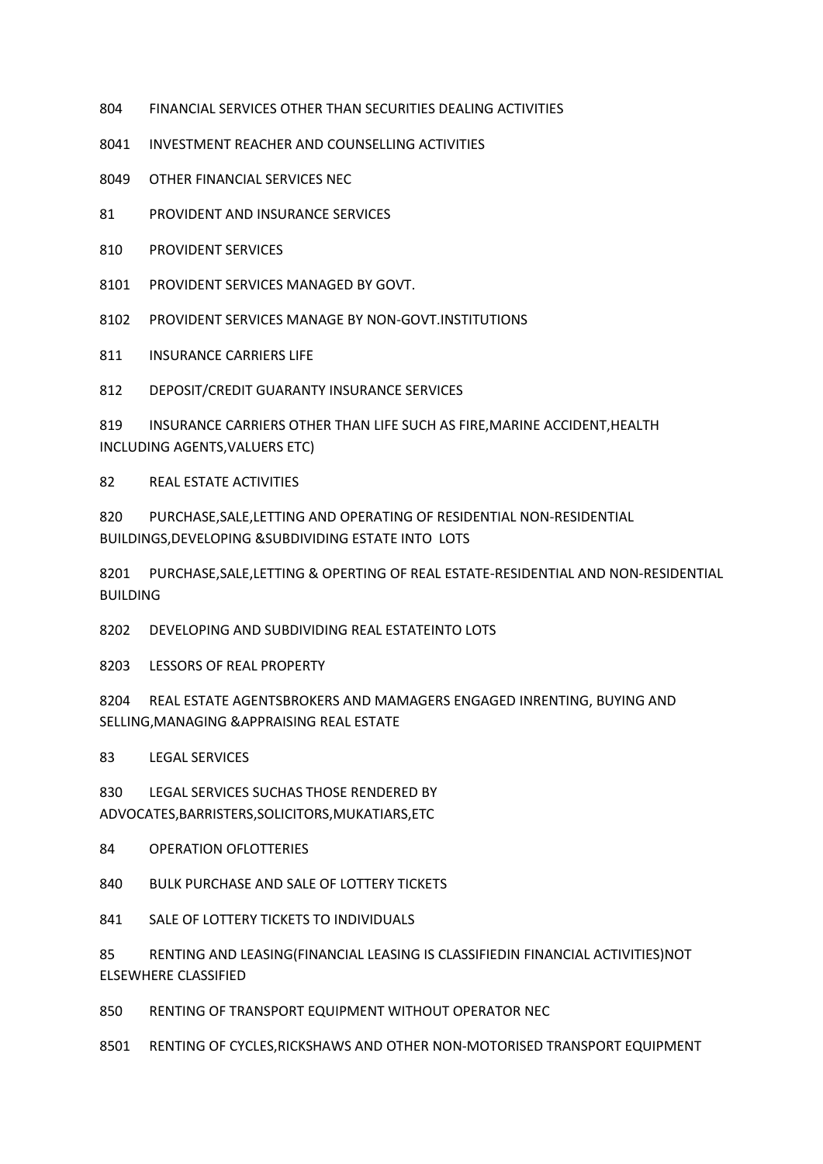- 804 FINANCIAL SERVICES OTHER THAN SECURITIES DEALING ACTIVITIES
- 8041 INVESTMENT REACHER AND COUNSELLING ACTIVITIES
- 8049 OTHER FINANCIAL SERVICES NEC
- 81 PROVIDENT AND INSURANCE SERVICES
- 810 PROVIDENT SERVICES
- 8101 PROVIDENT SERVICES MANAGED BY GOVT.
- 8102 PROVIDENT SERVICES MANAGE BY NON-GOVT.INSTITUTIONS

811 INSURANCE CARRIERS LIFE

812 DEPOSIT/CREDIT GUARANTY INSURANCE SERVICES

819 INSURANCE CARRIERS OTHER THAN LIFE SUCH AS FIRE,MARINE ACCIDENT,HEALTH INCLUDING AGENTS,VALUERS ETC)

82 REAL ESTATE ACTIVITIES

820 PURCHASE,SALE,LETTING AND OPERATING OF RESIDENTIAL NON-RESIDENTIAL BUILDINGS,DEVELOPING &SUBDIVIDING ESTATE INTO LOTS

8201 PURCHASE,SALE,LETTING & OPERTING OF REAL ESTATE-RESIDENTIAL AND NON-RESIDENTIAL **BUILDING** 

8202 DEVELOPING AND SUBDIVIDING REAL ESTATEINTO LOTS

8203 LESSORS OF REAL PROPERTY

8204 REAL ESTATE AGENTSBROKERS AND MAMAGERS ENGAGED INRENTING, BUYING AND SELLING,MANAGING &APPRAISING REAL ESTATE

83 LEGAL SERVICES

830 LEGAL SERVICES SUCHAS THOSE RENDERED BY ADVOCATES,BARRISTERS,SOLICITORS,MUKATIARS,ETC

84 OPERATION OFLOTTERIES

840 BULK PURCHASE AND SALE OF LOTTERY TICKETS

841 SALE OF LOTTERY TICKETS TO INDIVIDUALS

85 RENTING AND LEASING(FINANCIAL LEASING IS CLASSIFIEDIN FINANCIAL ACTIVITIES)NOT ELSEWHERE CLASSIFIED

850 RENTING OF TRANSPORT EQUIPMENT WITHOUT OPERATOR NEC

8501 RENTING OF CYCLES,RICKSHAWS AND OTHER NON-MOTORISED TRANSPORT EQUIPMENT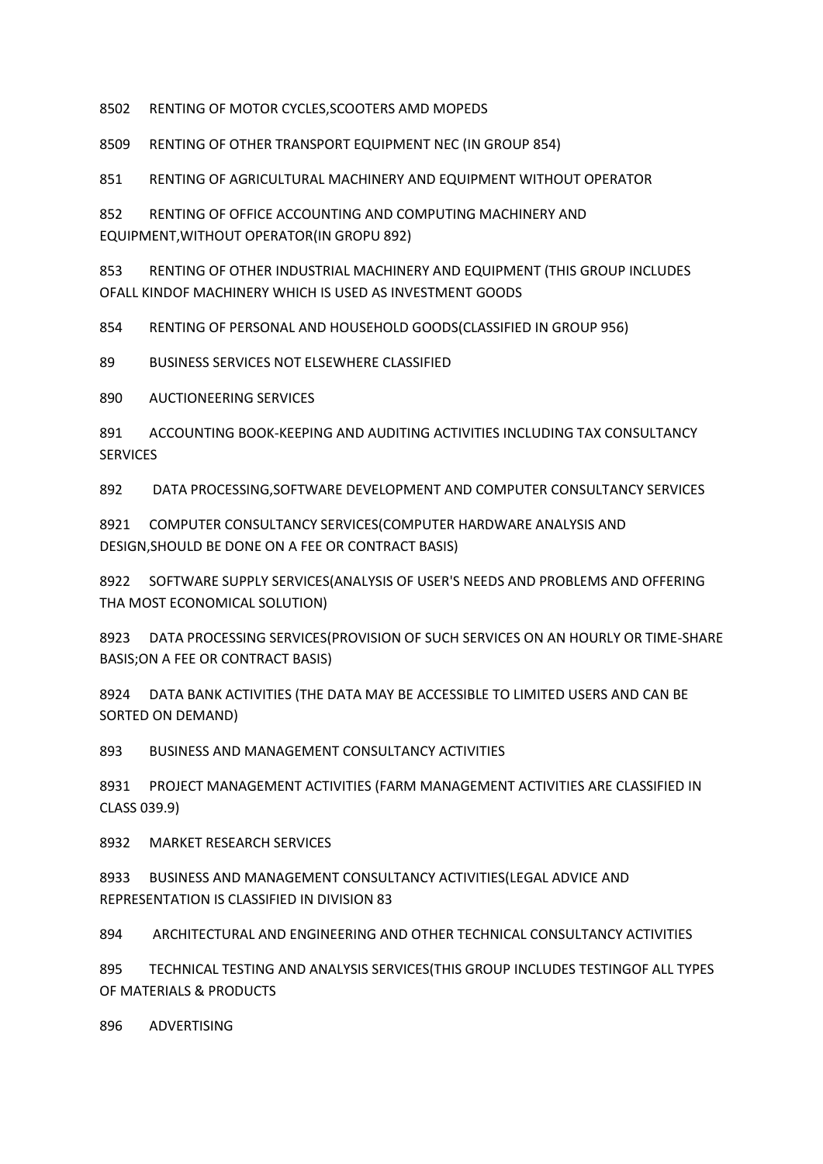8502 RENTING OF MOTOR CYCLES,SCOOTERS AMD MOPEDS

8509 RENTING OF OTHER TRANSPORT EQUIPMENT NEC (IN GROUP 854)

851 RENTING OF AGRICULTURAL MACHINERY AND EQUIPMENT WITHOUT OPERATOR

852 RENTING OF OFFICE ACCOUNTING AND COMPUTING MACHINERY AND EQUIPMENT,WITHOUT OPERATOR(IN GROPU 892)

853 RENTING OF OTHER INDUSTRIAL MACHINERY AND EQUIPMENT (THIS GROUP INCLUDES OFALL KINDOF MACHINERY WHICH IS USED AS INVESTMENT GOODS

854 RENTING OF PERSONAL AND HOUSEHOLD GOODS(CLASSIFIED IN GROUP 956)

89 BUSINESS SERVICES NOT ELSEWHERE CLASSIFIED

890 AUCTIONEERING SERVICES

891 ACCOUNTING BOOK-KEEPING AND AUDITING ACTIVITIES INCLUDING TAX CONSULTANCY **SERVICES** 

892 DATA PROCESSING,SOFTWARE DEVELOPMENT AND COMPUTER CONSULTANCY SERVICES

8921 COMPUTER CONSULTANCY SERVICES(COMPUTER HARDWARE ANALYSIS AND DESIGN,SHOULD BE DONE ON A FEE OR CONTRACT BASIS)

8922 SOFTWARE SUPPLY SERVICES(ANALYSIS OF USER'S NEEDS AND PROBLEMS AND OFFERING THA MOST ECONOMICAL SOLUTION)

8923 DATA PROCESSING SERVICES(PROVISION OF SUCH SERVICES ON AN HOURLY OR TIME-SHARE BASIS;ON A FEE OR CONTRACT BASIS)

8924 DATA BANK ACTIVITIES (THE DATA MAY BE ACCESSIBLE TO LIMITED USERS AND CAN BE SORTED ON DEMAND)

893 BUSINESS AND MANAGEMENT CONSULTANCY ACTIVITIES

8931 PROJECT MANAGEMENT ACTIVITIES (FARM MANAGEMENT ACTIVITIES ARE CLASSIFIED IN CLASS 039.9)

8932 MARKET RESEARCH SERVICES

8933 BUSINESS AND MANAGEMENT CONSULTANCY ACTIVITIES(LEGAL ADVICE AND REPRESENTATION IS CLASSIFIED IN DIVISION 83

894 ARCHITECTURAL AND ENGINEERING AND OTHER TECHNICAL CONSULTANCY ACTIVITIES

895 TECHNICAL TESTING AND ANALYSIS SERVICES(THIS GROUP INCLUDES TESTINGOF ALL TYPES OF MATERIALS & PRODUCTS

896 ADVERTISING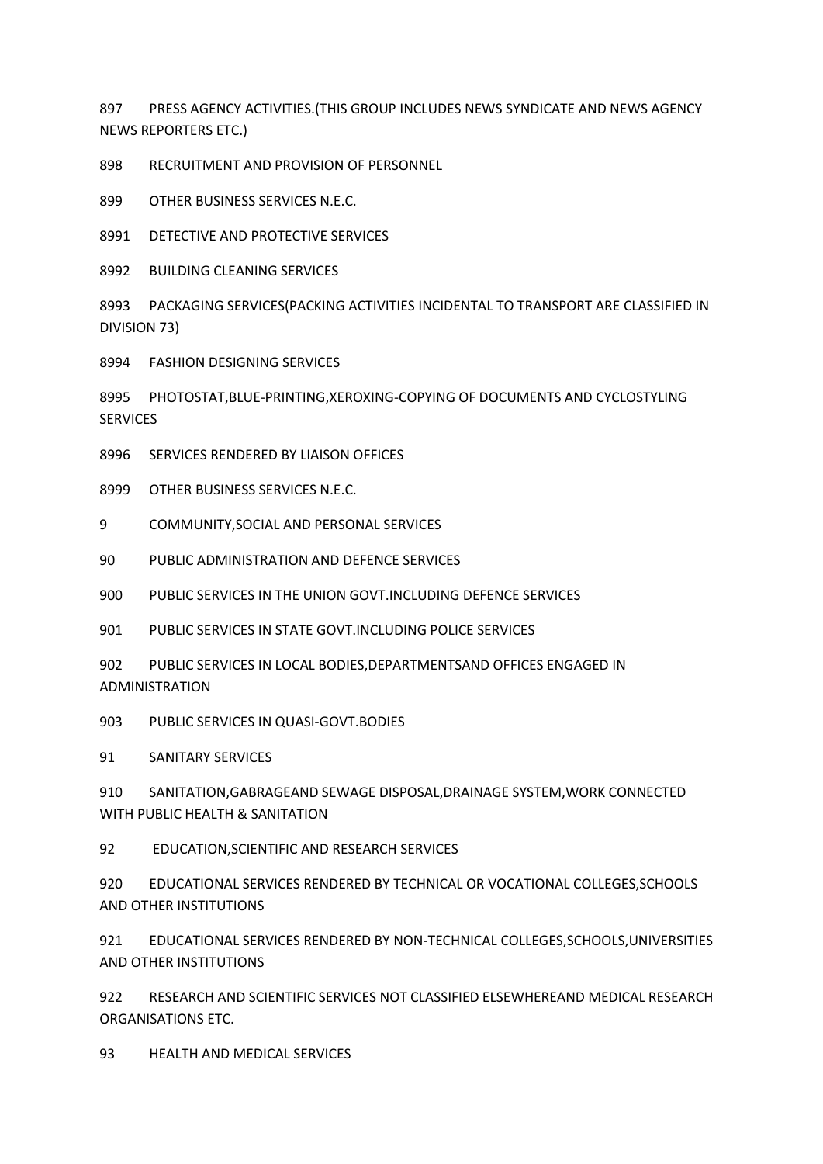897 PRESS AGENCY ACTIVITIES.(THIS GROUP INCLUDES NEWS SYNDICATE AND NEWS AGENCY NEWS REPORTERS ETC.)

898 RECRUITMENT AND PROVISION OF PERSONNEL

899 OTHER BUSINESS SERVICES N.E.C.

8991 DETECTIVE AND PROTECTIVE SERVICES

8992 BUILDING CLEANING SERVICES

8993 PACKAGING SERVICES(PACKING ACTIVITIES INCIDENTAL TO TRANSPORT ARE CLASSIFIED IN DIVISION 73)

8994 FASHION DESIGNING SERVICES

8995 PHOTOSTAT,BLUE-PRINTING,XEROXING-COPYING OF DOCUMENTS AND CYCLOSTYLING **SERVICES** 

8996 SERVICES RENDERED BY LIAISON OFFICES

8999 OTHER BUSINESS SERVICES N.E.C.

9 COMMUNITY,SOCIAL AND PERSONAL SERVICES

90 PUBLIC ADMINISTRATION AND DEFENCE SERVICES

900 PUBLIC SERVICES IN THE UNION GOVT.INCLUDING DEFENCE SERVICES

901 PUBLIC SERVICES IN STATE GOVT.INCLUDING POLICE SERVICES

902 PUBLIC SERVICES IN LOCAL BODIES,DEPARTMENTSAND OFFICES ENGAGED IN ADMINISTRATION

903 PUBLIC SERVICES IN QUASI-GOVT.BODIES

91 SANITARY SERVICES

910 SANITATION,GABRAGEAND SEWAGE DISPOSAL,DRAINAGE SYSTEM,WORK CONNECTED WITH PUBLIC HEALTH & SANITATION

92 EDUCATION,SCIENTIFIC AND RESEARCH SERVICES

920 EDUCATIONAL SERVICES RENDERED BY TECHNICAL OR VOCATIONAL COLLEGES,SCHOOLS AND OTHER INSTITUTIONS

921 EDUCATIONAL SERVICES RENDERED BY NON-TECHNICAL COLLEGES,SCHOOLS,UNIVERSITIES AND OTHER INSTITUTIONS

922 RESEARCH AND SCIENTIFIC SERVICES NOT CLASSIFIED ELSEWHEREAND MEDICAL RESEARCH ORGANISATIONS ETC.

93 HEALTH AND MEDICAL SERVICES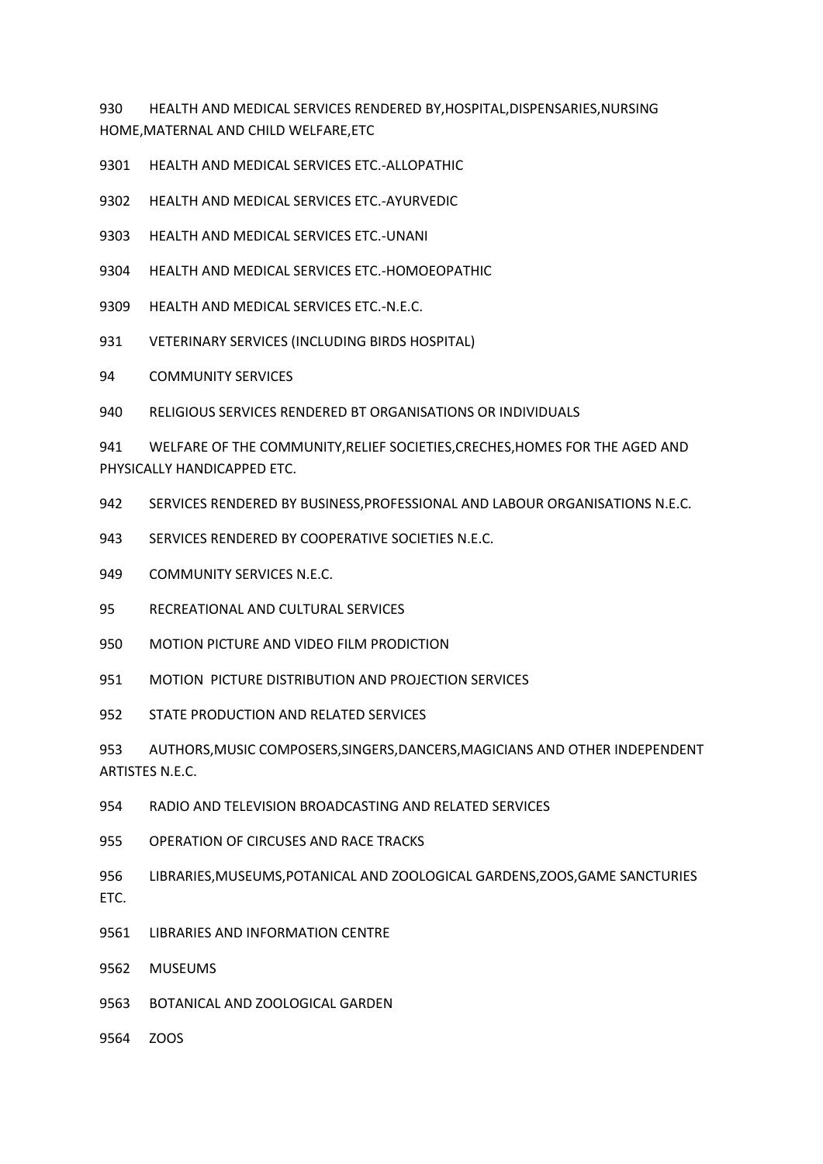930 HEALTH AND MEDICAL SERVICES RENDERED BY,HOSPITAL,DISPENSARIES,NURSING HOME,MATERNAL AND CHILD WELFARE,ETC

9301 HEALTH AND MEDICAL SERVICES ETC.-ALLOPATHIC

9302 HEALTH AND MEDICAL SERVICES ETC.-AYURVEDIC

9303 HEALTH AND MEDICAL SERVICES ETC.-UNANI

9304 HEALTH AND MEDICAL SERVICES ETC.-HOMOEOPATHIC

9309 HEALTH AND MEDICAL SERVICES ETC.-N.E.C.

931 VETERINARY SERVICES (INCLUDING BIRDS HOSPITAL)

94 COMMUNITY SERVICES

940 RELIGIOUS SERVICES RENDERED BT ORGANISATIONS OR INDIVIDUALS

941 WELFARE OF THE COMMUNITY, RELIEF SOCIETIES, CRECHES, HOMES FOR THE AGED AND PHYSICALLY HANDICAPPED ETC.

942 SERVICES RENDERED BY BUSINESS,PROFESSIONAL AND LABOUR ORGANISATIONS N.E.C.

943 SERVICES RENDERED BY COOPERATIVE SOCIETIES N.E.C.

949 COMMUNITY SERVICES N.E.C.

95 RECREATIONAL AND CULTURAL SERVICES

950 MOTION PICTURE AND VIDEO FILM PRODICTION

951 MOTION PICTURE DISTRIBUTION AND PROJECTION SERVICES

952 STATE PRODUCTION AND RELATED SERVICES

953 AUTHORS,MUSIC COMPOSERS,SINGERS,DANCERS,MAGICIANS AND OTHER INDEPENDENT ARTISTES N.E.C.

954 RADIO AND TELEVISION BROADCASTING AND RELATED SERVICES

955 OPERATION OF CIRCUSES AND RACE TRACKS

956 LIBRARIES,MUSEUMS,POTANICAL AND ZOOLOGICAL GARDENS,ZOOS,GAME SANCTURIES ETC.

9561 LIBRARIES AND INFORMATION CENTRE

9562 MUSEUMS

9563 BOTANICAL AND ZOOLOGICAL GARDEN

9564 ZOOS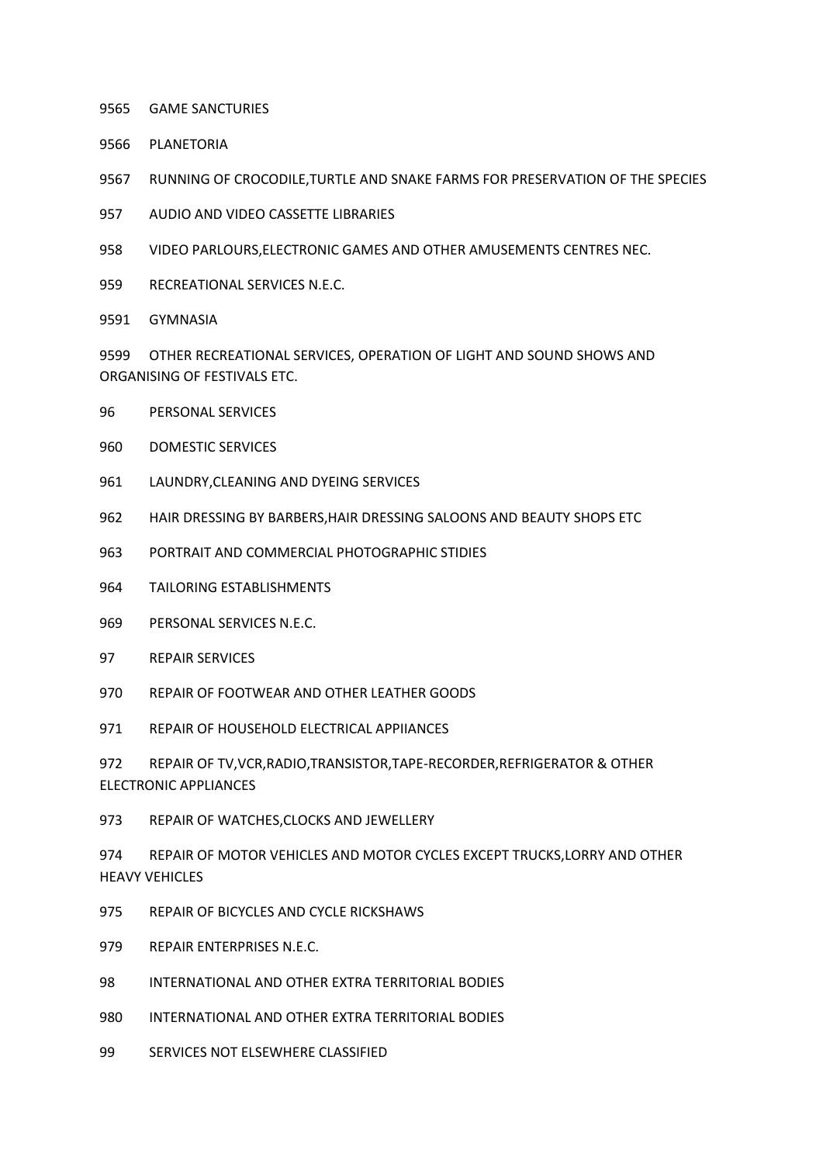9565 GAME SANCTURIES

- 9566 PLANETORIA
- 9567 RUNNING OF CROCODILE,TURTLE AND SNAKE FARMS FOR PRESERVATION OF THE SPECIES
- 957 AUDIO AND VIDEO CASSETTE LIBRARIES
- 958 VIDEO PARLOURS,ELECTRONIC GAMES AND OTHER AMUSEMENTS CENTRES NEC.
- 959 RECREATIONAL SERVICES N.E.C.
- 9591 GYMNASIA

9599 OTHER RECREATIONAL SERVICES, OPERATION OF LIGHT AND SOUND SHOWS AND ORGANISING OF FESTIVALS ETC.

- 96 PERSONAL SERVICES
- 960 DOMESTIC SERVICES
- 961 LAUNDRY,CLEANING AND DYEING SERVICES
- 962 HAIR DRESSING BY BARBERS,HAIR DRESSING SALOONS AND BEAUTY SHOPS ETC
- 963 PORTRAIT AND COMMERCIAL PHOTOGRAPHIC STIDIES
- 964 TAILORING ESTABLISHMENTS
- 969 PERSONAL SERVICES N.E.C.
- 97 REPAIR SERVICES
- 970 REPAIR OF FOOTWEAR AND OTHER LEATHER GOODS
- 971 REPAIR OF HOUSEHOLD ELECTRICAL APPIIANCES

972 REPAIR OF TV,VCR,RADIO,TRANSISTOR,TAPE-RECORDER,REFRIGERATOR & OTHER ELECTRONIC APPLIANCES

973 REPAIR OF WATCHES,CLOCKS AND JEWELLERY

974 REPAIR OF MOTOR VEHICLES AND MOTOR CYCLES EXCEPT TRUCKS,LORRY AND OTHER HEAVY VEHICLES

- 975 REPAIR OF BICYCLES AND CYCLE RICKSHAWS
- 979 REPAIR ENTERPRISES N.E.C.
- 98 INTERNATIONAL AND OTHER EXTRA TERRITORIAL BODIES
- 980 INTERNATIONAL AND OTHER EXTRA TERRITORIAL BODIES
- 99 SERVICES NOT ELSEWHERE CLASSIFIED